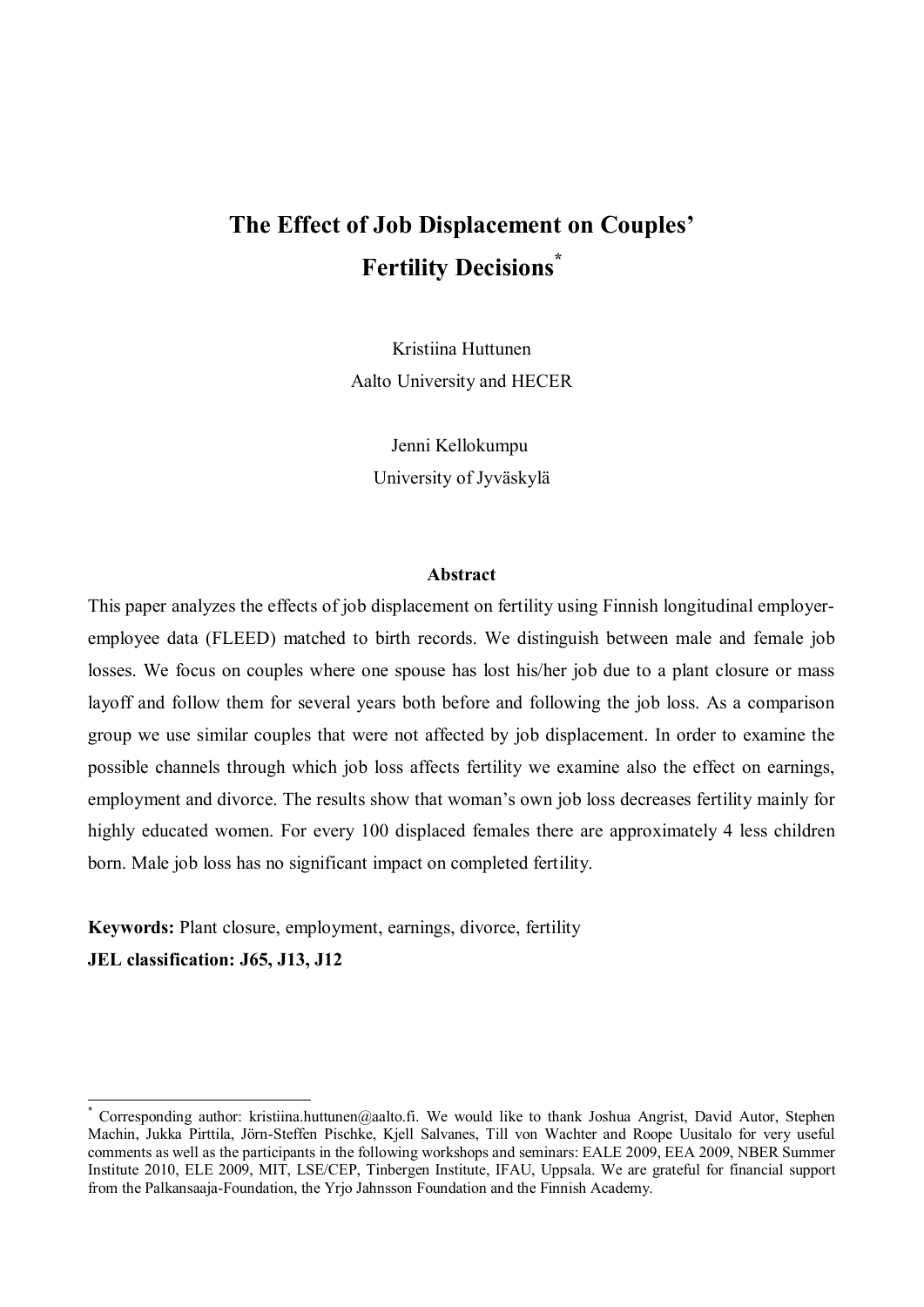# **The Effect of Job Displacement on Couples' Fertility Decisions\***

Kristiina Huttunen Aalto University and HECER

> Jenni Kellokumpu University of Jyväskylä

#### **Abstract**

This paper analyzes the effects of job displacement on fertility using Finnish longitudinal employeremployee data (FLEED) matched to birth records. We distinguish between male and female job losses. We focus on couples where one spouse has lost his/her job due to a plant closure or mass layoff and follow them for several years both before and following the job loss. As a comparison group we use similar couples that were not affected by job displacement. In order to examine the possible channels through which job loss affects fertility we examine also the effect on earnings, employment and divorce. The results show that woman's own job loss decreases fertility mainly for highly educated women. For every 100 displaced females there are approximately 4 less children born. Male job loss has no significant impact on completed fertility.

**Keywords:** Plant closure, employment, earnings, divorce, fertility **JEL classification: J65, J13, J12**

-

<sup>\*</sup> Corresponding author: kristiina.huttunen@aalto.fi. We would like to thank Joshua Angrist, David Autor, Stephen Machin, Jukka Pirttila, Jörn-Steffen Pischke, Kjell Salvanes, Till von Wachter and Roope Uusitalo for very useful comments as well as the participants in the following workshops and seminars: EALE 2009, EEA 2009, NBER Summer Institute 2010, ELE 2009, MIT, LSE/CEP, Tinbergen Institute, IFAU, Uppsala. We are grateful for financial support from the Palkansaaja-Foundation, the Yrjo Jahnsson Foundation and the Finnish Academy.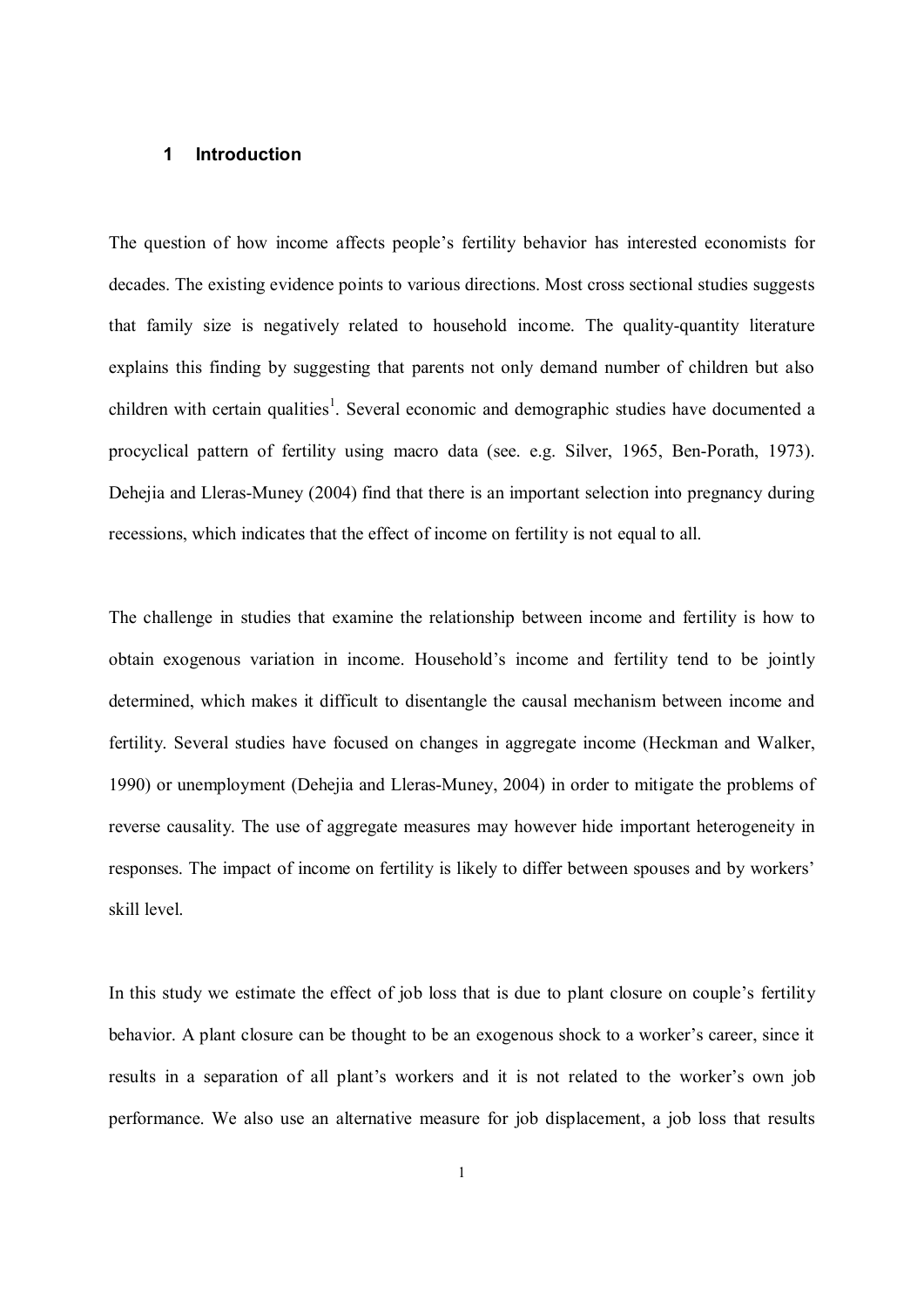#### **1 Introduction**

The question of how income affects people's fertility behavior has interested economists for decades. The existing evidence points to various directions. Most cross sectional studies suggests that family size is negatively related to household income. The quality-quantity literature explains this finding by suggesting that parents not only demand number of children but also children with certain qualities<sup>1</sup>. Several economic and demographic studies have documented a procyclical pattern of fertility using macro data (see. e.g. Silver, 1965, Ben-Porath, 1973). Dehejia and Lleras-Muney (2004) find that there is an important selection into pregnancy during recessions, which indicates that the effect of income on fertility is not equal to all.

The challenge in studies that examine the relationship between income and fertility is how to obtain exogenous variation in income. Household's income and fertility tend to be jointly determined, which makes it difficult to disentangle the causal mechanism between income and fertility. Several studies have focused on changes in aggregate income (Heckman and Walker, 1990) or unemployment (Dehejia and Lleras-Muney, 2004) in order to mitigate the problems of reverse causality. The use of aggregate measures may however hide important heterogeneity in responses. The impact of income on fertility is likely to differ between spouses and by workers' skill level.

In this study we estimate the effect of job loss that is due to plant closure on couple's fertility behavior. A plant closure can be thought to be an exogenous shock to a worker's career, since it results in a separation of all plant's workers and it is not related to the worker's own job performance. We also use an alternative measure for job displacement, a job loss that results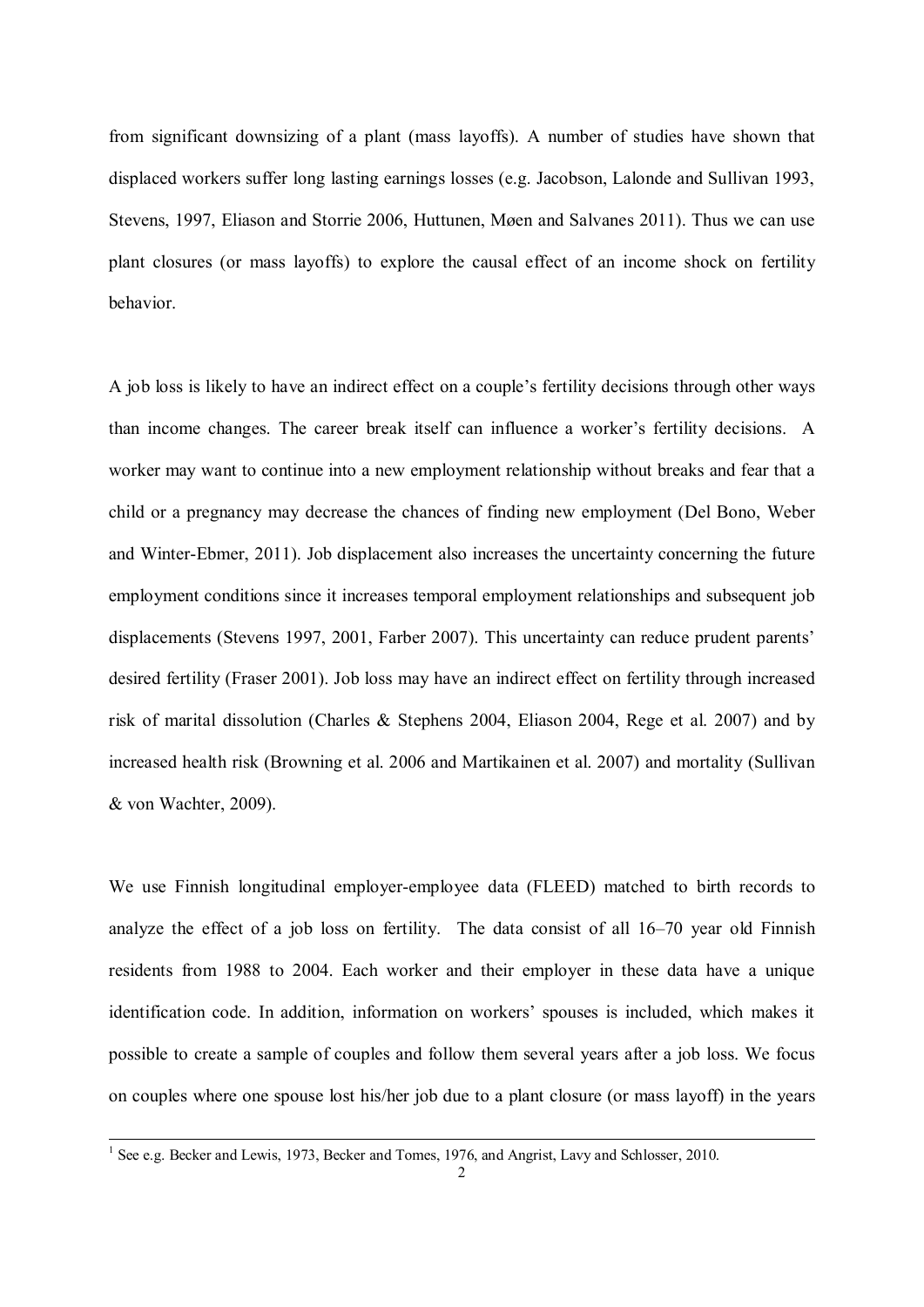from significant downsizing of a plant (mass layoffs). A number of studies have shown that displaced workers suffer long lasting earnings losses (e.g. Jacobson, Lalonde and Sullivan 1993, Stevens, 1997, Eliason and Storrie 2006, Huttunen, Møen and Salvanes 2011). Thus we can use plant closures (or mass layoffs) to explore the causal effect of an income shock on fertility behavior.

A job loss is likely to have an indirect effect on a couple's fertility decisions through other ways than income changes. The career break itself can influence a worker's fertility decisions. A worker may want to continue into a new employment relationship without breaks and fear that a child or a pregnancy may decrease the chances of finding new employment (Del Bono, Weber and Winter-Ebmer, 2011). Job displacement also increases the uncertainty concerning the future employment conditions since it increases temporal employment relationships and subsequent job displacements (Stevens 1997, 2001, Farber 2007). This uncertainty can reduce prudent parents' desired fertility (Fraser 2001). Job loss may have an indirect effect on fertility through increased risk of marital dissolution (Charles & Stephens 2004, Eliason 2004, Rege et al. 2007) and by increased health risk (Browning et al. 2006 and Martikainen et al. 2007) and mortality (Sullivan & von Wachter, 2009).

We use Finnish longitudinal employer-employee data (FLEED) matched to birth records to analyze the effect of a job loss on fertility. The data consist of all 16–70 year old Finnish residents from 1988 to 2004. Each worker and their employer in these data have a unique identification code. In addition, information on workers' spouses is included, which makes it possible to create a sample of couples and follow them several years after a job loss. We focus on couples where one spouse lost his/her job due to a plant closure (or mass layoff) in the years

 1 See e.g. Becker and Lewis, 1973, Becker and Tomes, 1976, and Angrist, Lavy and Schlosser, 2010.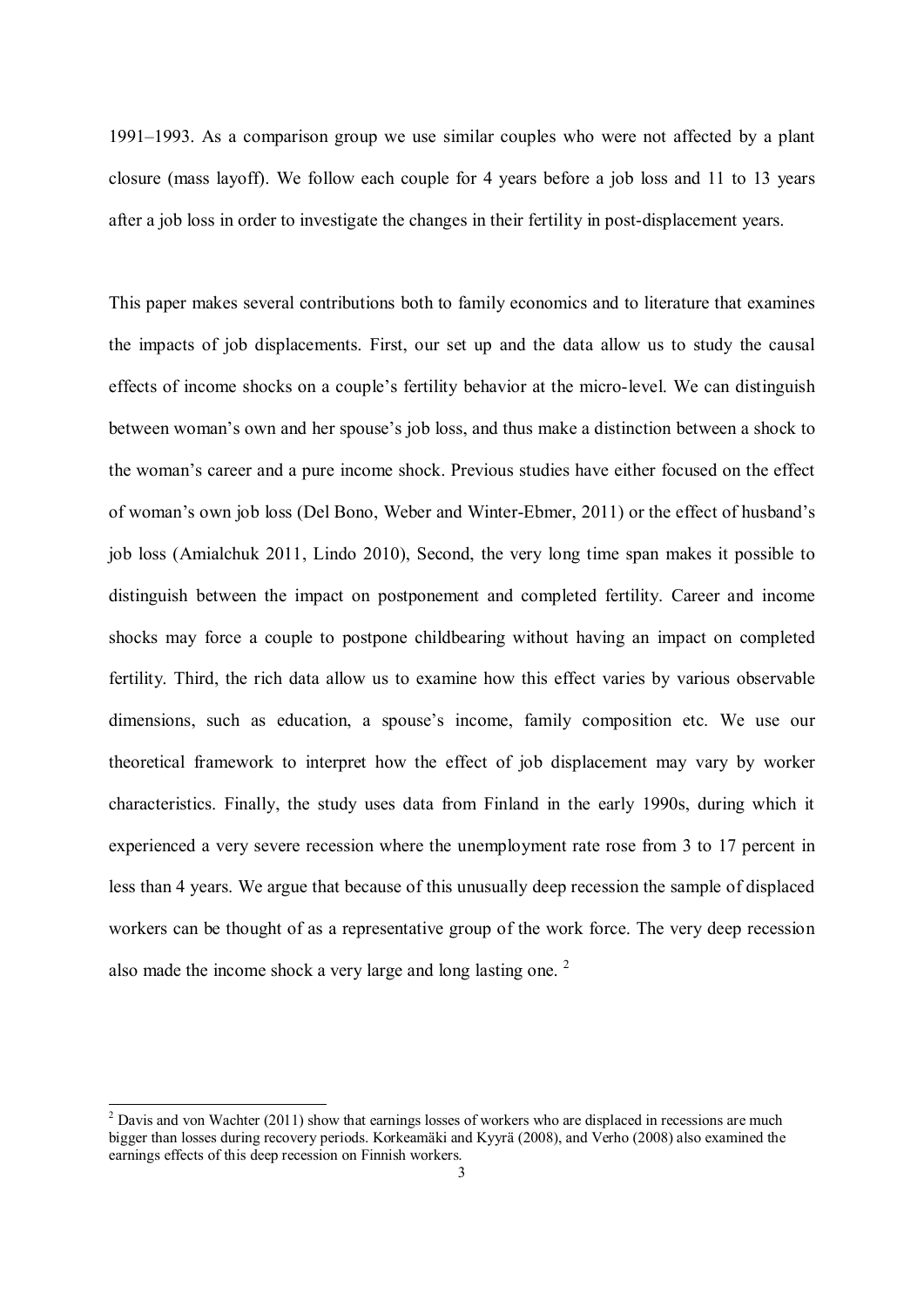1991–1993. As a comparison group we use similar couples who were not affected by a plant closure (mass layoff). We follow each couple for 4 years before a job loss and 11 to 13 years after a job loss in order to investigate the changes in their fertility in post-displacement years.

This paper makes several contributions both to family economics and to literature that examines the impacts of job displacements. First, our set up and the data allow us to study the causal effects of income shocks on a couple's fertility behavior at the micro-level. We can distinguish between woman's own and her spouse's job loss, and thus make a distinction between a shock to the woman's career and a pure income shock. Previous studies have either focused on the effect of woman's own job loss (Del Bono, Weber and Winter-Ebmer, 2011) or the effect of husband's job loss (Amialchuk 2011, Lindo 2010), Second, the very long time span makes it possible to distinguish between the impact on postponement and completed fertility. Career and income shocks may force a couple to postpone childbearing without having an impact on completed fertility. Third, the rich data allow us to examine how this effect varies by various observable dimensions, such as education, a spouse's income, family composition etc. We use our theoretical framework to interpret how the effect of job displacement may vary by worker characteristics. Finally, the study uses data from Finland in the early 1990s, during which it experienced a very severe recession where the unemployment rate rose from 3 to 17 percent in less than 4 years. We argue that because of this unusually deep recession the sample of displaced workers can be thought of as a representative group of the work force. The very deep recession also made the income shock a very large and long lasting one.<sup>2</sup>

 $2$  Davis and von Wachter (2011) show that earnings losses of workers who are displaced in recessions are much bigger than losses during recovery periods. Korkeamäki and Kyyrä (2008), and Verho (2008) also examined the earnings effects of this deep recession on Finnish workers.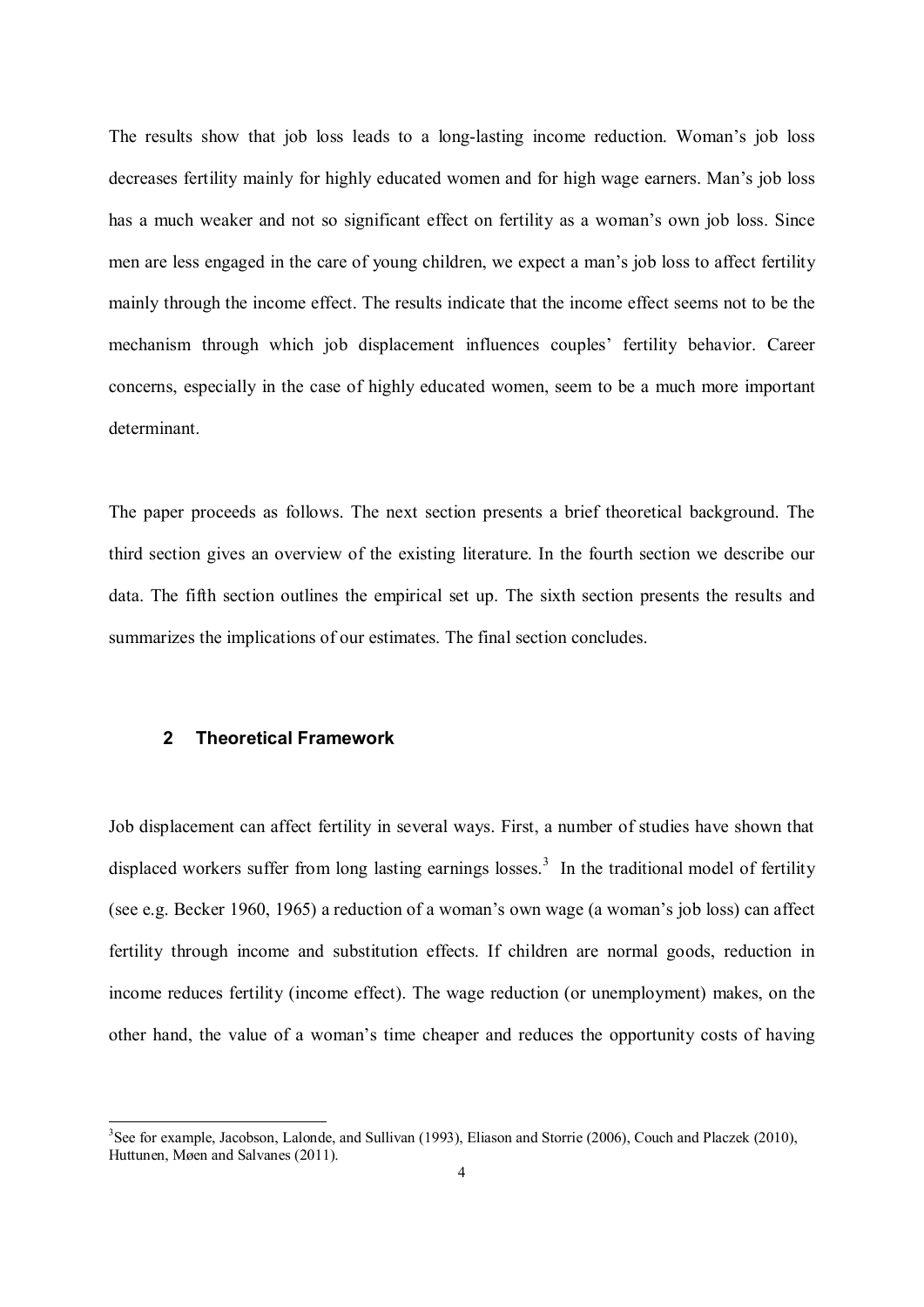The results show that job loss leads to a long-lasting income reduction. Woman's job loss decreases fertility mainly for highly educated women and for high wage earners. Man's job loss has a much weaker and not so significant effect on fertility as a woman's own job loss. Since men are less engaged in the care of young children, we expect a man's job loss to affect fertility mainly through the income effect. The results indicate that the income effect seems not to be the mechanism through which job displacement influences couples' fertility behavior. Career concerns, especially in the case of highly educated women, seem to be a much more important determinant.

The paper proceeds as follows. The next section presents a brief theoretical background. The third section gives an overview of the existing literature. In the fourth section we describe our data. The fifth section outlines the empirical set up. The sixth section presents the results and summarizes the implications of our estimates. The final section concludes.

#### **2 Theoretical Framework**

 $\overline{a}$ 

Job displacement can affect fertility in several ways. First, a number of studies have shown that displaced workers suffer from long lasting earnings losses.<sup>3</sup> In the traditional model of fertility (see e.g. Becker 1960, 1965) a reduction of a woman's own wage (a woman's job loss) can affect fertility through income and substitution effects. If children are normal goods, reduction in income reduces fertility (income effect). The wage reduction (or unemployment) makes, on the other hand, the value of a woman's time cheaper and reduces the opportunity costs of having

 $3$ See for example, Jacobson, Lalonde, and Sullivan (1993), Eliason and Storrie (2006), Couch and Placzek (2010), Huttunen, Møen and Salvanes (2011).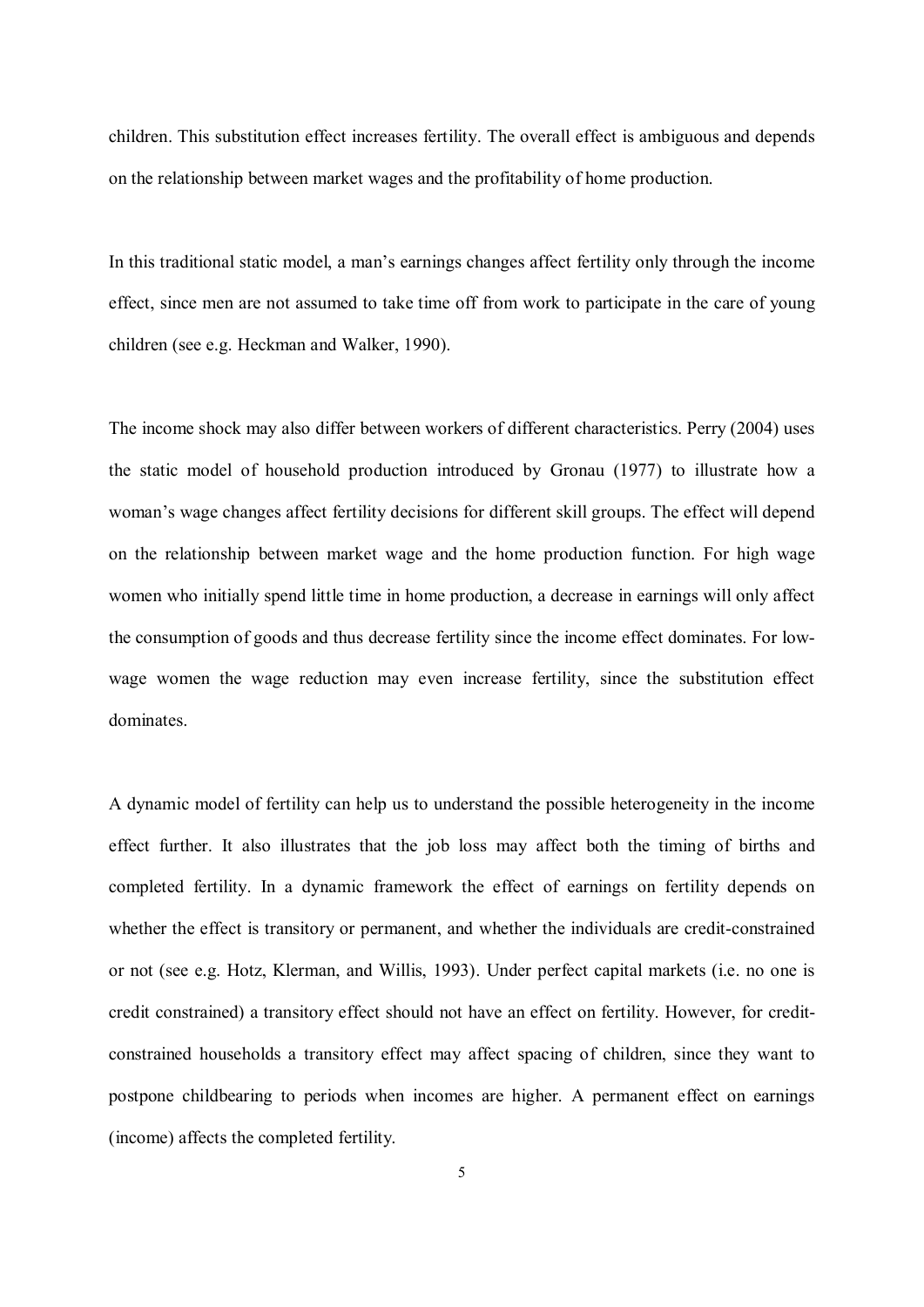children. This substitution effect increases fertility. The overall effect is ambiguous and depends on the relationship between market wages and the profitability of home production.

In this traditional static model, a man's earnings changes affect fertility only through the income effect, since men are not assumed to take time off from work to participate in the care of young children (see e.g. Heckman and Walker, 1990).

The income shock may also differ between workers of different characteristics. Perry (2004) uses the static model of household production introduced by Gronau (1977) to illustrate how a woman's wage changes affect fertility decisions for different skill groups. The effect will depend on the relationship between market wage and the home production function. For high wage women who initially spend little time in home production, a decrease in earnings will only affect the consumption of goods and thus decrease fertility since the income effect dominates. For lowwage women the wage reduction may even increase fertility, since the substitution effect dominates.

A dynamic model of fertility can help us to understand the possible heterogeneity in the income effect further. It also illustrates that the job loss may affect both the timing of births and completed fertility. In a dynamic framework the effect of earnings on fertility depends on whether the effect is transitory or permanent, and whether the individuals are credit-constrained or not (see e.g. Hotz, Klerman, and Willis, 1993). Under perfect capital markets (i.e. no one is credit constrained) a transitory effect should not have an effect on fertility. However, for creditconstrained households a transitory effect may affect spacing of children, since they want to postpone childbearing to periods when incomes are higher. A permanent effect on earnings (income) affects the completed fertility.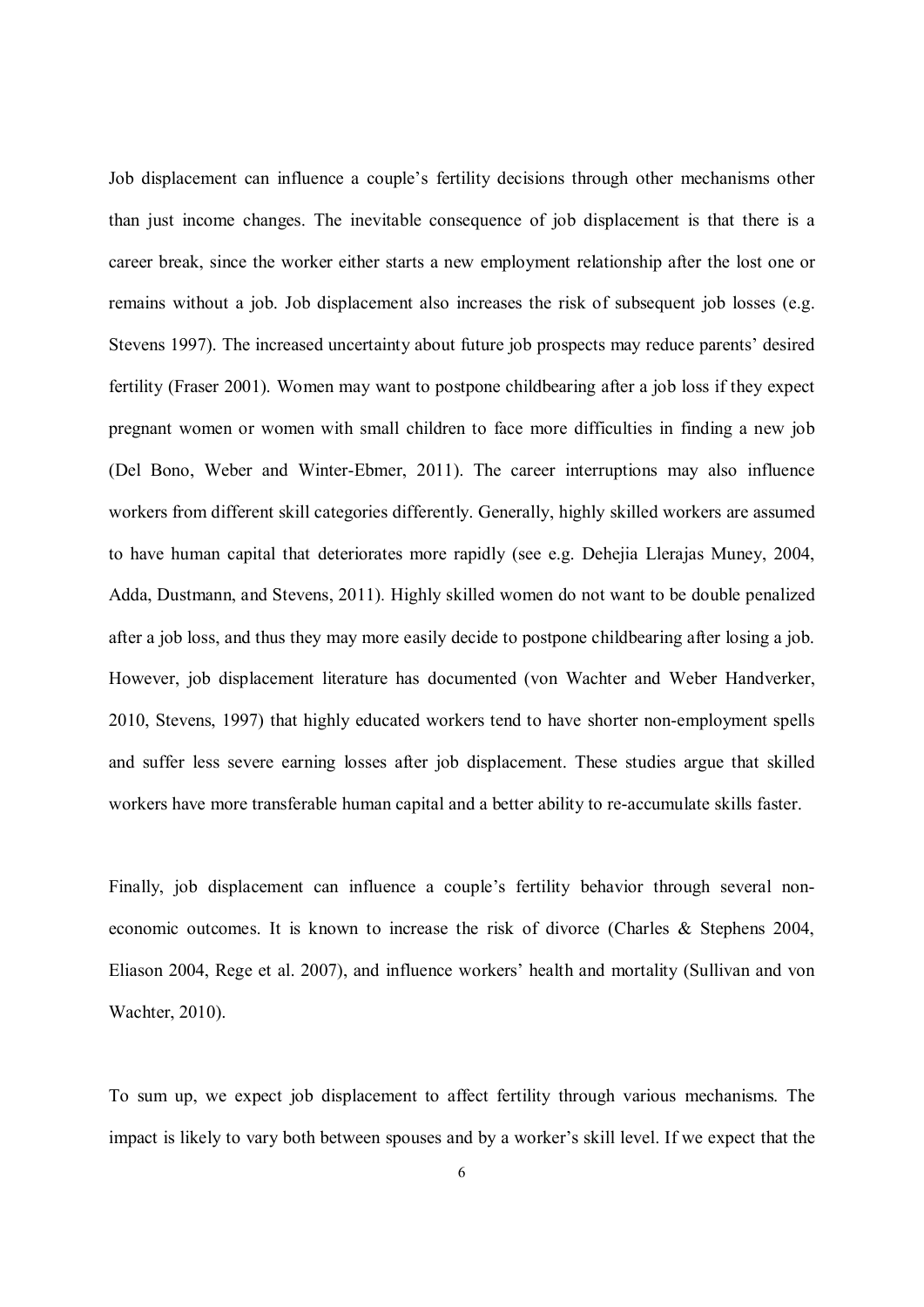Job displacement can influence a couple's fertility decisions through other mechanisms other than just income changes. The inevitable consequence of job displacement is that there is a career break, since the worker either starts a new employment relationship after the lost one or remains without a job. Job displacement also increases the risk of subsequent job losses (e.g. Stevens 1997). The increased uncertainty about future job prospects may reduce parents' desired fertility (Fraser 2001). Women may want to postpone childbearing after a job loss if they expect pregnant women or women with small children to face more difficulties in finding a new job (Del Bono, Weber and Winter-Ebmer, 2011). The career interruptions may also influence workers from different skill categories differently. Generally, highly skilled workers are assumed to have human capital that deteriorates more rapidly (see e.g. Dehejia Llerajas Muney, 2004, Adda, Dustmann, and Stevens, 2011)*.* Highly skilled women do not want to be double penalized after a job loss, and thus they may more easily decide to postpone childbearing after losing a job. However, job displacement literature has documented (von Wachter and Weber Handverker, 2010, Stevens, 1997) that highly educated workers tend to have shorter non-employment spells and suffer less severe earning losses after job displacement. These studies argue that skilled workers have more transferable human capital and a better ability to re-accumulate skills faster.

Finally, job displacement can influence a couple's fertility behavior through several noneconomic outcomes. It is known to increase the risk of divorce (Charles & Stephens 2004, Eliason 2004, Rege et al. 2007), and influence workers' health and mortality (Sullivan and von Wachter, 2010).

To sum up, we expect job displacement to affect fertility through various mechanisms. The impact is likely to vary both between spouses and by a worker's skill level. If we expect that the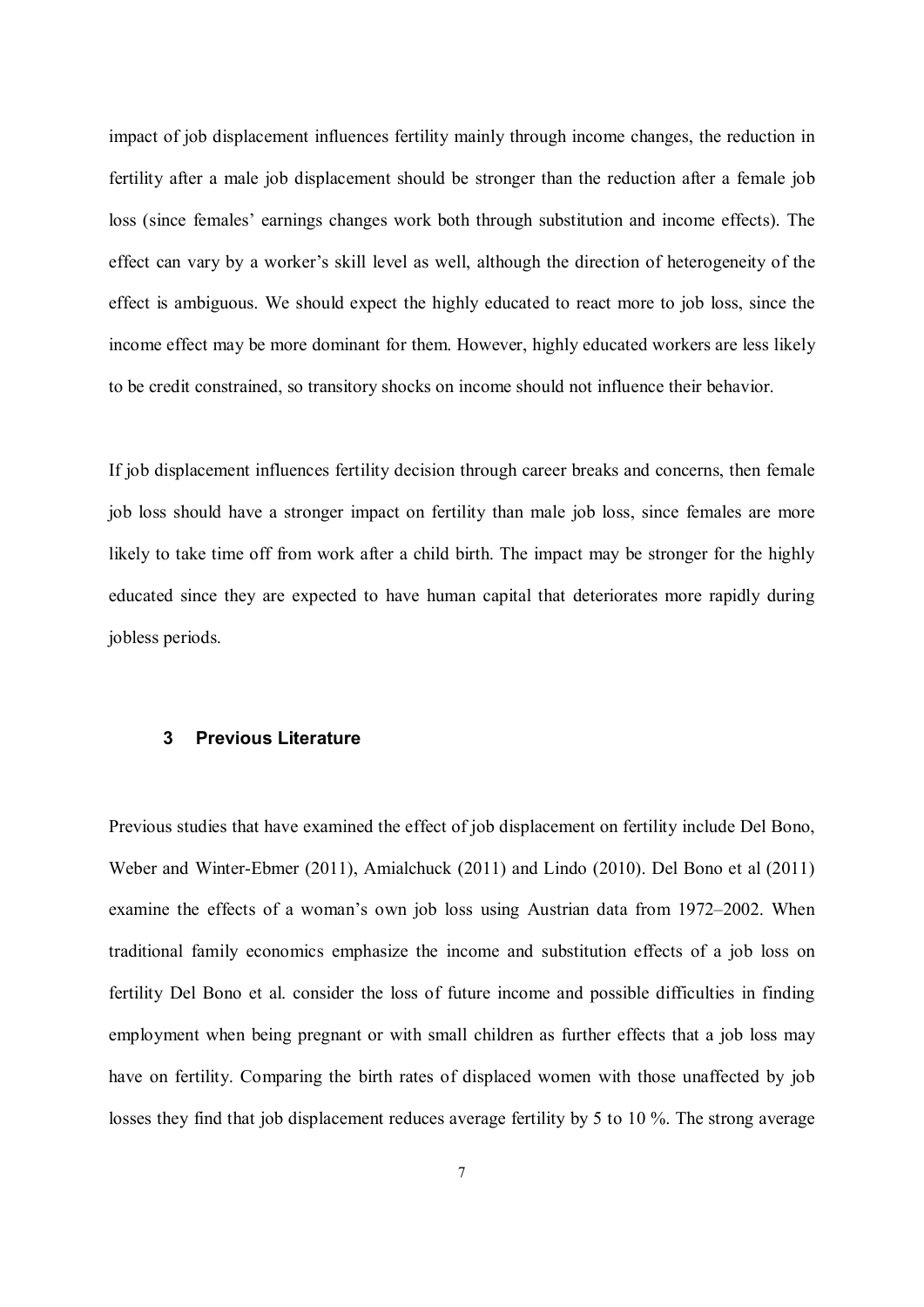impact of job displacement influences fertility mainly through income changes, the reduction in fertility after a male job displacement should be stronger than the reduction after a female job loss (since females' earnings changes work both through substitution and income effects). The effect can vary by a worker's skill level as well, although the direction of heterogeneity of the effect is ambiguous. We should expect the highly educated to react more to job loss, since the income effect may be more dominant for them. However, highly educated workers are less likely to be credit constrained, so transitory shocks on income should not influence their behavior.

If job displacement influences fertility decision through career breaks and concerns, then female job loss should have a stronger impact on fertility than male job loss, since females are more likely to take time off from work after a child birth. The impact may be stronger for the highly educated since they are expected to have human capital that deteriorates more rapidly during jobless periods.

#### **3 Previous Literature**

Previous studies that have examined the effect of job displacement on fertility include Del Bono, Weber and Winter-Ebmer (2011), Amialchuck (2011) and Lindo (2010). Del Bono et al (2011) examine the effects of a woman's own job loss using Austrian data from 1972–2002. When traditional family economics emphasize the income and substitution effects of a job loss on fertility Del Bono et al. consider the loss of future income and possible difficulties in finding employment when being pregnant or with small children as further effects that a job loss may have on fertility. Comparing the birth rates of displaced women with those unaffected by job losses they find that job displacement reduces average fertility by 5 to 10 %. The strong average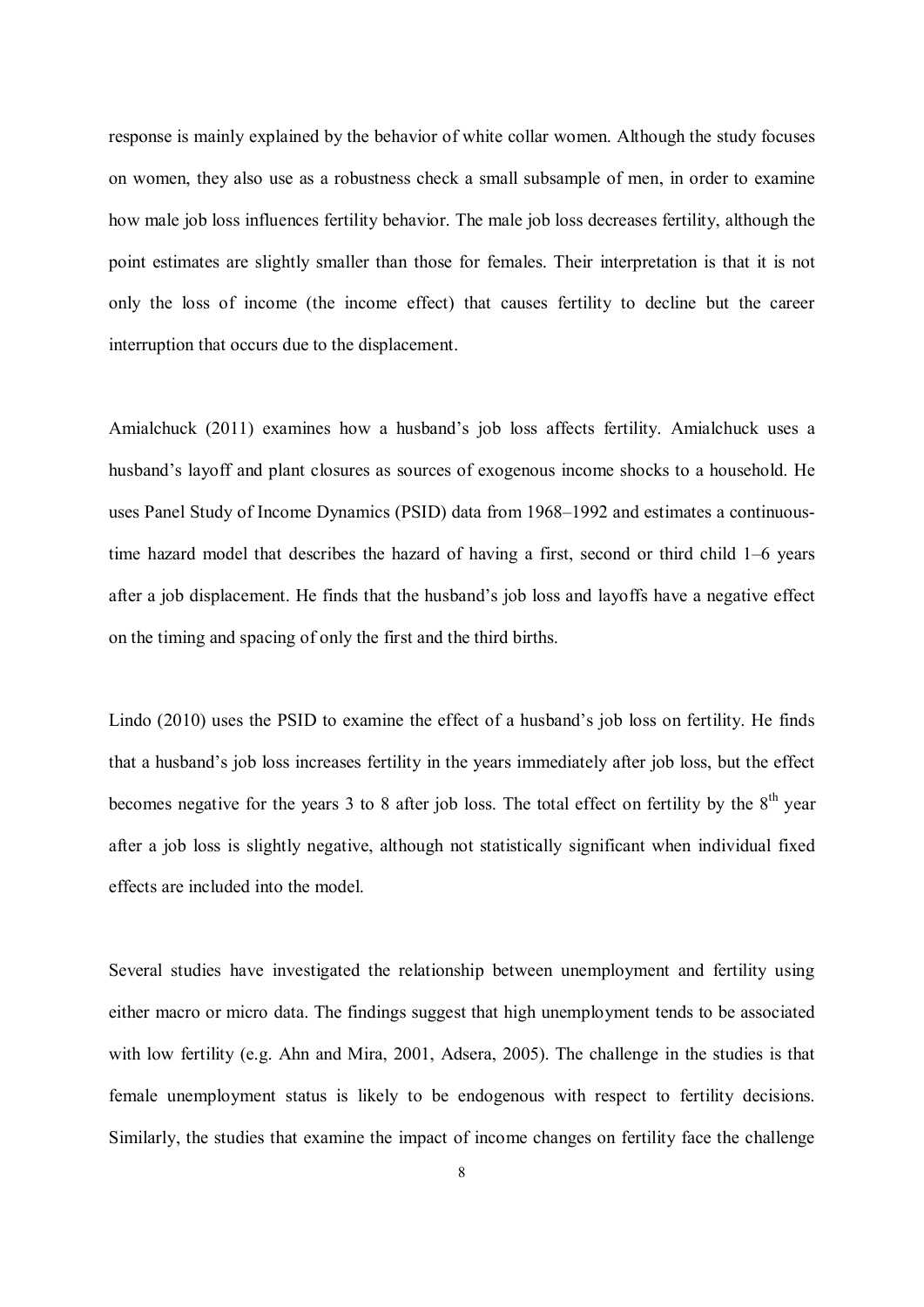response is mainly explained by the behavior of white collar women. Although the study focuses on women, they also use as a robustness check a small subsample of men, in order to examine how male job loss influences fertility behavior. The male job loss decreases fertility, although the point estimates are slightly smaller than those for females. Their interpretation is that it is not only the loss of income (the income effect) that causes fertility to decline but the career interruption that occurs due to the displacement.

Amialchuck (2011) examines how a husband's job loss affects fertility. Amialchuck uses a husband's layoff and plant closures as sources of exogenous income shocks to a household. He uses Panel Study of Income Dynamics (PSID) data from 1968–1992 and estimates a continuoustime hazard model that describes the hazard of having a first, second or third child 1–6 years after a job displacement. He finds that the husband's job loss and layoffs have a negative effect on the timing and spacing of only the first and the third births.

Lindo (2010) uses the PSID to examine the effect of a husband's job loss on fertility. He finds that a husband's job loss increases fertility in the years immediately after job loss, but the effect becomes negative for the years 3 to 8 after job loss. The total effect on fertility by the  $8<sup>th</sup>$  year after a job loss is slightly negative, although not statistically significant when individual fixed effects are included into the model.

Several studies have investigated the relationship between unemployment and fertility using either macro or micro data. The findings suggest that high unemployment tends to be associated with low fertility (e.g. Ahn and Mira, 2001, Adsera, 2005). The challenge in the studies is that female unemployment status is likely to be endogenous with respect to fertility decisions. Similarly, the studies that examine the impact of income changes on fertility face the challenge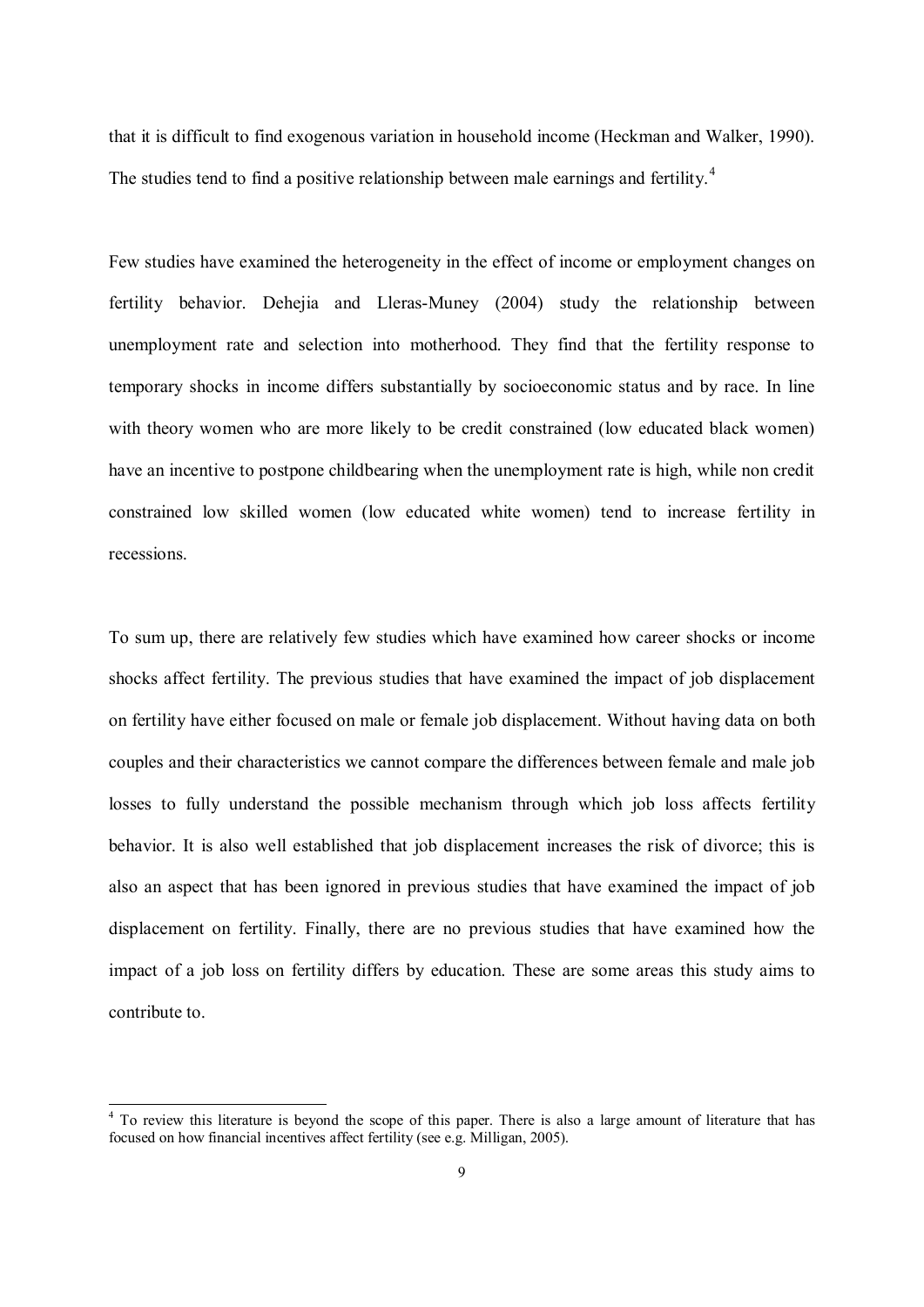that it is difficult to find exogenous variation in household income (Heckman and Walker, 1990). The studies tend to find a positive relationship between male earnings and fertility.<sup>4</sup>

Few studies have examined the heterogeneity in the effect of income or employment changes on fertility behavior. Dehejia and Lleras-Muney (2004) study the relationship between unemployment rate and selection into motherhood. They find that the fertility response to temporary shocks in income differs substantially by socioeconomic status and by race. In line with theory women who are more likely to be credit constrained (low educated black women) have an incentive to postpone childbearing when the unemployment rate is high, while non credit constrained low skilled women (low educated white women) tend to increase fertility in recessions.

To sum up, there are relatively few studies which have examined how career shocks or income shocks affect fertility. The previous studies that have examined the impact of job displacement on fertility have either focused on male or female job displacement. Without having data on both couples and their characteristics we cannot compare the differences between female and male job losses to fully understand the possible mechanism through which job loss affects fertility behavior. It is also well established that job displacement increases the risk of divorce; this is also an aspect that has been ignored in previous studies that have examined the impact of job displacement on fertility. Finally, there are no previous studies that have examined how the impact of a job loss on fertility differs by education. These are some areas this study aims to contribute to.

To review this literature is beyond the scope of this paper. There is also a large amount of literature that has focused on how financial incentives affect fertility (see e.g. Milligan, 2005).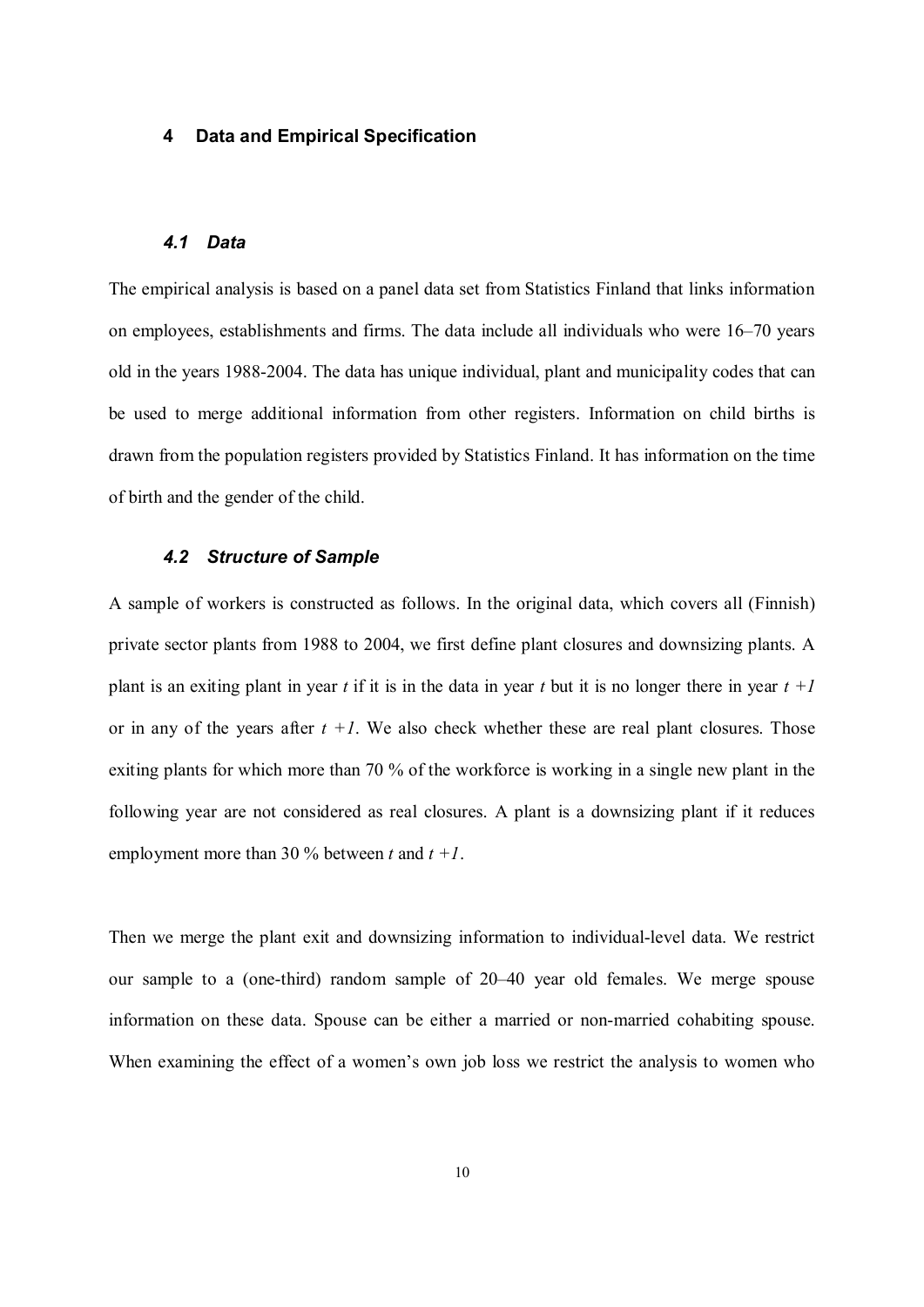#### **4 Data and Empirical Specification**

#### *4.1 Data*

The empirical analysis is based on a panel data set from Statistics Finland that links information on employees, establishments and firms. The data include all individuals who were 16–70 years old in the years 1988-2004. The data has unique individual, plant and municipality codes that can be used to merge additional information from other registers. Information on child births is drawn from the population registers provided by Statistics Finland. It has information on the time of birth and the gender of the child.

#### *4.2 Structure of Sample*

A sample of workers is constructed as follows. In the original data, which covers all (Finnish) private sector plants from 1988 to 2004, we first define plant closures and downsizing plants. A plant is an exiting plant in year *t* if it is in the data in year *t* but it is no longer there in year  $t +1$ or in any of the years after  $t +1$ . We also check whether these are real plant closures. Those exiting plants for which more than 70 % of the workforce is working in a single new plant in the following year are not considered as real closures. A plant is a downsizing plant if it reduces employment more than 30 % between *t* and *t +1*.

Then we merge the plant exit and downsizing information to individual-level data. We restrict our sample to a (one-third) random sample of 20–40 year old females. We merge spouse information on these data. Spouse can be either a married or non-married cohabiting spouse. When examining the effect of a women's own job loss we restrict the analysis to women who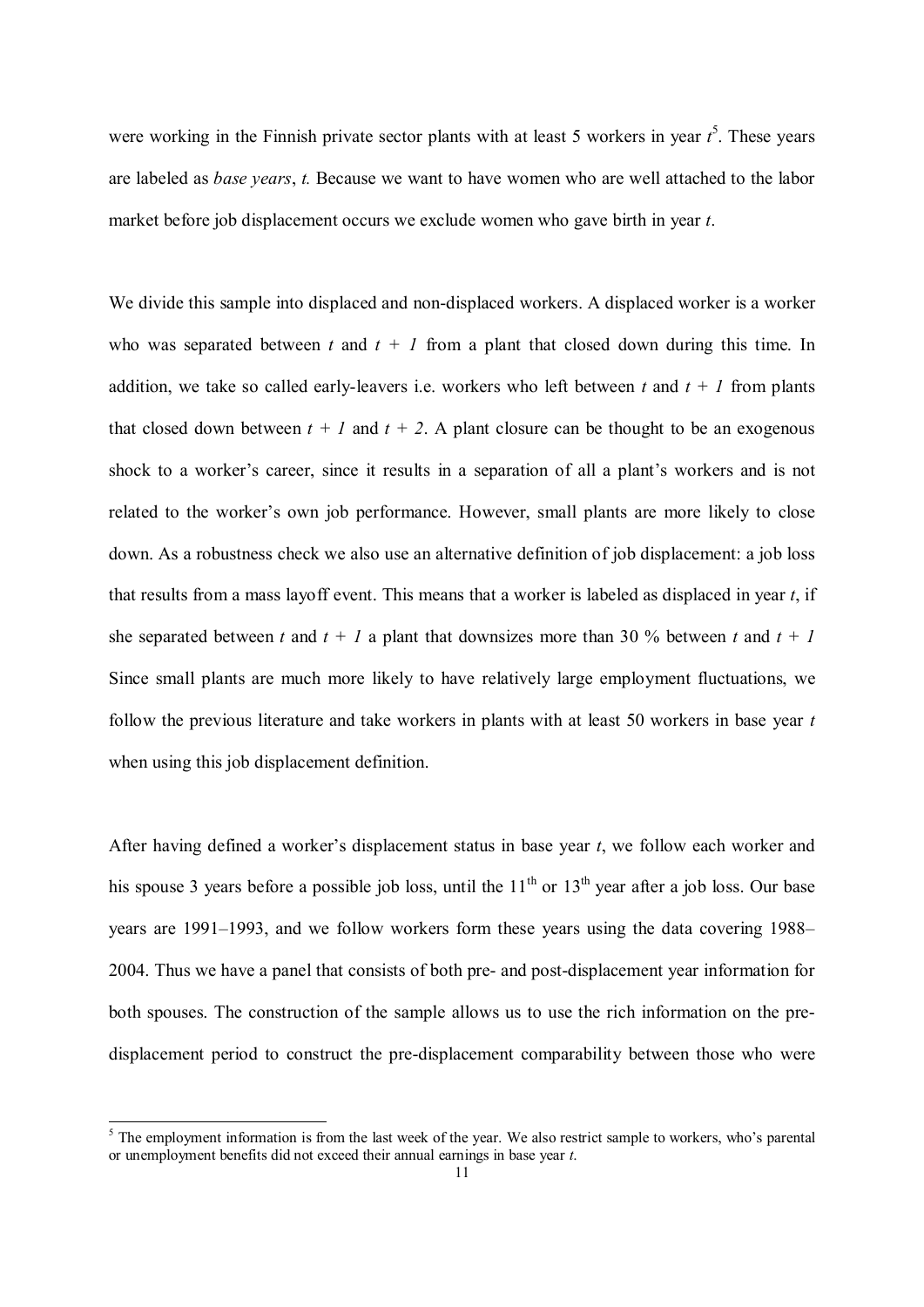were working in the Finnish private sector plants with at least 5 workers in year *t* 5 . These years are labeled as *base years*, *t.* Because we want to have women who are well attached to the labor market before job displacement occurs we exclude women who gave birth in year *t*.

We divide this sample into displaced and non-displaced workers. A displaced worker is a worker who was separated between  $t$  and  $t + 1$  from a plant that closed down during this time. In addition, we take so called early-leavers i.e. workers who left between  $t$  and  $t + 1$  from plants that closed down between  $t + l$  and  $t + 2$ . A plant closure can be thought to be an exogenous shock to a worker's career, since it results in a separation of all a plant's workers and is not related to the worker's own job performance. However, small plants are more likely to close down. As a robustness check we also use an alternative definition of job displacement: a job loss that results from a mass layoff event. This means that a worker is labeled as displaced in year *t*, if she separated between *t* and  $t + l$  a plant that downsizes more than 30 % between *t* and  $t + l$ Since small plants are much more likely to have relatively large employment fluctuations, we follow the previous literature and take workers in plants with at least 50 workers in base year *t* when using this job displacement definition.

After having defined a worker's displacement status in base year *t*, we follow each worker and his spouse 3 years before a possible job loss, until the  $11<sup>th</sup>$  or  $13<sup>th</sup>$  year after a job loss. Our base years are 1991–1993, and we follow workers form these years using the data covering 1988– 2004. Thus we have a panel that consists of both pre- and post-displacement year information for both spouses. The construction of the sample allows us to use the rich information on the predisplacement period to construct the pre-displacement comparability between those who were

The employment information is from the last week of the year. We also restrict sample to workers, who's parental or unemployment benefits did not exceed their annual earnings in base year *t*.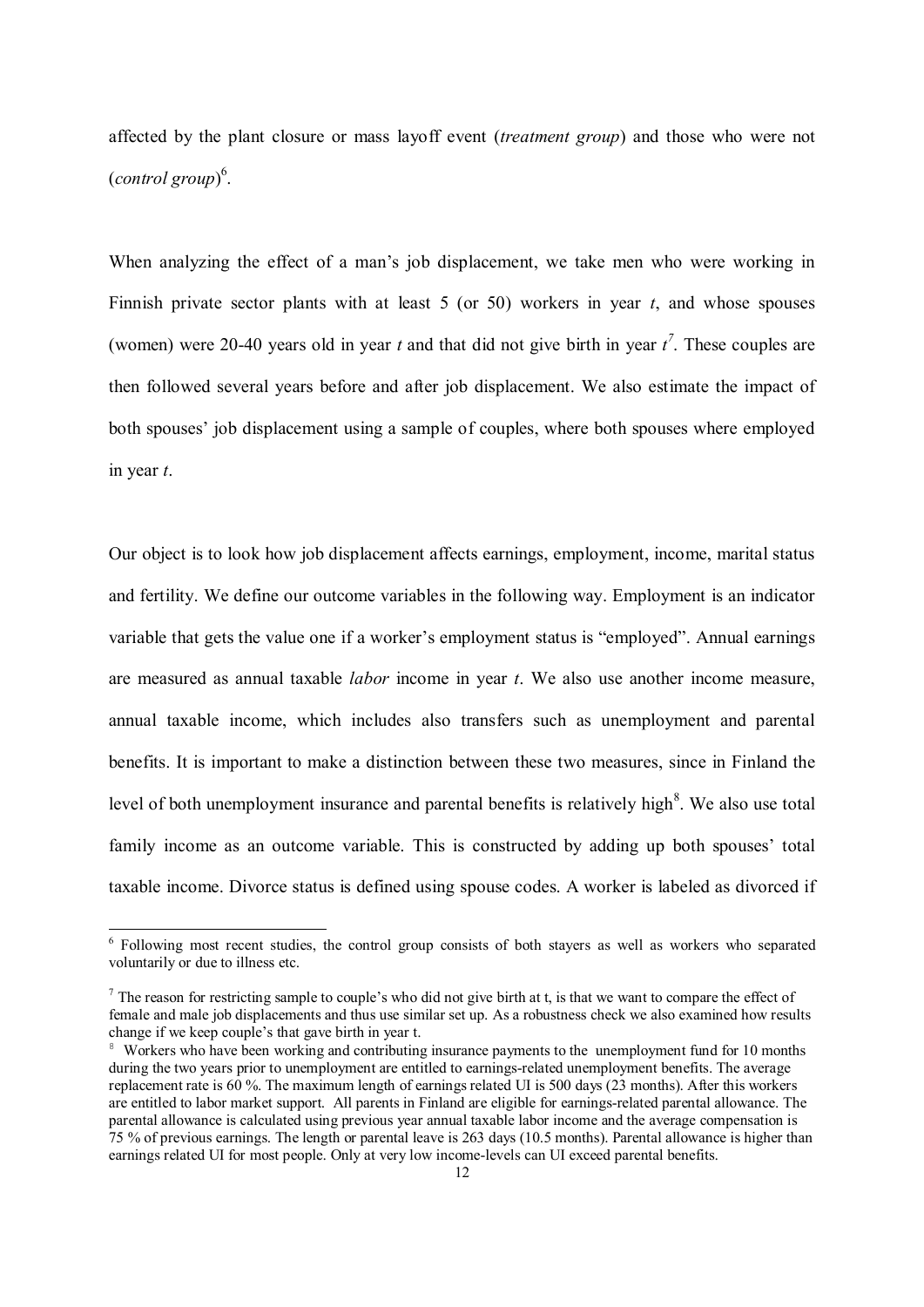affected by the plant closure or mass layoff event (*treatment group*) and those who were not (*control group*) 6 .

When analyzing the effect of a man's job displacement, we take men who were working in Finnish private sector plants with at least 5 (or 50) workers in year *t*, and whose spouses (women) were 20-40 years old in year *t* and that did not give birth in year  $t^7$ . These couples are then followed several years before and after job displacement. We also estimate the impact of both spouses' job displacement using a sample of couples, where both spouses where employed in year *t*.

Our object is to look how job displacement affects earnings, employment, income, marital status and fertility. We define our outcome variables in the following way. Employment is an indicator variable that gets the value one if a worker's employment status is "employed". Annual earnings are measured as annual taxable *labor* income in year *t*. We also use another income measure, annual taxable income, which includes also transfers such as unemployment and parental benefits. It is important to make a distinction between these two measures, since in Finland the level of both unemployment insurance and parental benefits is relatively high<sup>8</sup>. We also use total family income as an outcome variable. This is constructed by adding up both spouses' total taxable income. Divorce status is defined using spouse codes. A worker is labeled as divorced if

Following most recent studies, the control group consists of both stayers as well as workers who separated voluntarily or due to illness etc.

 $<sup>7</sup>$  The reason for restricting sample to couple's who did not give birth at t, is that we want to compare the effect of</sup> female and male job displacements and thus use similar set up. As a robustness check we also examined how results change if we keep couple's that gave birth in year t.

<sup>&</sup>lt;sup>8</sup> Workers who have been working and contributing insurance payments to the unemployment fund for 10 months during the two years prior to unemployment are entitled to earnings-related unemployment benefits. The average replacement rate is 60 %. The maximum length of earnings related UI is 500 days (23 months). After this workers are entitled to labor market support. All parents in Finland are eligible for earnings-related parental allowance. The parental allowance is calculated using previous year annual taxable labor income and the average compensation is 75 % of previous earnings. The length or parental leave is 263 days (10.5 months). Parental allowance is higher than earnings related UI for most people. Only at very low income-levels can UI exceed parental benefits.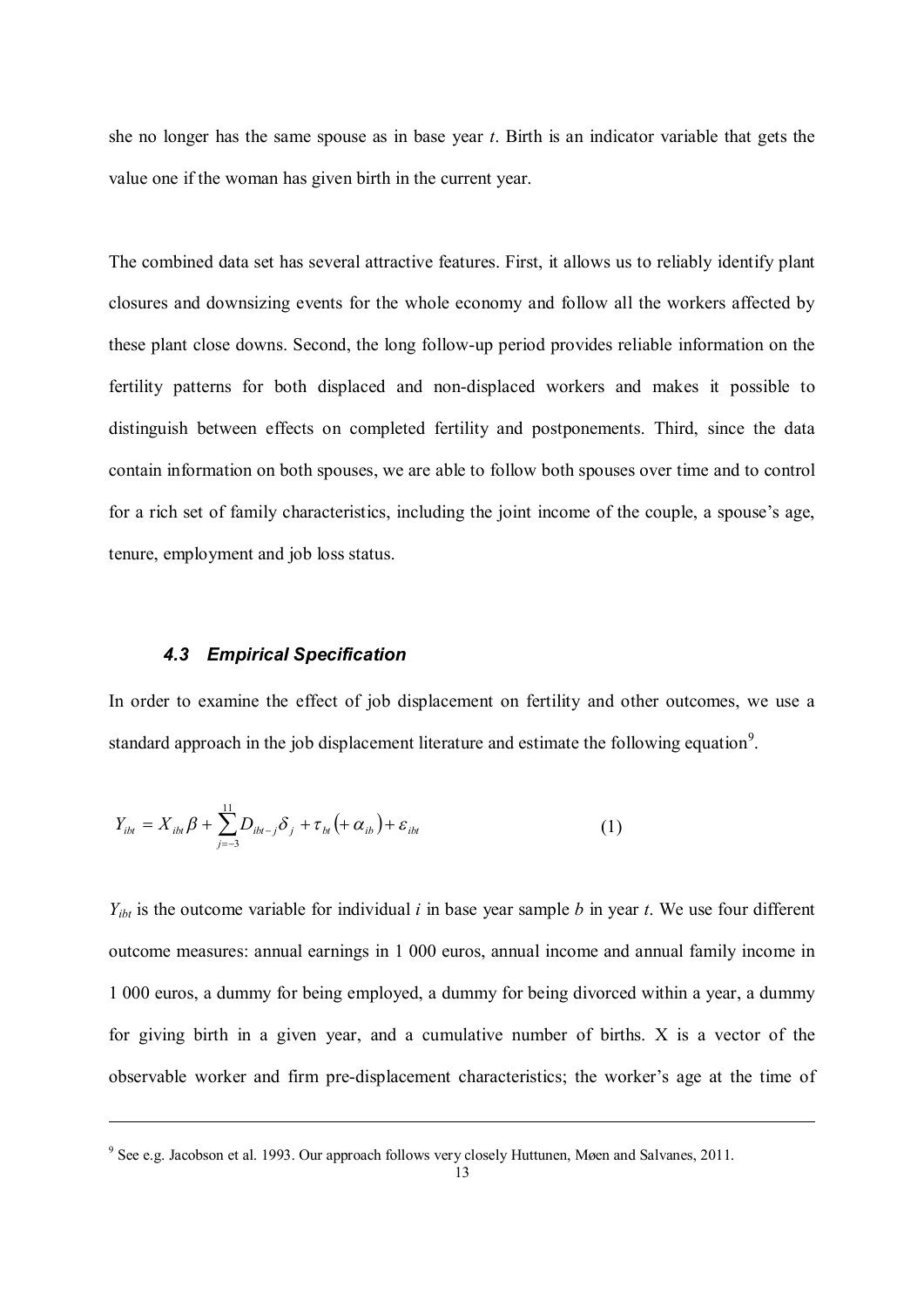she no longer has the same spouse as in base year *t*. Birth is an indicator variable that gets the value one if the woman has given birth in the current year.

The combined data set has several attractive features. First, it allows us to reliably identify plant closures and downsizing events for the whole economy and follow all the workers affected by these plant close downs. Second, the long follow-up period provides reliable information on the fertility patterns for both displaced and non-displaced workers and makes it possible to distinguish between effects on completed fertility and postponements. Third, since the data contain information on both spouses, we are able to follow both spouses over time and to control for a rich set of family characteristics, including the joint income of the couple, a spouse's age, tenure, employment and job loss status.

#### *4.3 Empirical Specification*

 $\overline{a}$ 

In order to examine the effect of job displacement on fertility and other outcomes, we use a standard approach in the job displacement literature and estimate the following equation<sup>9</sup>.

$$
Y_{ibt} = X_{ibt} \beta + \sum_{j=-3}^{11} D_{ibt-j} \delta_j + \tau_{bt} (+\alpha_{ib}) + \varepsilon_{ibt}
$$
 (1)

 $Y_{ibt}$  is the outcome variable for individual *i* in base year sample *b* in year *t*. We use four different outcome measures: annual earnings in 1 000 euros, annual income and annual family income in 1 000 euros, a dummy for being employed, a dummy for being divorced within a year, a dummy for giving birth in a given year, and a cumulative number of births. X is a vector of the observable worker and firm pre-displacement characteristics; the worker's age at the time of

<sup>&</sup>lt;sup>9</sup> See e.g. Jacobson et al. 1993. Our approach follows very closely Huttunen, Møen and Salvanes, 2011.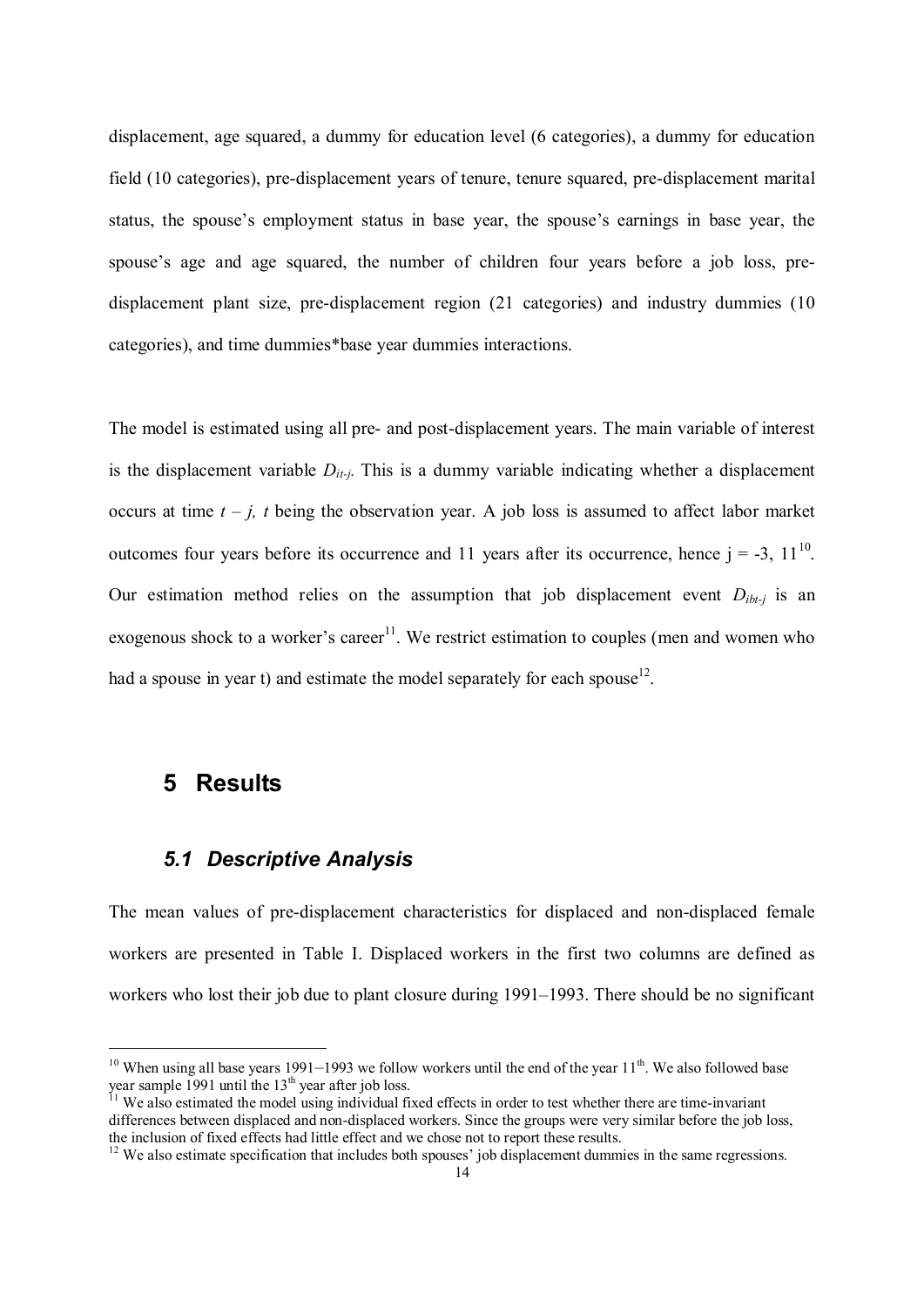displacement, age squared, a dummy for education level (6 categories), a dummy for education field (10 categories), pre-displacement years of tenure, tenure squared, pre-displacement marital status, the spouse's employment status in base year, the spouse's earnings in base year, the spouse's age and age squared, the number of children four years before a job loss, predisplacement plant size, pre-displacement region (21 categories) and industry dummies (10 categories), and time dummies\*base year dummies interactions.

The model is estimated using all pre- and post-displacement years. The main variable of interest is the displacement variable  $D_{it-j}$ . This is a dummy variable indicating whether a displacement occurs at time  $t - j$ ,  $t$  being the observation year. A job loss is assumed to affect labor market outcomes four years before its occurrence and 11 years after its occurrence, hence  $j = -3$ ,  $11^{10}$ . Our estimation method relies on the assumption that job displacement event  $D_{ibt}$  is an exogenous shock to a worker's career<sup>11</sup>. We restrict estimation to couples (men and women who had a spouse in year t) and estimate the model separately for each spouse<sup>12</sup>.

### **5 Results**

1

### *5.1 Descriptive Analysis*

The mean values of pre-displacement characteristics for displaced and non-displaced female workers are presented in Table I. Displaced workers in the first two columns are defined as workers who lost their job due to plant closure during 1991–1993. There should be no significant

<sup>&</sup>lt;sup>10</sup> When using all base years 1991–1993 we follow workers until the end of the year  $11<sup>th</sup>$ . We also followed base year sample 1991 until the  $13<sup>th</sup>$  year after job loss.

 $11$  We also estimated the model using individual fixed effects in order to test whether there are time-invariant differences between displaced and non-displaced workers. Since the groups were very similar before the job loss, the inclusion of fixed effects had little effect and we chose not to report these results.

<sup>&</sup>lt;sup>12</sup> We also estimate specification that includes both spouses' job displacement dummies in the same regressions.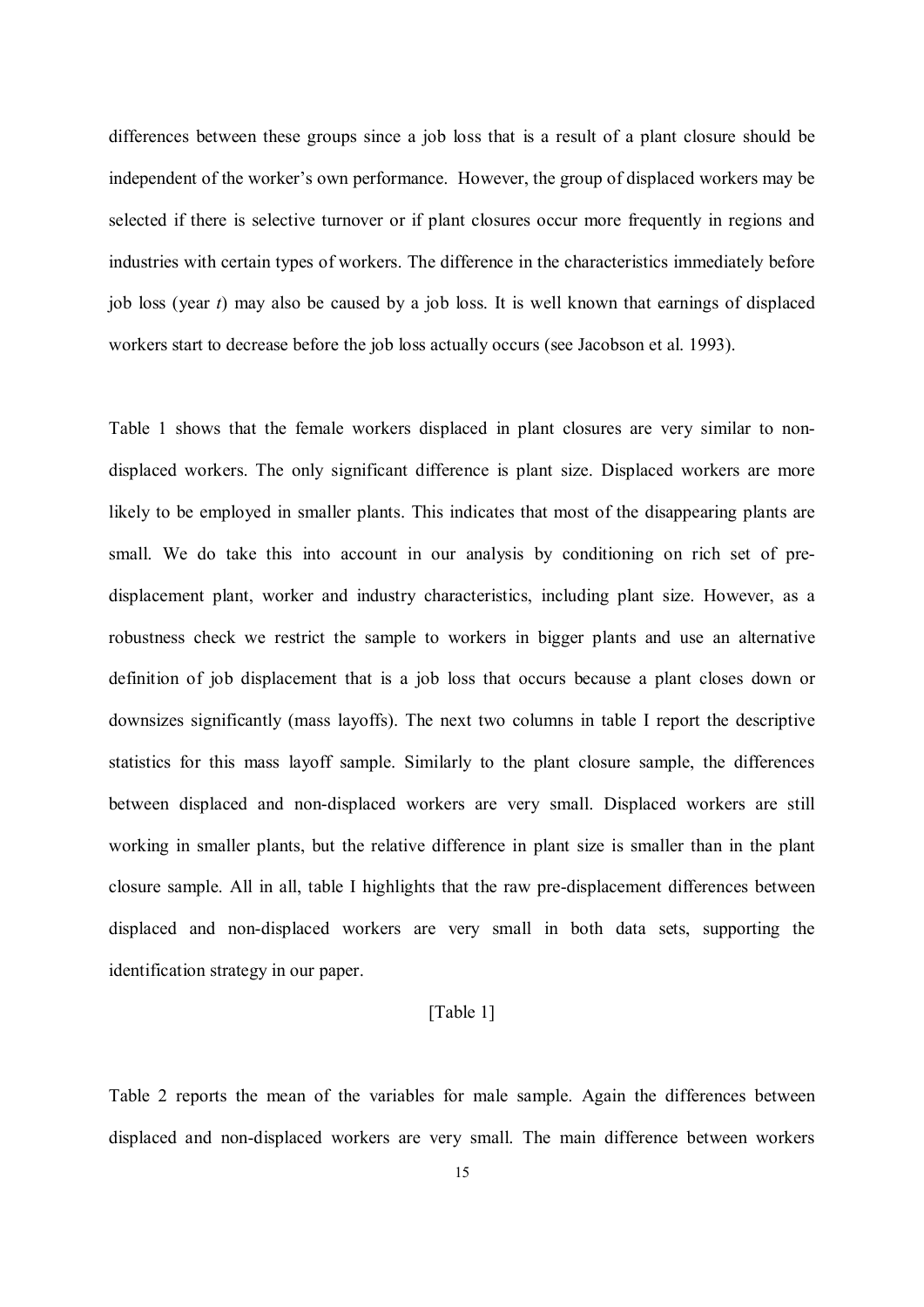differences between these groups since a job loss that is a result of a plant closure should be independent of the worker's own performance. However, the group of displaced workers may be selected if there is selective turnover or if plant closures occur more frequently in regions and industries with certain types of workers. The difference in the characteristics immediately before job loss (year *t*) may also be caused by a job loss. It is well known that earnings of displaced workers start to decrease before the job loss actually occurs (see Jacobson et al. 1993).

Table 1 shows that the female workers displaced in plant closures are very similar to nondisplaced workers. The only significant difference is plant size. Displaced workers are more likely to be employed in smaller plants. This indicates that most of the disappearing plants are small. We do take this into account in our analysis by conditioning on rich set of predisplacement plant, worker and industry characteristics, including plant size. However, as a robustness check we restrict the sample to workers in bigger plants and use an alternative definition of job displacement that is a job loss that occurs because a plant closes down or downsizes significantly (mass layoffs). The next two columns in table I report the descriptive statistics for this mass layoff sample. Similarly to the plant closure sample, the differences between displaced and non-displaced workers are very small. Displaced workers are still working in smaller plants, but the relative difference in plant size is smaller than in the plant closure sample. All in all, table I highlights that the raw pre-displacement differences between displaced and non-displaced workers are very small in both data sets, supporting the identification strategy in our paper.

#### [Table 1]

Table 2 reports the mean of the variables for male sample. Again the differences between displaced and non-displaced workers are very small. The main difference between workers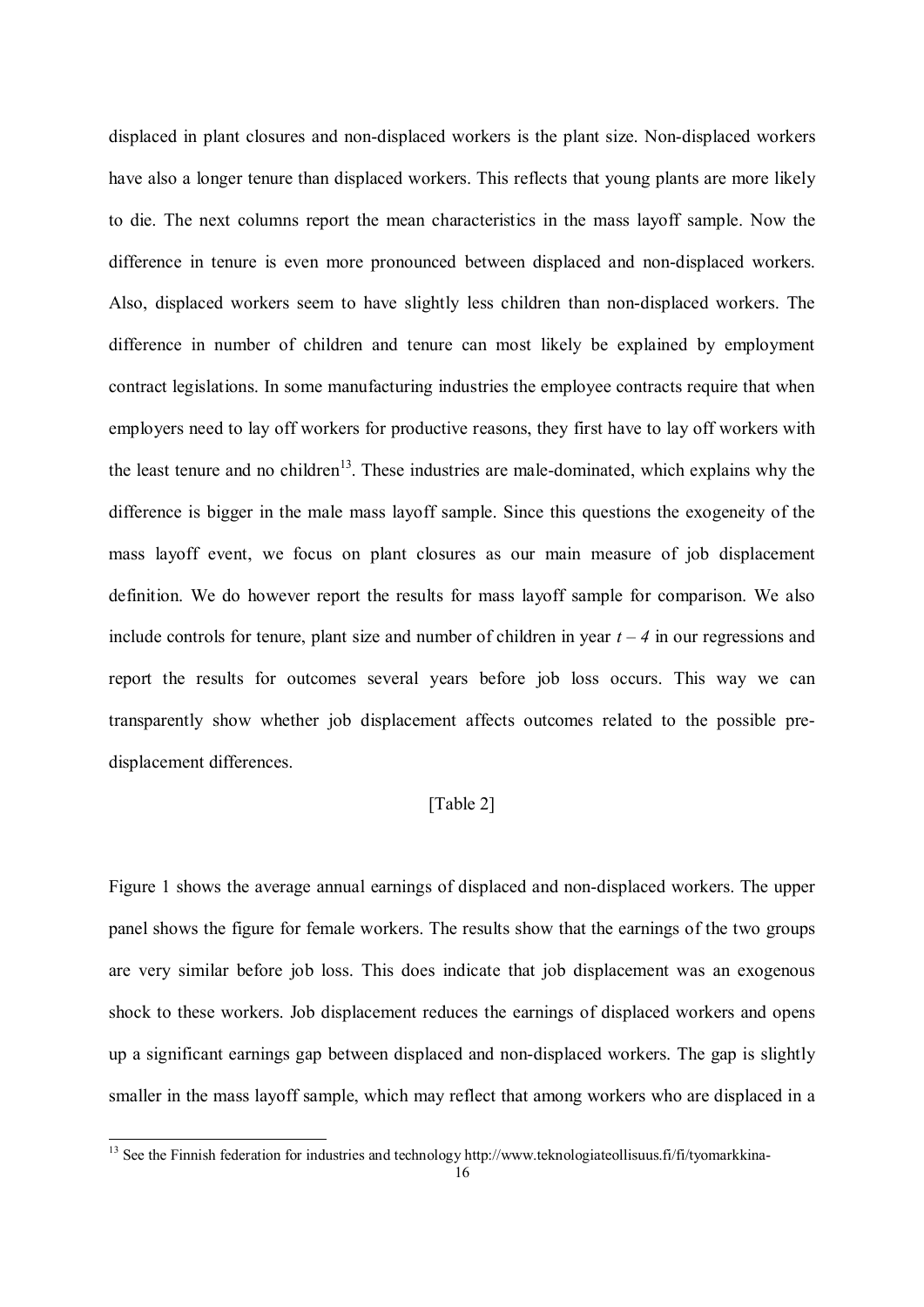displaced in plant closures and non-displaced workers is the plant size. Non-displaced workers have also a longer tenure than displaced workers. This reflects that young plants are more likely to die. The next columns report the mean characteristics in the mass layoff sample. Now the difference in tenure is even more pronounced between displaced and non-displaced workers. Also, displaced workers seem to have slightly less children than non-displaced workers. The difference in number of children and tenure can most likely be explained by employment contract legislations. In some manufacturing industries the employee contracts require that when employers need to lay off workers for productive reasons, they first have to lay off workers with the least tenure and no children<sup>13</sup>. These industries are male-dominated, which explains why the difference is bigger in the male mass layoff sample. Since this questions the exogeneity of the mass layoff event, we focus on plant closures as our main measure of job displacement definition. We do however report the results for mass layoff sample for comparison. We also include controls for tenure, plant size and number of children in year  $t - 4$  in our regressions and report the results for outcomes several years before job loss occurs. This way we can transparently show whether job displacement affects outcomes related to the possible predisplacement differences.

#### [Table 2]

Figure 1 shows the average annual earnings of displaced and non-displaced workers. The upper panel shows the figure for female workers. The results show that the earnings of the two groups are very similar before job loss. This does indicate that job displacement was an exogenous shock to these workers. Job displacement reduces the earnings of displaced workers and opens up a significant earnings gap between displaced and non-displaced workers. The gap is slightly smaller in the mass layoff sample, which may reflect that among workers who are displaced in a

<sup>&</sup>lt;sup>13</sup> See the Finnish federation for industries and technology http://www.teknologiateollisuus.fi/fi/tyomarkkina-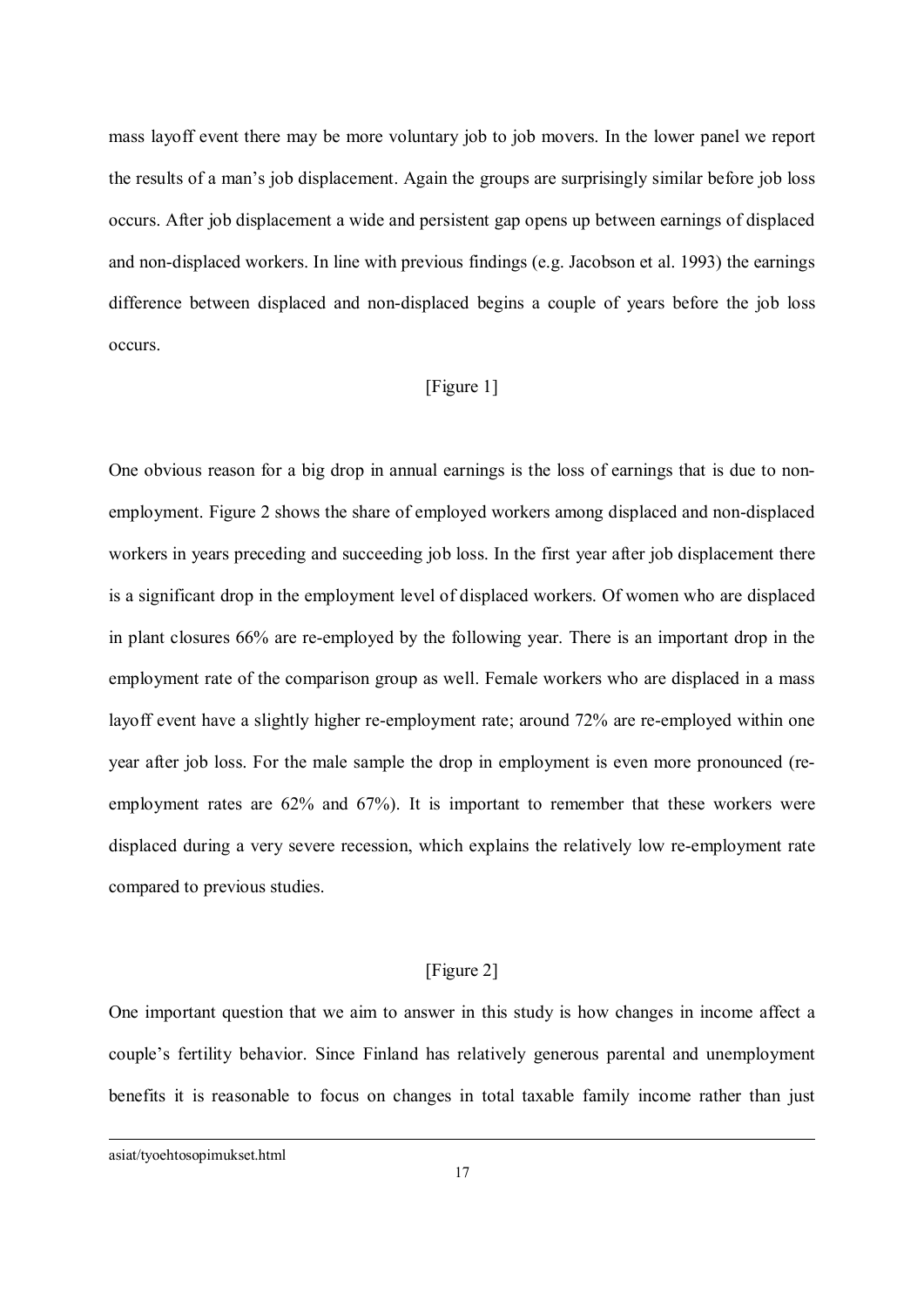mass layoff event there may be more voluntary job to job movers. In the lower panel we report the results of a man's job displacement. Again the groups are surprisingly similar before job loss occurs. After job displacement a wide and persistent gap opens up between earnings of displaced and non-displaced workers. In line with previous findings (e.g. Jacobson et al. 1993) the earnings difference between displaced and non-displaced begins a couple of years before the job loss occurs.

### [Figure 1]

One obvious reason for a big drop in annual earnings is the loss of earnings that is due to nonemployment. Figure 2 shows the share of employed workers among displaced and non-displaced workers in years preceding and succeeding job loss. In the first year after job displacement there is a significant drop in the employment level of displaced workers. Of women who are displaced in plant closures 66% are re-employed by the following year. There is an important drop in the employment rate of the comparison group as well. Female workers who are displaced in a mass layoff event have a slightly higher re-employment rate; around 72% are re-employed within one year after job loss. For the male sample the drop in employment is even more pronounced (reemployment rates are 62% and 67%). It is important to remember that these workers were displaced during a very severe recession, which explains the relatively low re-employment rate compared to previous studies.

#### [Figure 2]

One important question that we aim to answer in this study is how changes in income affect a couple's fertility behavior. Since Finland has relatively generous parental and unemployment benefits it is reasonable to focus on changes in total taxable family income rather than just

asiat/tyoehtosopimukset.html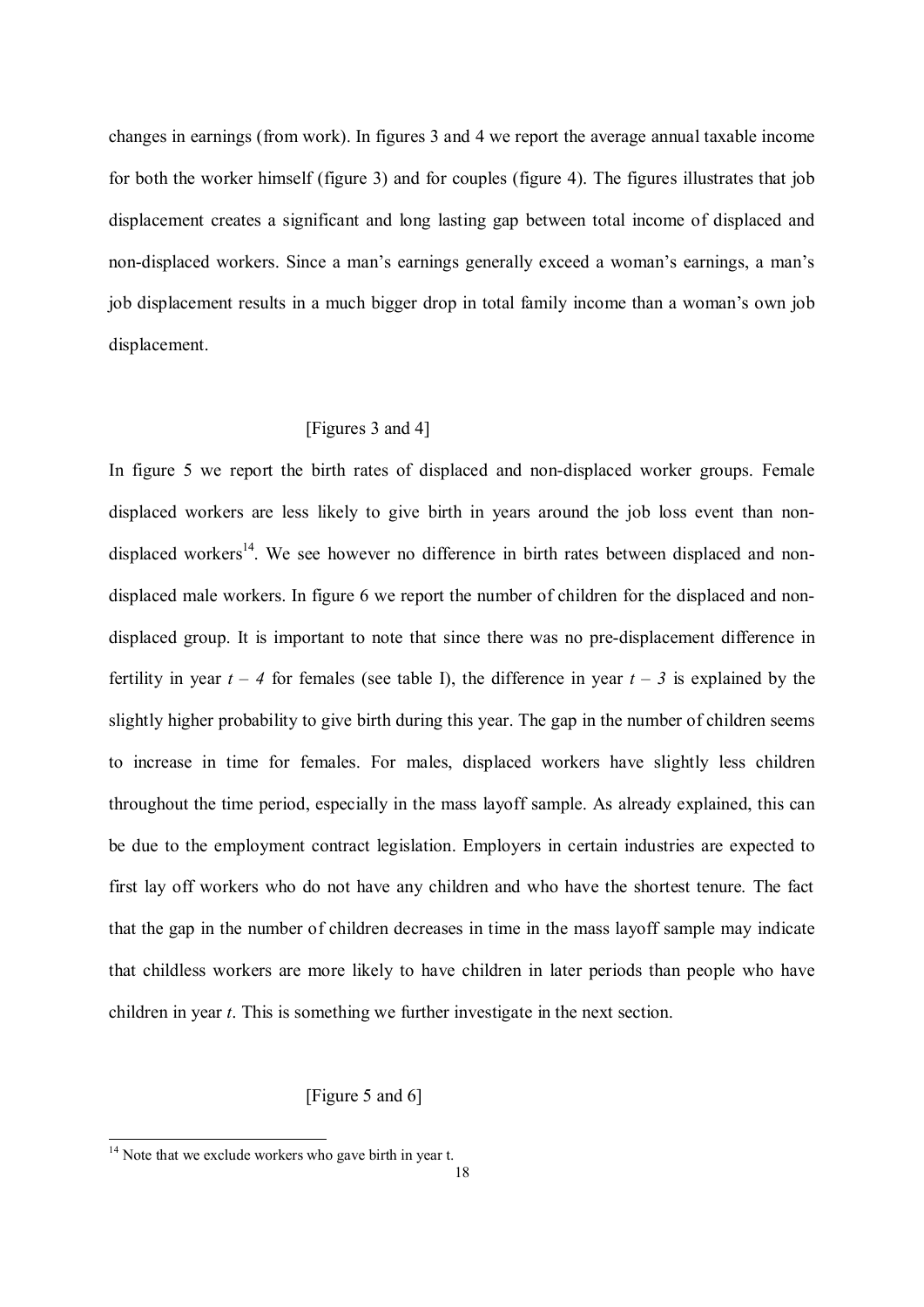changes in earnings (from work). In figures 3 and 4 we report the average annual taxable income for both the worker himself (figure 3) and for couples (figure 4). The figures illustrates that job displacement creates a significant and long lasting gap between total income of displaced and non-displaced workers. Since a man's earnings generally exceed a woman's earnings, a man's job displacement results in a much bigger drop in total family income than a woman's own job displacement.

#### [Figures 3 and 4]

In figure 5 we report the birth rates of displaced and non-displaced worker groups. Female displaced workers are less likely to give birth in years around the job loss event than nondisplaced workers<sup>14</sup>. We see however no difference in birth rates between displaced and nondisplaced male workers. In figure 6 we report the number of children for the displaced and nondisplaced group. It is important to note that since there was no pre-displacement difference in fertility in year  $t - 4$  for females (see table I), the difference in year  $t - 3$  is explained by the slightly higher probability to give birth during this year. The gap in the number of children seems to increase in time for females. For males, displaced workers have slightly less children throughout the time period, especially in the mass layoff sample. As already explained, this can be due to the employment contract legislation. Employers in certain industries are expected to first lay off workers who do not have any children and who have the shortest tenure. The fact that the gap in the number of children decreases in time in the mass layoff sample may indicate that childless workers are more likely to have children in later periods than people who have children in year *t*. This is something we further investigate in the next section.

#### [Figure 5 and 6]

 $14$  Note that we exclude workers who gave birth in year t.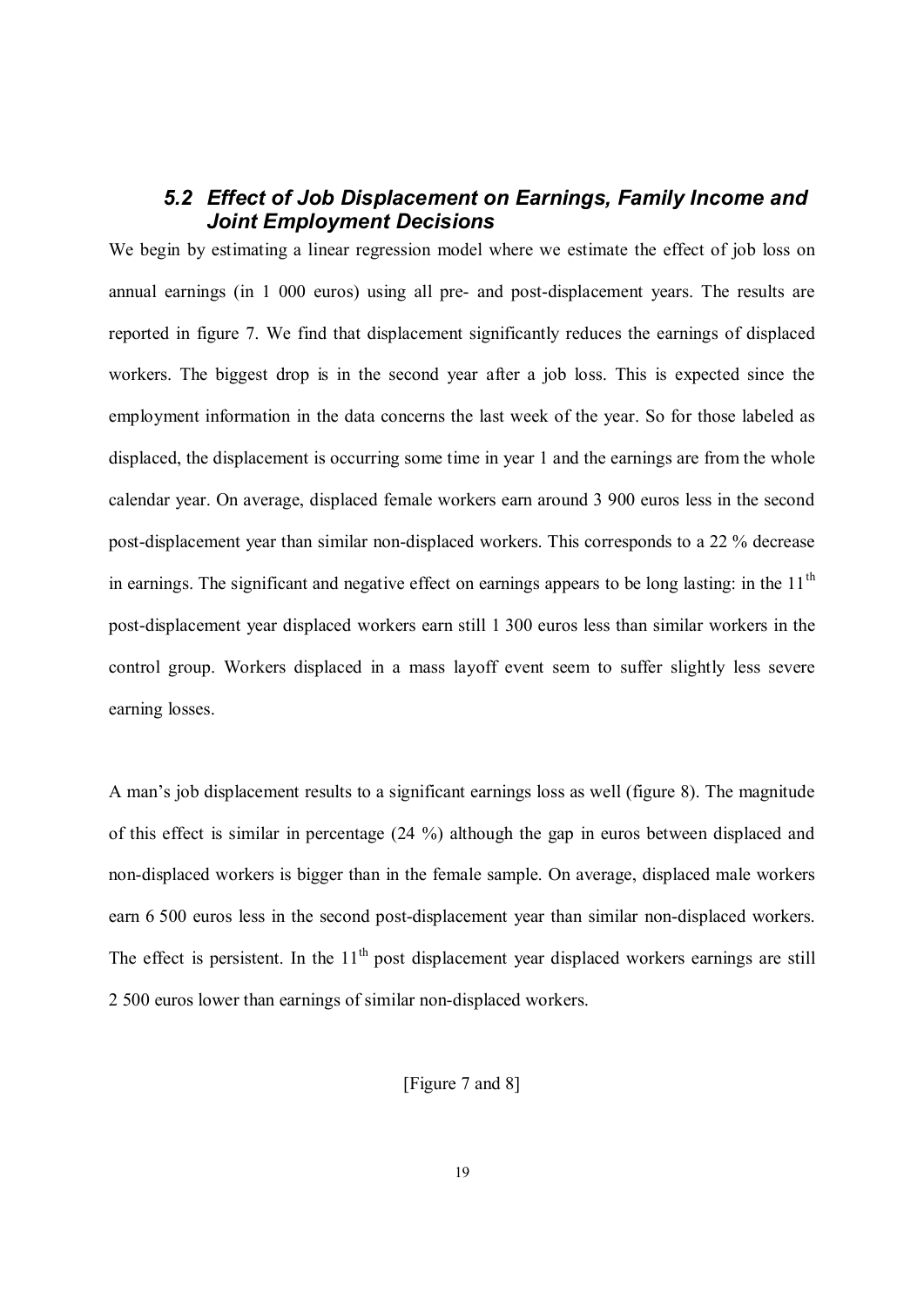### *5.2 Effect of Job Displacement on Earnings, Family Income and Joint Employment Decisions*

We begin by estimating a linear regression model where we estimate the effect of job loss on annual earnings (in 1 000 euros) using all pre- and post-displacement years. The results are reported in figure 7. We find that displacement significantly reduces the earnings of displaced workers. The biggest drop is in the second year after a job loss. This is expected since the employment information in the data concerns the last week of the year. So for those labeled as displaced, the displacement is occurring some time in year 1 and the earnings are from the whole calendar year. On average, displaced female workers earn around 3 900 euros less in the second post-displacement year than similar non-displaced workers. This corresponds to a 22 % decrease in earnings. The significant and negative effect on earnings appears to be long lasting: in the 11<sup>th</sup> post-displacement year displaced workers earn still 1 300 euros less than similar workers in the control group. Workers displaced in a mass layoff event seem to suffer slightly less severe earning losses.

A man's job displacement results to a significant earnings loss as well (figure 8). The magnitude of this effect is similar in percentage (24 %) although the gap in euros between displaced and non-displaced workers is bigger than in the female sample. On average, displaced male workers earn 6 500 euros less in the second post-displacement year than similar non-displaced workers. The effect is persistent. In the  $11<sup>th</sup>$  post displacement year displaced workers earnings are still 2 500 euros lower than earnings of similar non-displaced workers.

[Figure 7 and 8]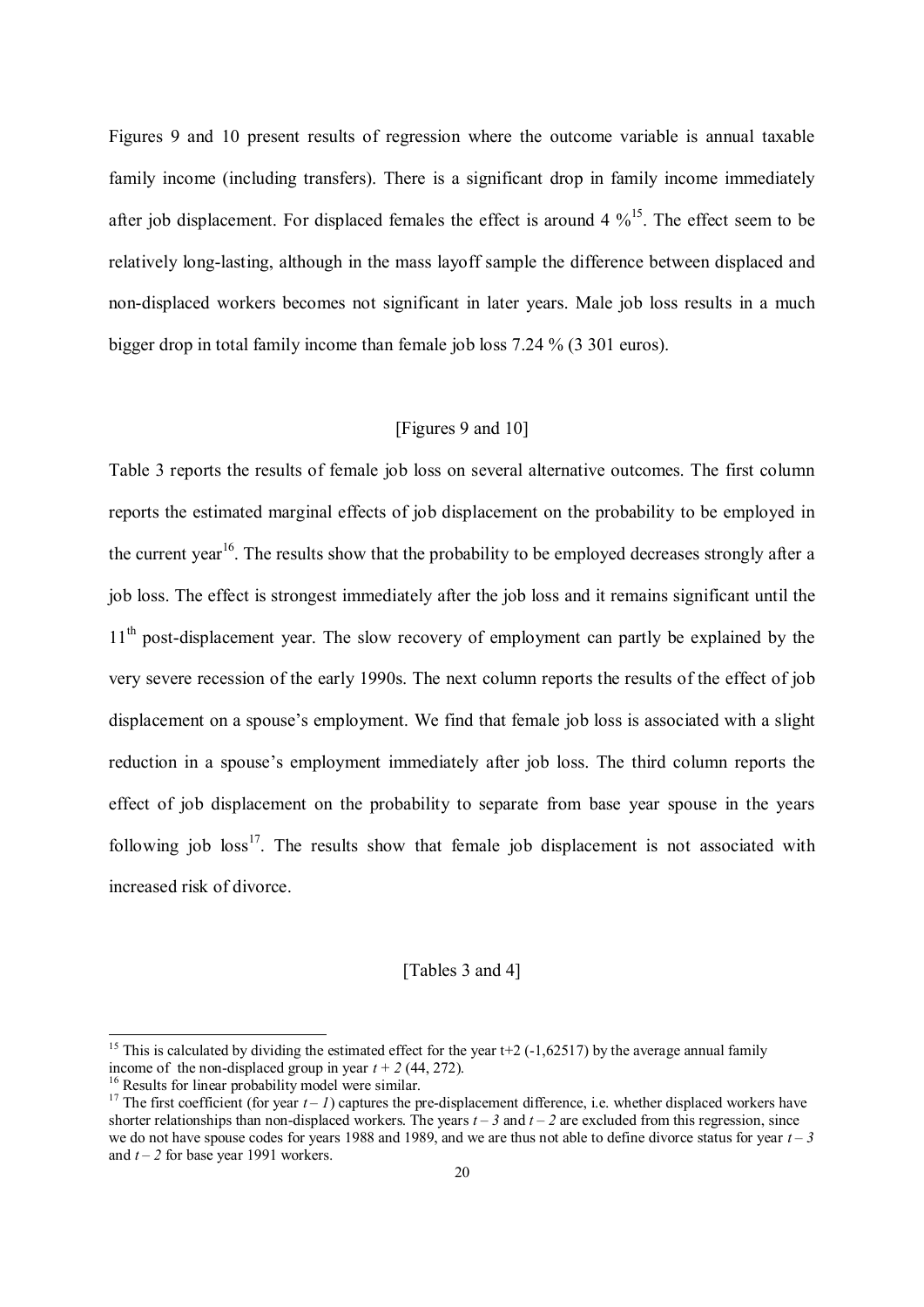Figures 9 and 10 present results of regression where the outcome variable is annual taxable family income (including transfers). There is a significant drop in family income immediately after job displacement. For displaced females the effect is around  $4\%^{15}$ . The effect seem to be relatively long-lasting, although in the mass layoff sample the difference between displaced and non-displaced workers becomes not significant in later years. Male job loss results in a much bigger drop in total family income than female job loss 7.24 % (3 301 euros).

#### [Figures 9 and 10]

Table 3 reports the results of female job loss on several alternative outcomes. The first column reports the estimated marginal effects of job displacement on the probability to be employed in the current year<sup>16</sup>. The results show that the probability to be employed decreases strongly after a job loss. The effect is strongest immediately after the job loss and it remains significant until the 11<sup>th</sup> post-displacement year. The slow recovery of employment can partly be explained by the very severe recession of the early 1990s. The next column reports the results of the effect of job displacement on a spouse's employment. We find that female job loss is associated with a slight reduction in a spouse's employment immediately after job loss. The third column reports the effect of job displacement on the probability to separate from base year spouse in the years following job  $loss^{17}$ . The results show that female job displacement is not associated with increased risk of divorce.

#### [Tables 3 and 4]

-

<sup>&</sup>lt;sup>15</sup> This is calculated by dividing the estimated effect for the year  $t+2$  (-1,62517) by the average annual family income of the non-displaced group in year  $t + 2$  (44, 272).

<sup>&</sup>lt;sup>16</sup> Results for linear probability model were similar.

<sup>&</sup>lt;sup>17</sup> The first coefficient (for year  $t - 1$ ) captures the pre-displacement difference, i.e. whether displaced workers have shorter relationships than non-displaced workers. The years  $t - 3$  and  $t - 2$  are excluded from this regression, since we do not have spouse codes for years 1988 and 1989, and we are thus not able to define divorce status for year *t – 3* and  $t - 2$  for base year 1991 workers.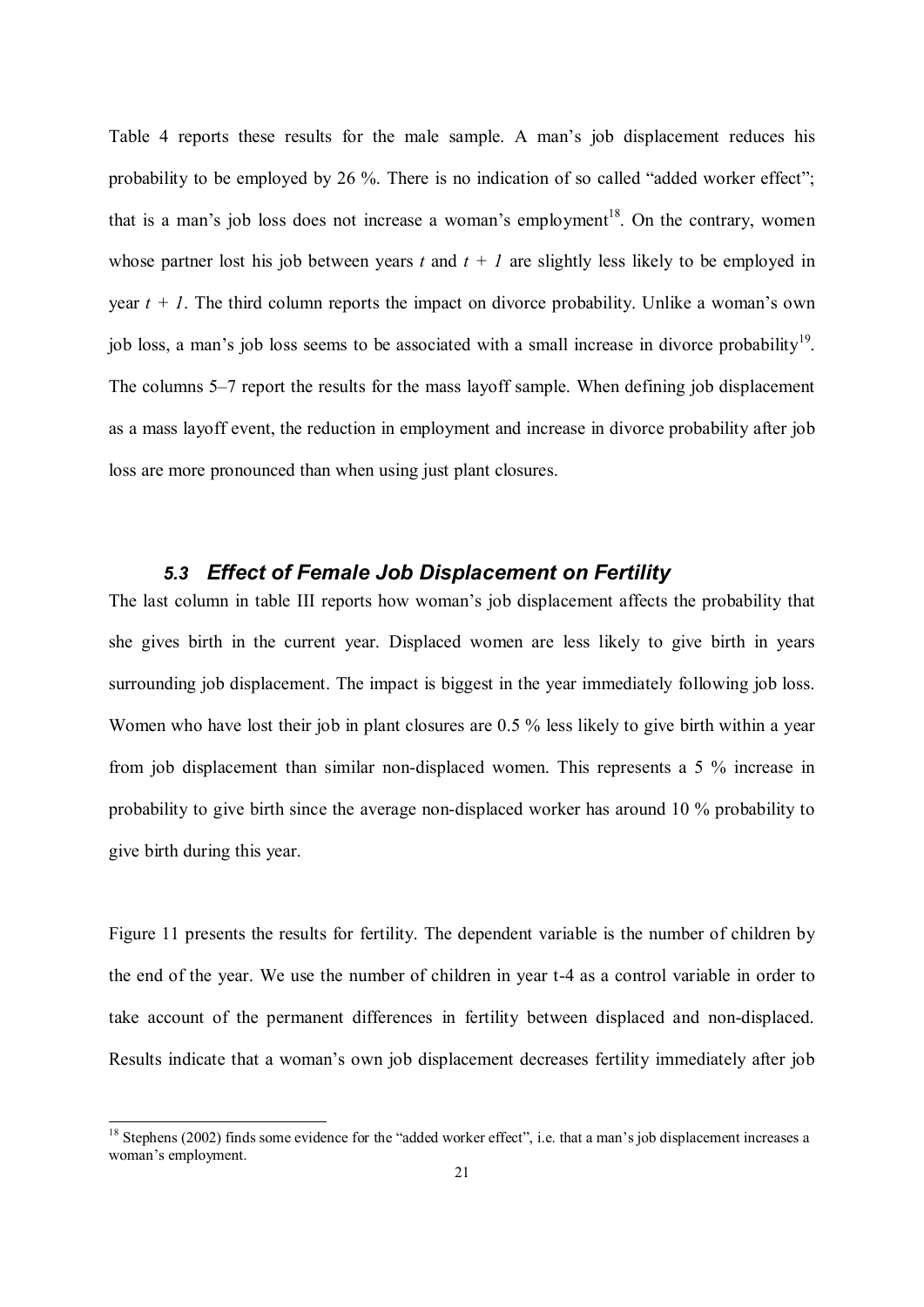Table 4 reports these results for the male sample. A man's job displacement reduces his probability to be employed by 26 %. There is no indication of so called "added worker effect"; that is a man's job loss does not increase a woman's employment<sup>18</sup>. On the contrary, women whose partner lost his job between years  $t$  and  $t + 1$  are slightly less likely to be employed in year  $t + 1$ . The third column reports the impact on divorce probability. Unlike a woman's own job loss, a man's job loss seems to be associated with a small increase in divorce probability<sup>19</sup>. The columns 5*–*7 report the results for the mass layoff sample. When defining job displacement as a mass layoff event, the reduction in employment and increase in divorce probability after job loss are more pronounced than when using just plant closures.

### *5.3 Effect of Female Job Displacement on Fertility*

The last column in table III reports how woman's job displacement affects the probability that she gives birth in the current year. Displaced women are less likely to give birth in years surrounding job displacement. The impact is biggest in the year immediately following job loss. Women who have lost their job in plant closures are 0.5 % less likely to give birth within a year from job displacement than similar non-displaced women. This represents a 5 % increase in probability to give birth since the average non-displaced worker has around 10 % probability to give birth during this year.

Figure 11 presents the results for fertility. The dependent variable is the number of children by the end of the year. We use the number of children in year t-4 as a control variable in order to take account of the permanent differences in fertility between displaced and non-displaced. Results indicate that a woman's own job displacement decreases fertility immediately after job

 $\overline{a}$ 

 $18$  Stephens (2002) finds some evidence for the "added worker effect", i.e. that a man's job displacement increases a woman's employment.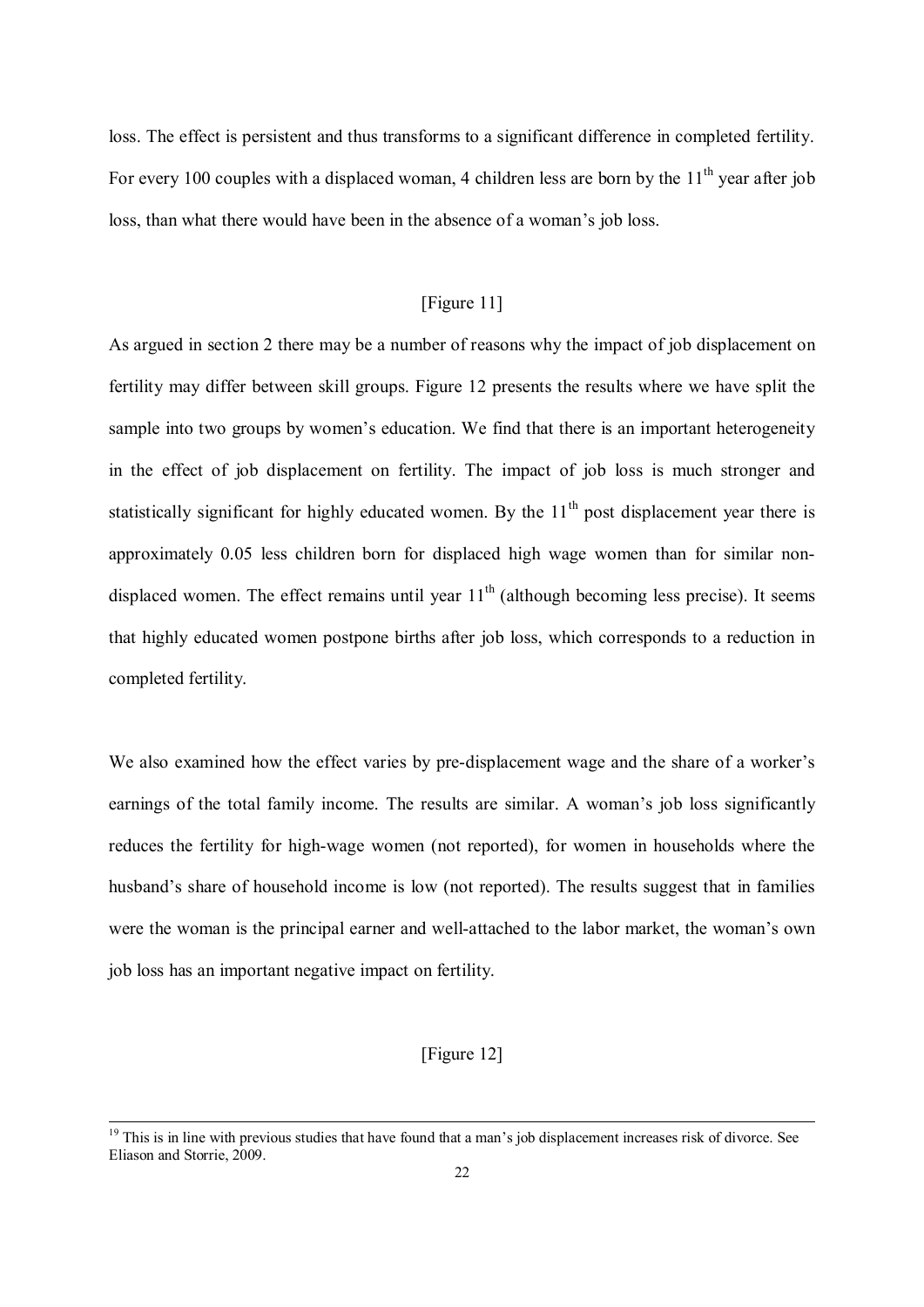loss. The effect is persistent and thus transforms to a significant difference in completed fertility. For every 100 couples with a displaced woman, 4 children less are born by the  $11<sup>th</sup>$  vear after iob loss, than what there would have been in the absence of a woman's job loss.

#### [Figure 11]

As argued in section 2 there may be a number of reasons why the impact of job displacement on fertility may differ between skill groups. Figure 12 presents the results where we have split the sample into two groups by women's education. We find that there is an important heterogeneity in the effect of job displacement on fertility. The impact of job loss is much stronger and statistically significant for highly educated women. By the  $11<sup>th</sup>$  post displacement year there is approximately 0.05 less children born for displaced high wage women than for similar nondisplaced women. The effect remains until year  $11<sup>th</sup>$  (although becoming less precise). It seems that highly educated women postpone births after job loss, which corresponds to a reduction in completed fertility.

We also examined how the effect varies by pre-displacement wage and the share of a worker's earnings of the total family income. The results are similar. A woman's job loss significantly reduces the fertility for high-wage women (not reported), for women in households where the husband's share of household income is low (not reported). The results suggest that in families were the woman is the principal earner and well-attached to the labor market, the woman's own job loss has an important negative impact on fertility.

#### [Figure 12]

 $\overline{a}$ 

 $19$  This is in line with previous studies that have found that a man's job displacement increases risk of divorce. See Eliason and Storrie, 2009.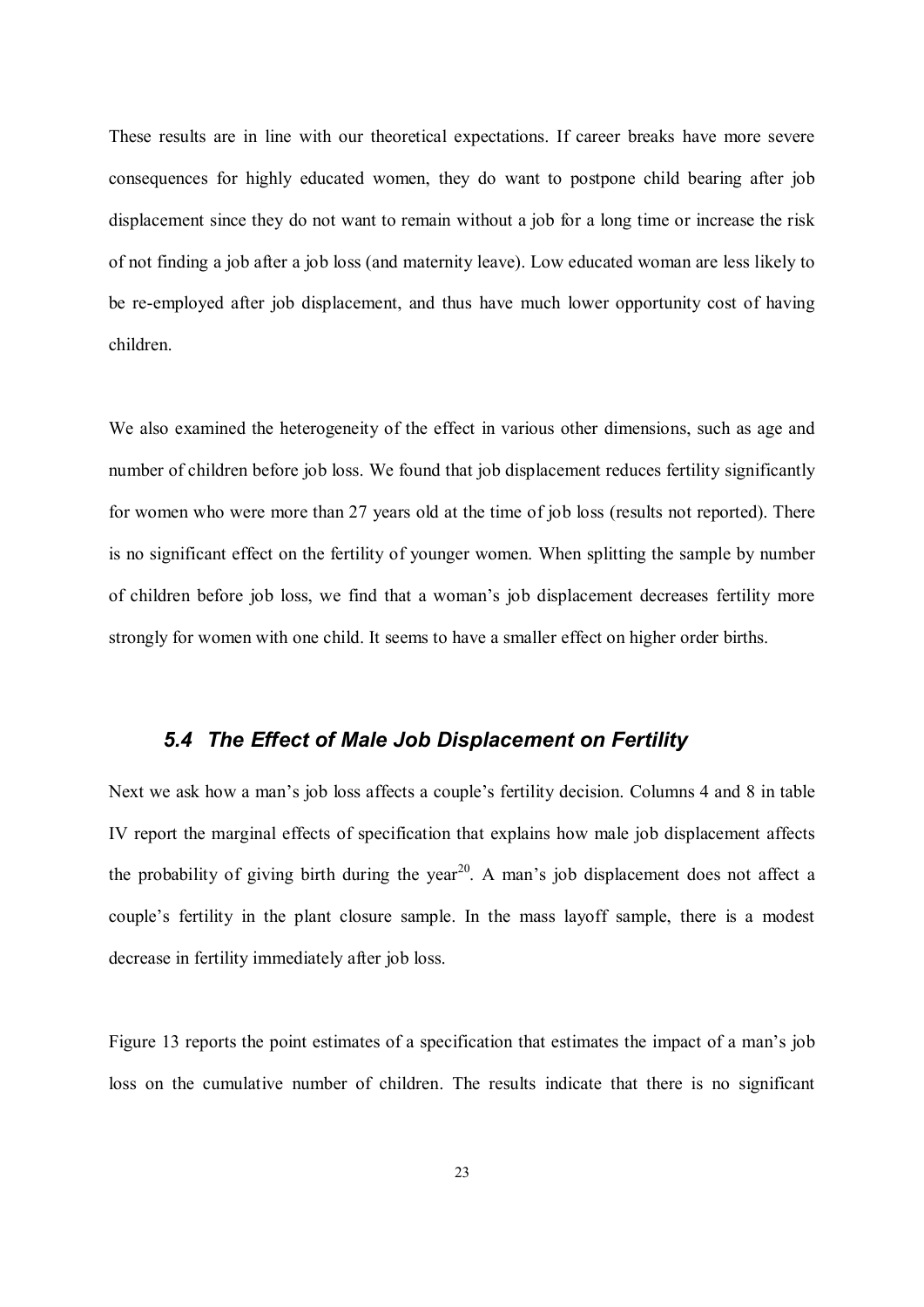These results are in line with our theoretical expectations. If career breaks have more severe consequences for highly educated women, they do want to postpone child bearing after job displacement since they do not want to remain without a job for a long time or increase the risk of not finding a job after a job loss (and maternity leave). Low educated woman are less likely to be re-employed after job displacement, and thus have much lower opportunity cost of having children.

We also examined the heterogeneity of the effect in various other dimensions, such as age and number of children before job loss. We found that job displacement reduces fertility significantly for women who were more than 27 years old at the time of job loss (results not reported). There is no significant effect on the fertility of younger women. When splitting the sample by number of children before job loss, we find that a woman's job displacement decreases fertility more strongly for women with one child. It seems to have a smaller effect on higher order births.

### *5.4 The Effect of Male Job Displacement on Fertility*

Next we ask how a man's job loss affects a couple's fertility decision. Columns 4 and 8 in table IV report the marginal effects of specification that explains how male job displacement affects the probability of giving birth during the year<sup>20</sup>. A man's job displacement does not affect a couple's fertility in the plant closure sample. In the mass layoff sample, there is a modest decrease in fertility immediately after job loss.

Figure 13 reports the point estimates of a specification that estimates the impact of a man's job loss on the cumulative number of children. The results indicate that there is no significant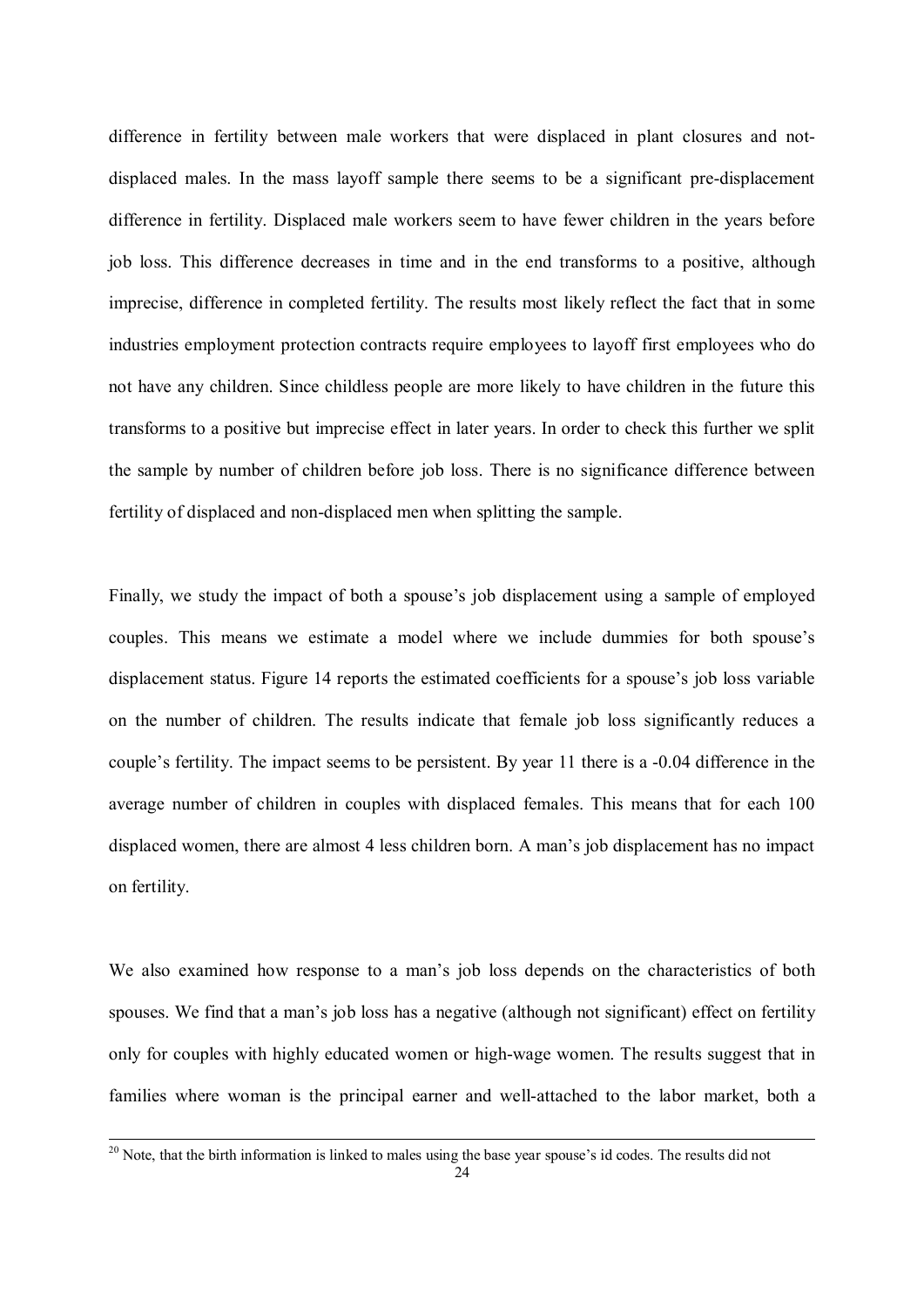difference in fertility between male workers that were displaced in plant closures and notdisplaced males. In the mass layoff sample there seems to be a significant pre-displacement difference in fertility. Displaced male workers seem to have fewer children in the years before job loss. This difference decreases in time and in the end transforms to a positive, although imprecise, difference in completed fertility. The results most likely reflect the fact that in some industries employment protection contracts require employees to layoff first employees who do not have any children. Since childless people are more likely to have children in the future this transforms to a positive but imprecise effect in later years. In order to check this further we split the sample by number of children before job loss. There is no significance difference between fertility of displaced and non-displaced men when splitting the sample.

Finally, we study the impact of both a spouse's job displacement using a sample of employed couples. This means we estimate a model where we include dummies for both spouse's displacement status. Figure 14 reports the estimated coefficients for a spouse's job loss variable on the number of children. The results indicate that female job loss significantly reduces a couple's fertility. The impact seems to be persistent. By year 11 there is a -0.04 difference in the average number of children in couples with displaced females. This means that for each 100 displaced women, there are almost 4 less children born. A man's job displacement has no impact on fertility.

We also examined how response to a man's job loss depends on the characteristics of both spouses. We find that a man's job loss has a negative (although not significant) effect on fertility only for couples with highly educated women or high-wage women. The results suggest that in families where woman is the principal earner and well-attached to the labor market, both a

 $20$  Note, that the birth information is linked to males using the base year spouse's id codes. The results did not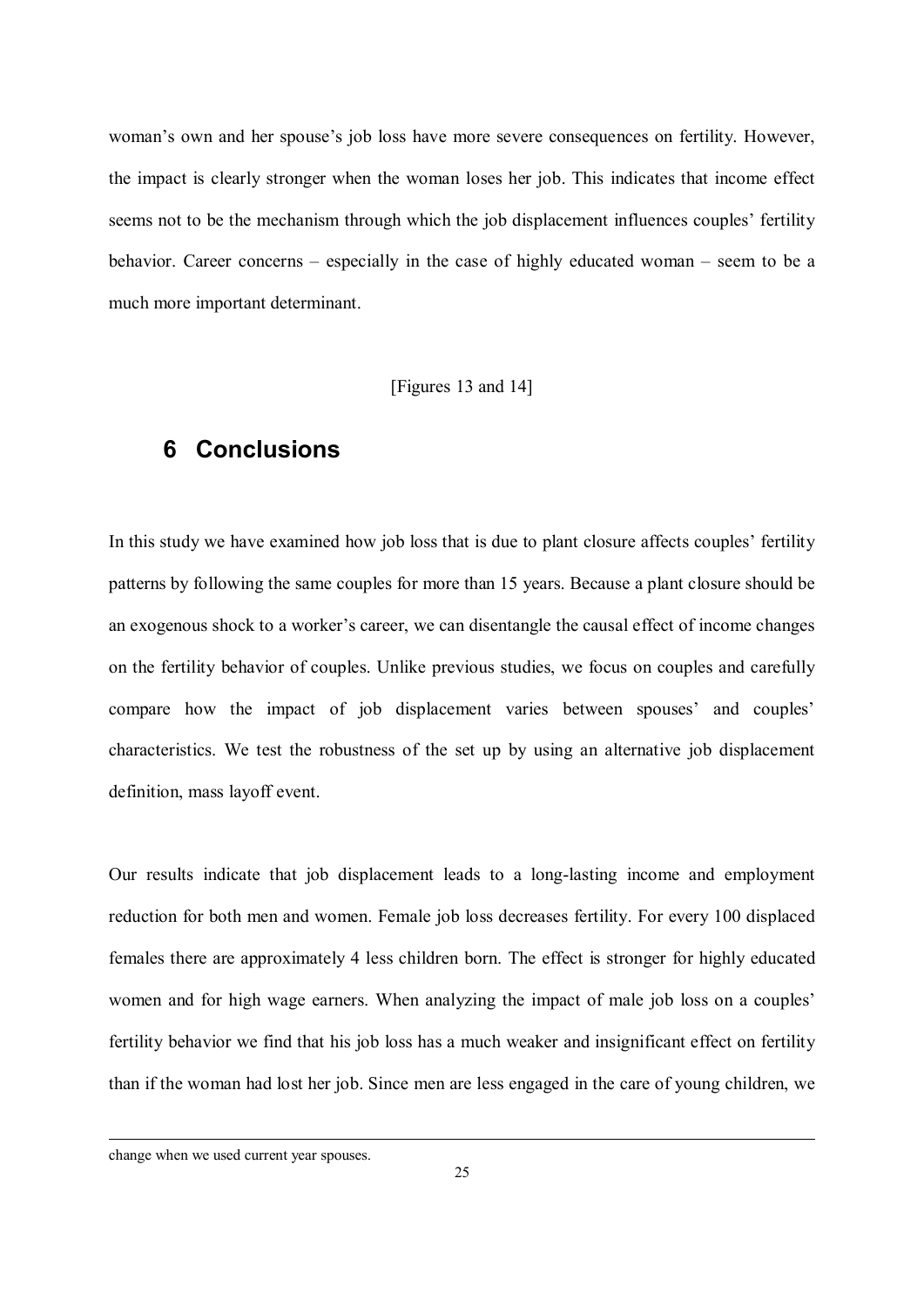woman's own and her spouse's job loss have more severe consequences on fertility. However, the impact is clearly stronger when the woman loses her job. This indicates that income effect seems not to be the mechanism through which the job displacement influences couples' fertility behavior. Career concerns *–* especially in the case of highly educated woman *–* seem to be a much more important determinant.

[Figures 13 and 14]

# **6 Conclusions**

In this study we have examined how job loss that is due to plant closure affects couples' fertility patterns by following the same couples for more than 15 years. Because a plant closure should be an exogenous shock to a worker's career, we can disentangle the causal effect of income changes on the fertility behavior of couples. Unlike previous studies, we focus on couples and carefully compare how the impact of job displacement varies between spouses' and couples' characteristics. We test the robustness of the set up by using an alternative job displacement definition, mass layoff event.

Our results indicate that job displacement leads to a long-lasting income and employment reduction for both men and women. Female job loss decreases fertility. For every 100 displaced females there are approximately 4 less children born. The effect is stronger for highly educated women and for high wage earners. When analyzing the impact of male job loss on a couples' fertility behavior we find that his job loss has a much weaker and insignificant effect on fertility than if the woman had lost her job. Since men are less engaged in the care of young children, we

change when we used current year spouses.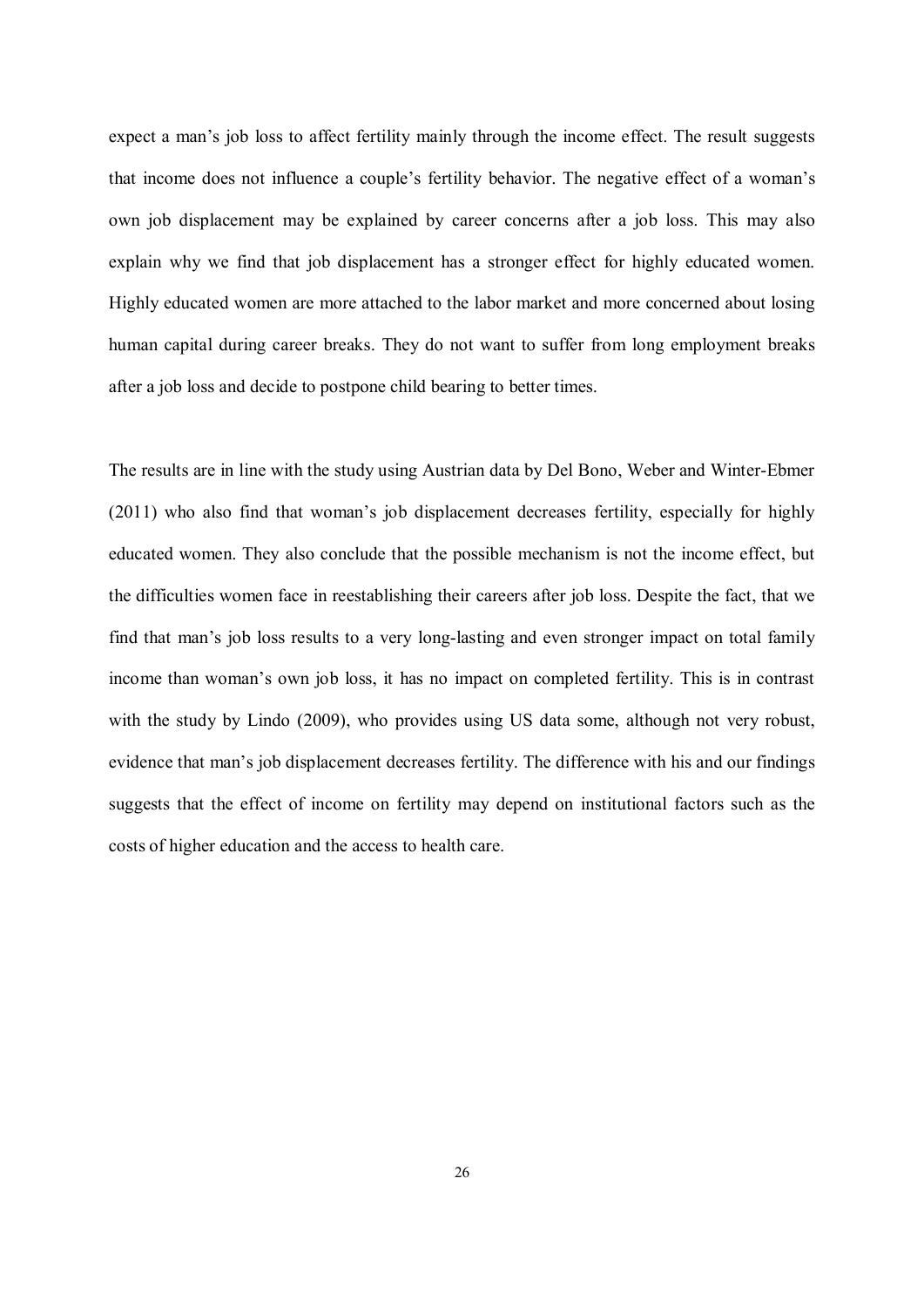expect a man's job loss to affect fertility mainly through the income effect. The result suggests that income does not influence a couple's fertility behavior. The negative effect of a woman's own job displacement may be explained by career concerns after a job loss. This may also explain why we find that job displacement has a stronger effect for highly educated women. Highly educated women are more attached to the labor market and more concerned about losing human capital during career breaks. They do not want to suffer from long employment breaks after a job loss and decide to postpone child bearing to better times.

The results are in line with the study using Austrian data by Del Bono, Weber and Winter-Ebmer (2011) who also find that woman's job displacement decreases fertility, especially for highly educated women. They also conclude that the possible mechanism is not the income effect, but the difficulties women face in reestablishing their careers after job loss. Despite the fact, that we find that man's job loss results to a very long-lasting and even stronger impact on total family income than woman's own job loss, it has no impact on completed fertility. This is in contrast with the study by Lindo (2009), who provides using US data some, although not very robust, evidence that man's job displacement decreases fertility. The difference with his and our findings suggests that the effect of income on fertility may depend on institutional factors such as the costs of higher education and the access to health care.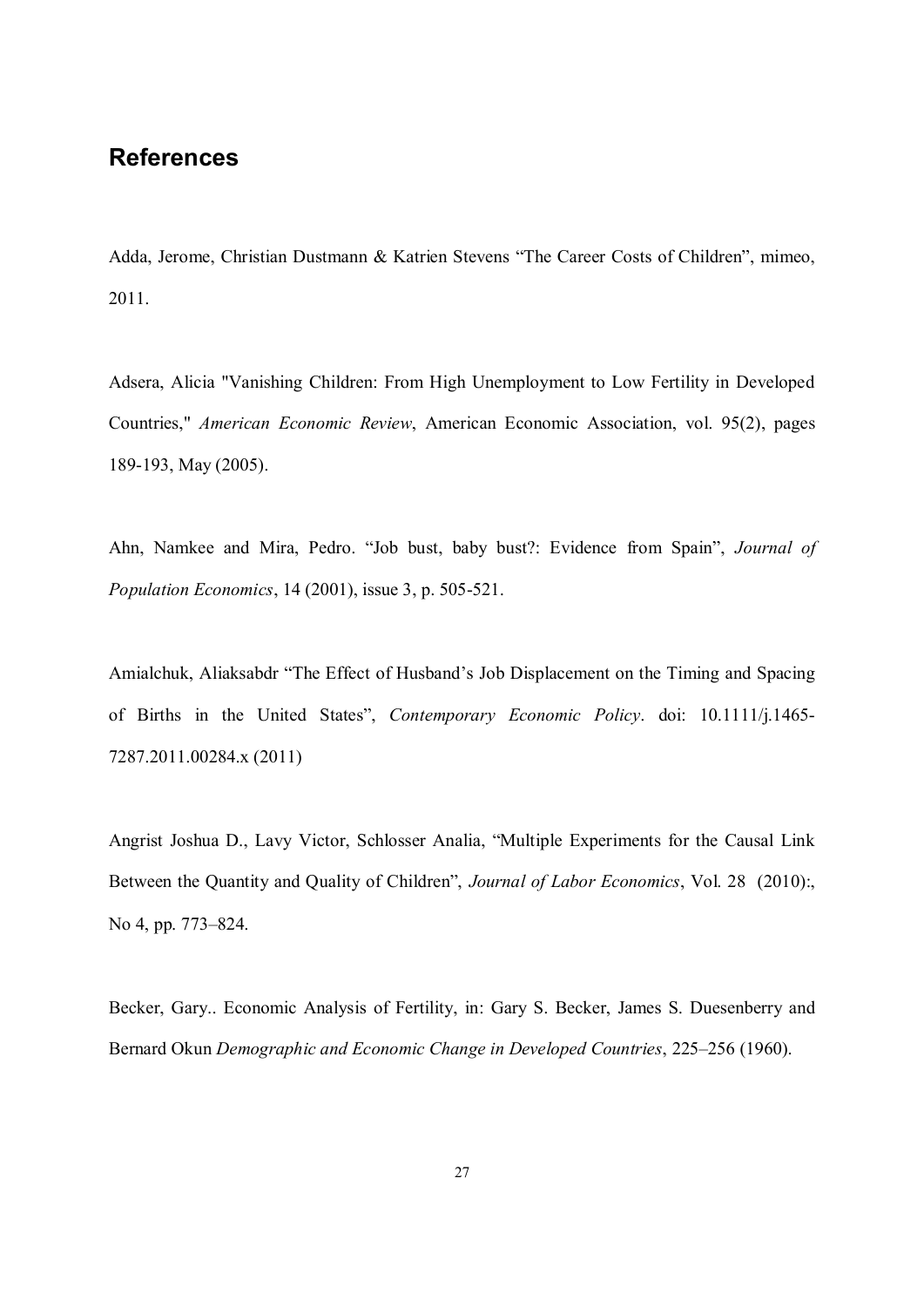## **References**

Adda, Jerome, Christian Dustmann & Katrien Stevens "The Career Costs of Children", mimeo, 2011.

Adsera, Alicia "Vanishing Children: From High Unemployment to Low Fertility in Developed Countries," *American Economic Review*, American Economic Association, vol. 95(2), pages 189-193, May (2005).

Ahn, Namkee and Mira, Pedro. "Job bust, baby bust?: Evidence from Spain", *Journal of Population Economics*, 14 (2001), issue 3, p. 505-521.

Amialchuk, Aliaksabdr "The Effect of Husband's Job Displacement on the Timing and Spacing of Births in the United States", *Contemporary Economic Policy*. doi: 10.1111/j.1465- 7287.2011.00284.x (2011)

Angrist Joshua D., Lavy Victor, Schlosser Analia, "Multiple Experiments for the Causal Link Between the Quantity and Quality of Children", *Journal of Labor Economics*, Vol. 28 (2010):, No 4, pp. 773–824.

Becker, Gary.. Economic Analysis of Fertility, in: Gary S. Becker, James S. Duesenberry and Bernard Okun *Demographic and Economic Change in Developed Countries*, 225–256 (1960).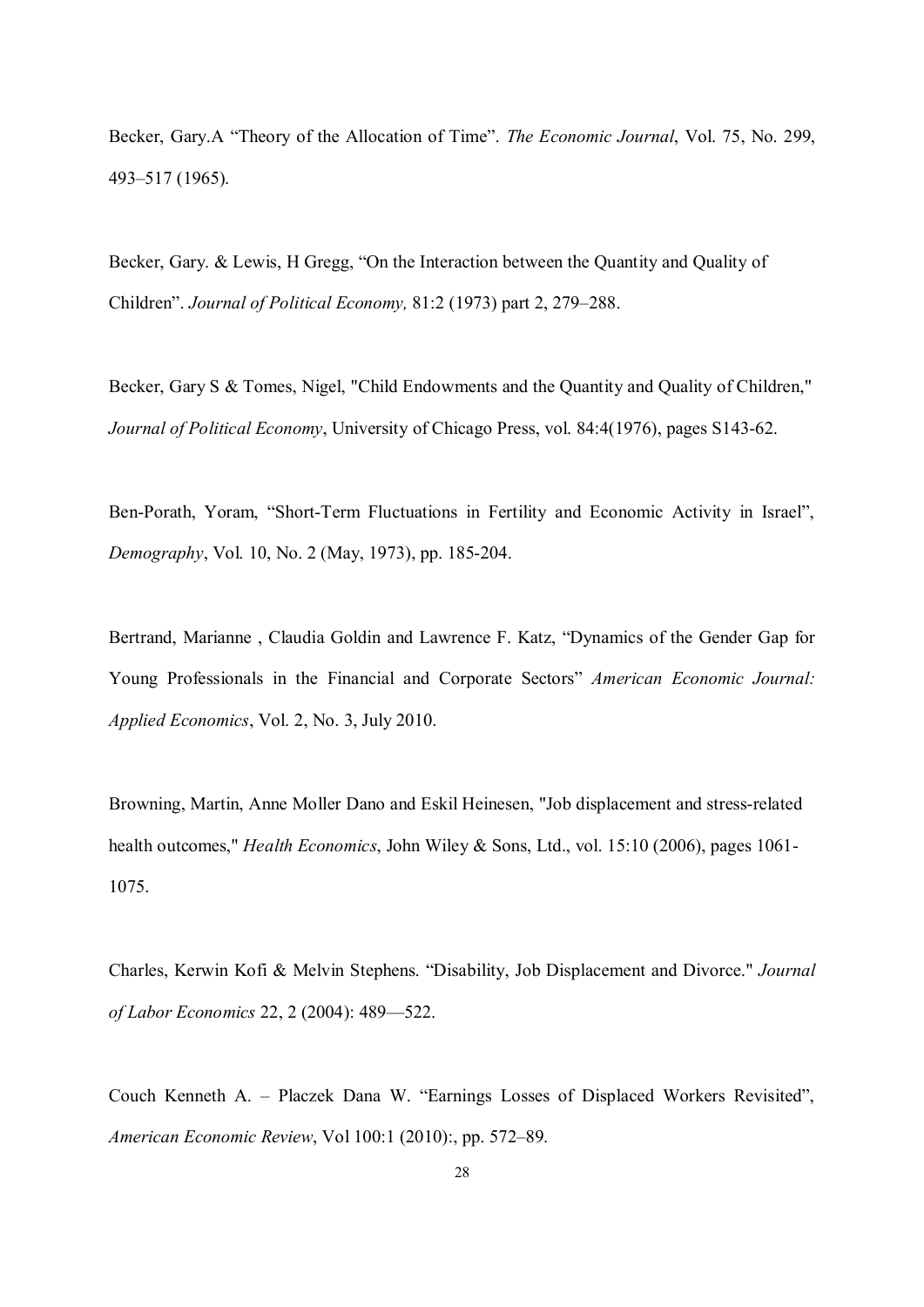Becker, Gary.A "Theory of the Allocation of Time". *The Economic Journal*, Vol. 75, No. 299, 493–517 (1965).

Becker, Gary. & Lewis, H Gregg, "On the Interaction between the Quantity and Quality of Children". *Journal of Political Economy,* 81:2 (1973) part 2, 279–288.

Becker, Gary S & Tomes, Nigel, "Child Endowments and the Quantity and Quality of Children," *Journal of Political Economy*, University of Chicago Press, vol. 84:4(1976), pages S143-62.

Ben-Porath, Yoram, "Short-Term Fluctuations in Fertility and Economic Activity in Israel", *Demography*, Vol. 10, No. 2 (May, 1973), pp. 185-204.

Bertrand, Marianne , Claudia Goldin and Lawrence F. Katz, "Dynamics of the Gender Gap for Young Professionals in the Financial and Corporate Sectors" *American Economic Journal: Applied Economics*, Vol. 2, No. 3, July 2010.

Browning, Martin, Anne Moller Dano and Eskil Heinesen, "Job displacement and stress-related health outcomes," *Health Economics*, John Wiley & Sons, Ltd., vol. 15:10 (2006), pages 1061- 1075.

Charles, Kerwin Kofi & Melvin Stephens. "Disability, Job Displacement and Divorce." *Journal of Labor Economics* 22, 2 (2004): 489—522.

Couch Kenneth A. – Placzek Dana W. "Earnings Losses of Displaced Workers Revisited", *American Economic Review*, Vol 100:1 (2010):, pp. 572–89.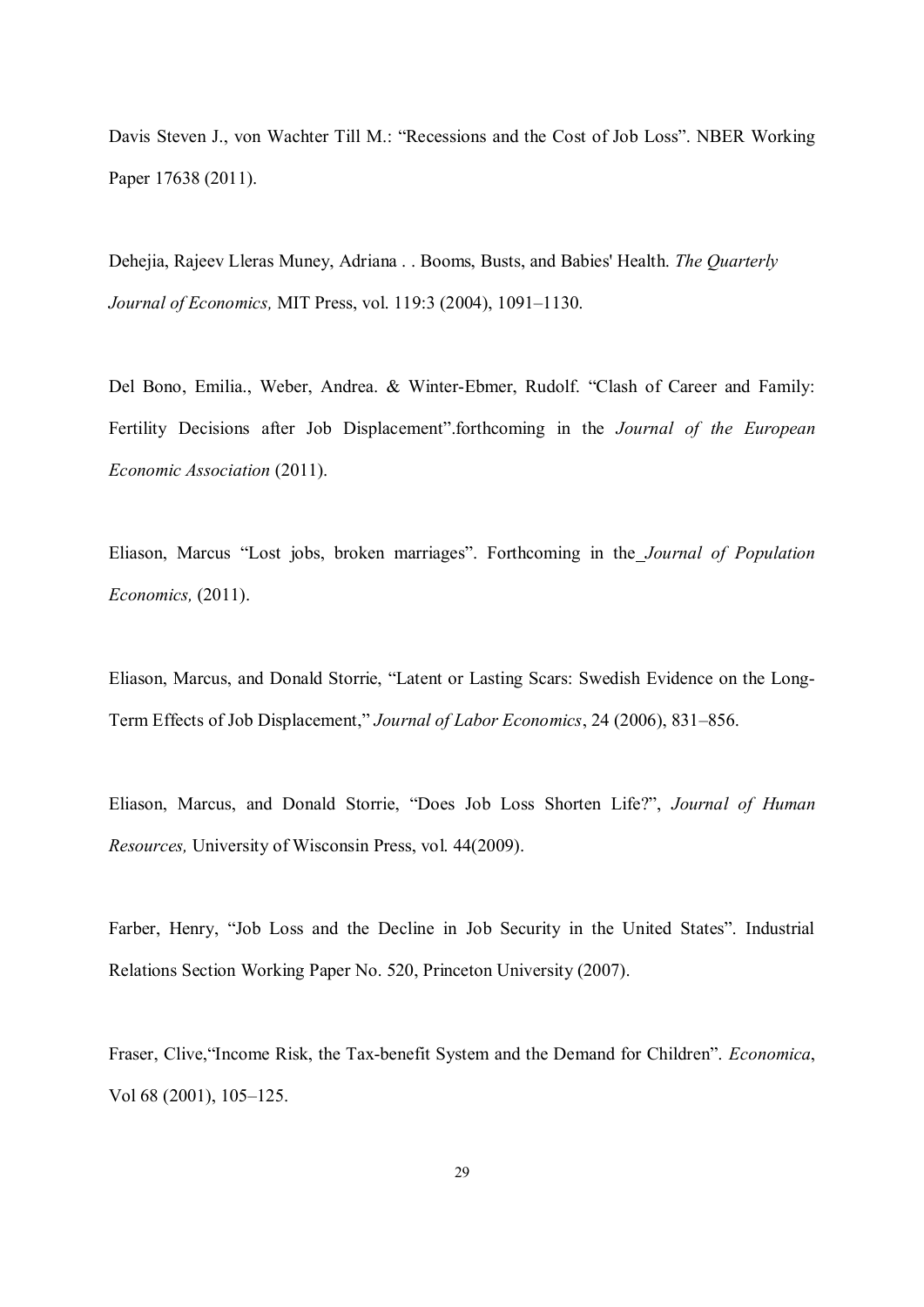Davis Steven J., von Wachter Till M.: "Recessions and the Cost of Job Loss". NBER Working Paper 17638 (2011).

Dehejia, Rajeev Lleras Muney, Adriana . . Booms, Busts, and Babies' Health. *The Quarterly Journal of Economics,* MIT Press, vol. 119:3 (2004), 1091–1130.

Del Bono, Emilia., Weber, Andrea. & Winter-Ebmer, Rudolf. "Clash of Career and Family: Fertility Decisions after Job Displacement".forthcoming in the *Journal of the European Economic Association* (2011).

Eliason, Marcus "Lost jobs, broken marriages". Forthcoming in the *Journal of Population Economics,* (2011).

Eliason, Marcus, and Donald Storrie, "Latent or Lasting Scars: Swedish Evidence on the Long-Term Effects of Job Displacement," *Journal of Labor Economics*, 24 (2006), 831–856.

Eliason, Marcus, and Donald Storrie, "Does Job Loss Shorten Life?", *Journal of Human Resources,* University of Wisconsin Press, vol. 44(2009).

Farber, Henry, "Job Loss and the Decline in Job Security in the United States". Industrial Relations Section Working Paper No. 520, Princeton University (2007).

Fraser, Clive,"Income Risk, the Tax-benefit System and the Demand for Children". *Economica*, Vol 68 (2001), 105–125.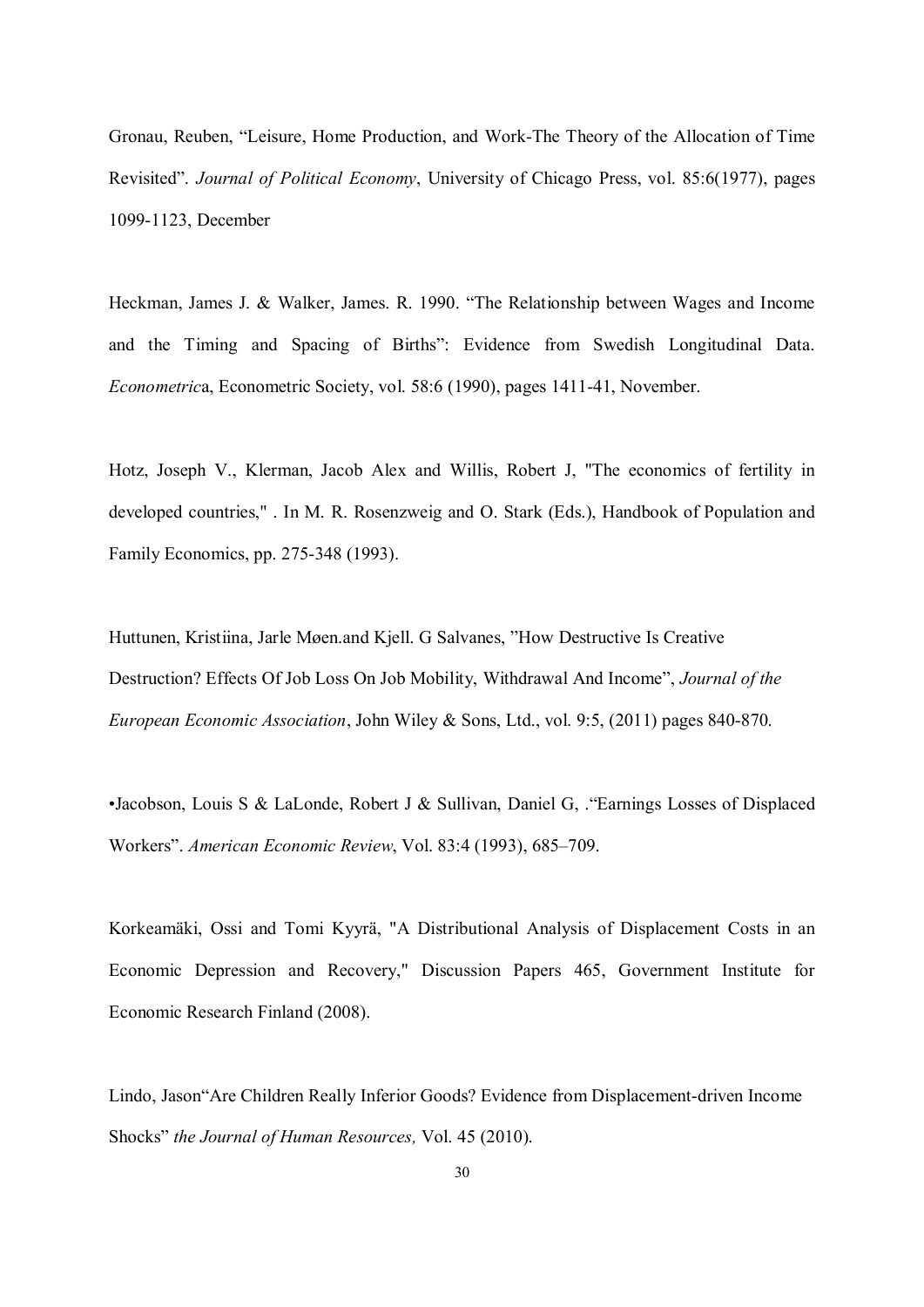Gronau, Reuben, "Leisure, Home Production, and Work-The Theory of the Allocation of Time Revisited". *Journal of Political Economy*, University of Chicago Press, vol. 85:6(1977), pages 1099-1123, December

Heckman, James J. & Walker, James. R. 1990. "The Relationship between Wages and Income and the Timing and Spacing of Births": Evidence from Swedish Longitudinal Data. *Econometric*a, Econometric Society, vol. 58:6 (1990), pages 1411-41, November.

Hotz, Joseph V., Klerman, Jacob Alex and Willis, Robert J, "The economics of fertility in developed countries," . In M. R. Rosenzweig and O. Stark (Eds.), Handbook of Population and Family Economics, pp. 275-348 (1993).

Huttunen, Kristiina, Jarle Møen.and Kjell. G Salvanes, "How Destructive Is Creative Destruction? Effects Of Job Loss On Job Mobility, Withdrawal And Income", *Journal of the European Economic Association*, John Wiley & Sons, Ltd., vol. 9:5, (2011) pages 840-870.

•Jacobson, Louis S & LaLonde, Robert J & Sullivan, Daniel G, ."Earnings Losses of Displaced Workers". *American Economic Review*, Vol. 83:4 (1993), 685–709.

Korkeamäki, Ossi and Tomi Kyyrä, "A Distributional Analysis of Displacement Costs in an Economic Depression and Recovery," Discussion Papers 465, Government Institute for Economic Research Finland (2008).

Lindo, Jason"Are Children Really Inferior Goods? Evidence from Displacement-driven Income Shocks" *the Journal of Human Resources,* Vol. 45 (2010).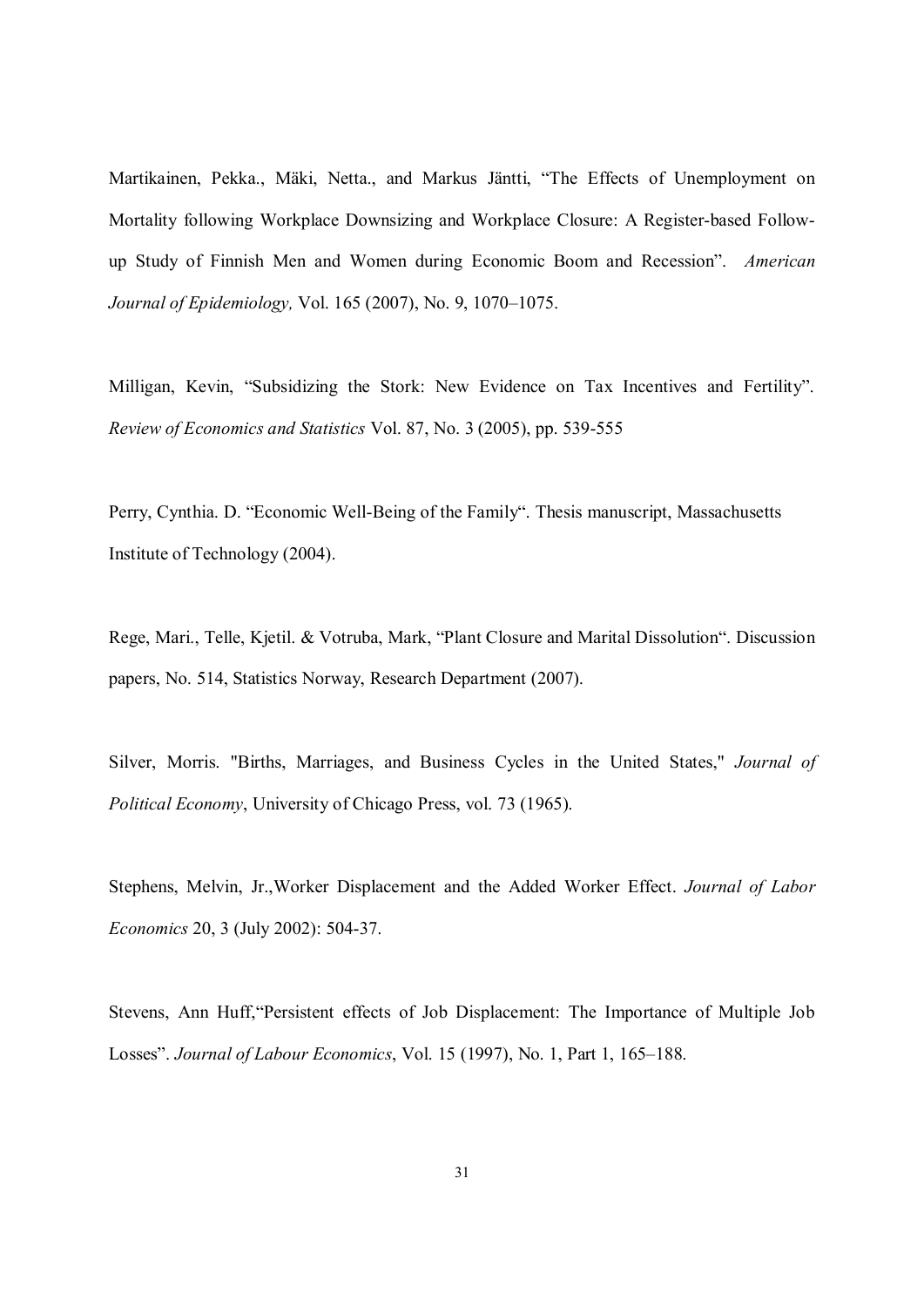Martikainen, Pekka., Mäki, Netta., and Markus Jäntti, "The Effects of Unemployment on Mortality following Workplace Downsizing and Workplace Closure: A Register-based Followup Study of Finnish Men and Women during Economic Boom and Recession". *American Journal of Epidemiology,* Vol. 165 (2007), No. 9, 1070–1075.

Milligan, Kevin, "Subsidizing the Stork: New Evidence on Tax Incentives and Fertility". *Review of Economics and Statistics* Vol. 87, No. 3 (2005), pp. 539-555

Perry, Cynthia. D. "Economic Well-Being of the Family". Thesis manuscript, Massachusetts Institute of Technology (2004).

Rege, Mari., Telle, Kjetil. & Votruba, Mark, "Plant Closure and Marital Dissolution". Discussion papers, No. 514, Statistics Norway, Research Department (2007).

Silver, Morris. "Births, Marriages, and Business Cycles in the United States," *Journal of Political Economy*, University of Chicago Press, vol. 73 (1965).

Stephens, Melvin, Jr.,Worker Displacement and the Added Worker Effect. *Journal of Labor Economics* 20, 3 (July 2002): 504-37.

Stevens, Ann Huff,"Persistent effects of Job Displacement: The Importance of Multiple Job Losses". *Journal of Labour Economics*, Vol. 15 (1997), No. 1, Part 1, 165–188.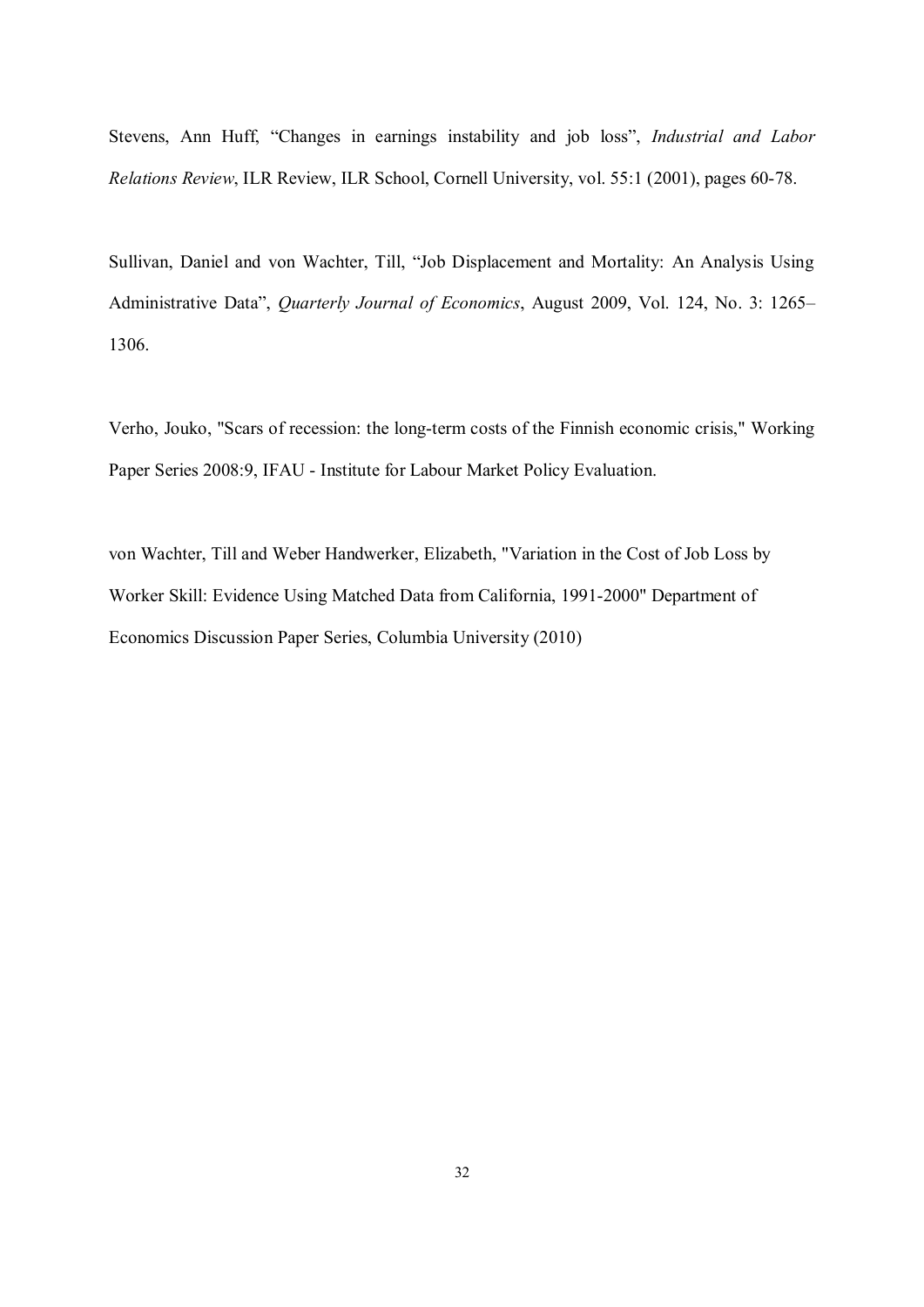Stevens, Ann Huff, "Changes in earnings instability and job loss", *Industrial and Labor Relations Review*, ILR Review, ILR School, Cornell University, vol. 55:1 (2001), pages 60-78.

Sullivan, Daniel and von Wachter, Till, "Job Displacement and Mortality: An Analysis Using Administrative Data", *Quarterly Journal of Economics*, August 2009, Vol. 124, No. 3: 1265– 1306.

Verho, Jouko, "Scars of recession: the long-term costs of the Finnish economic crisis," Working Paper Series 2008:9, IFAU - Institute for Labour Market Policy Evaluation.

von Wachter, Till and Weber Handwerker, Elizabeth, "Variation in the Cost of Job Loss by Worker Skill: Evidence Using Matched Data from California, 1991-2000" Department of Economics Discussion Paper Series, Columbia University (2010)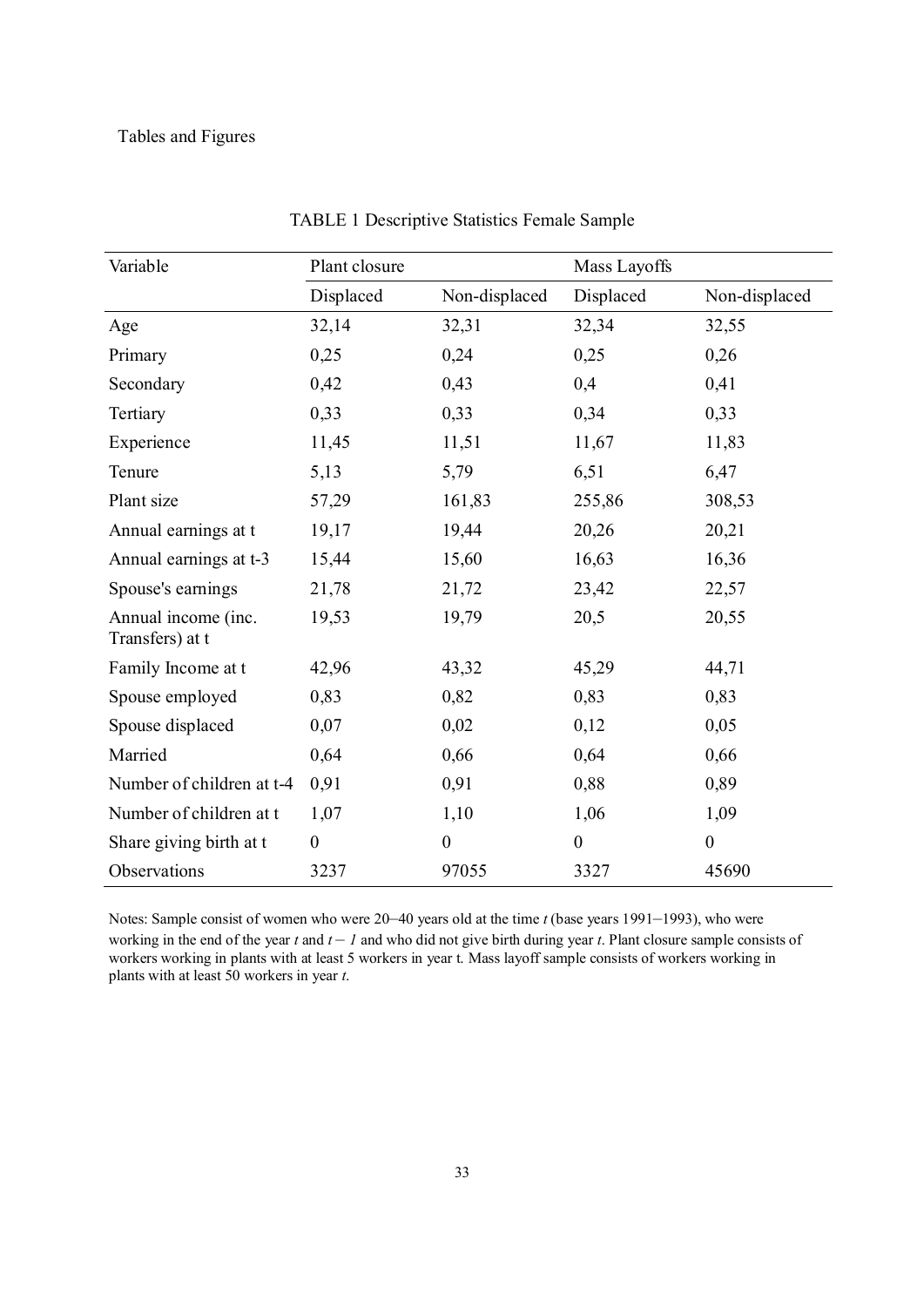| Variable                               | Plant closure    |                  | Mass Layoffs     |                  |  |
|----------------------------------------|------------------|------------------|------------------|------------------|--|
|                                        | Displaced        | Non-displaced    | Displaced        | Non-displaced    |  |
| Age                                    | 32,14            | 32,31            | 32,34            | 32,55            |  |
| Primary                                | 0,25             | 0,24             | 0,25             | 0,26             |  |
| Secondary                              | 0,42             | 0,43             | 0,4              | 0,41             |  |
| Tertiary                               | 0,33             | 0,33             | 0,34             | 0,33             |  |
| Experience                             | 11,45            | 11,51            | 11,67            | 11,83            |  |
| Tenure                                 | 5,13             | 5,79             | 6,51             | 6,47             |  |
| Plant size                             | 57,29            | 161,83           | 255,86           | 308,53           |  |
| Annual earnings at t                   | 19,17            | 19,44            | 20,26            | 20,21            |  |
| Annual earnings at t-3                 | 15,44            | 15,60            | 16,63            | 16,36            |  |
| Spouse's earnings                      | 21,78            | 21,72            | 23,42            | 22,57            |  |
| Annual income (inc.<br>Transfers) at t | 19,53            | 19,79            | 20,5             | 20,55            |  |
| Family Income at t                     | 42,96            | 43,32            | 45,29            | 44,71            |  |
| Spouse employed                        | 0,83             | 0,82             | 0,83             | 0,83             |  |
| Spouse displaced                       | 0,07             | 0,02             | 0,12             | 0,05             |  |
| Married                                | 0,64             | 0,66             | 0,64             | 0,66             |  |
| Number of children at t-4              | 0,91             | 0,91             | 0,88             | 0,89             |  |
| Number of children at t                | 1,07             | 1,10             | 1,06             | 1,09             |  |
| Share giving birth at t                | $\boldsymbol{0}$ | $\boldsymbol{0}$ | $\boldsymbol{0}$ | $\boldsymbol{0}$ |  |
| Observations                           | 3237             | 97055            | 3327             | 45690            |  |

TABLE 1 Descriptive Statistics Female Sample

Notes: Sample consist of women who were 20–40 years old at the time *t* (base years 1991–1993), who were working in the end of the year  $t$  and  $t - 1$  and who did not give birth during year  $t$ . Plant closure sample consists of working in the end of the year t and the line the sample consists of workers working in workers working in plants with at least 5 workers in year t. Mass layoff sample consists of workers working in plants with at least 50 workers in year *t*.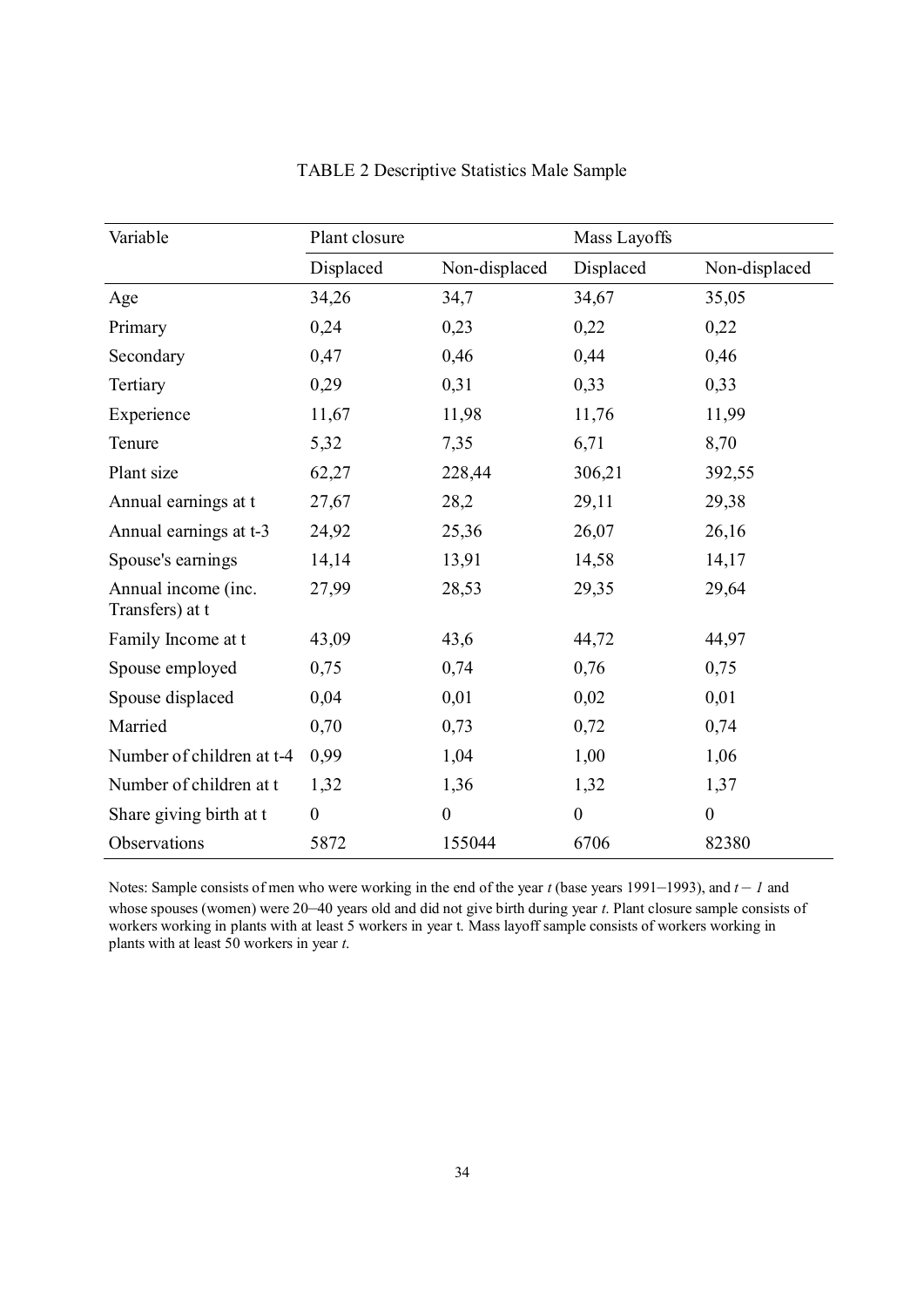| Variable                               | Plant closure    |                  | Mass Layoffs     |                  |  |
|----------------------------------------|------------------|------------------|------------------|------------------|--|
|                                        | Displaced        | Non-displaced    | Displaced        | Non-displaced    |  |
| Age                                    | 34,26            | 34,7             | 34,67            | 35,05            |  |
| Primary                                | 0,24             | 0,23             | 0,22             | 0,22             |  |
| Secondary                              | 0,47             | 0,46             | 0,44             | 0,46             |  |
| Tertiary                               | 0,29             | 0,31             | 0,33             | 0,33             |  |
| Experience                             | 11,67            | 11,98            | 11,76            | 11,99            |  |
| Tenure                                 | 5,32             | 7,35             | 6,71             | 8,70             |  |
| Plant size                             | 62,27            | 228,44           | 306,21           | 392,55           |  |
| Annual earnings at t                   | 27,67            | 28,2             | 29,11            | 29,38            |  |
| Annual earnings at t-3                 | 24,92            | 25,36            | 26,07            | 26,16            |  |
| Spouse's earnings                      | 14,14            | 13,91            | 14,58            | 14,17            |  |
| Annual income (inc.<br>Transfers) at t | 27,99            | 28,53            | 29,35            | 29,64            |  |
| Family Income at t                     | 43,09            | 43,6             | 44,72            | 44,97            |  |
| Spouse employed                        | 0,75             | 0,74             | 0,76             | 0,75             |  |
| Spouse displaced                       | 0,04             | 0,01             | 0,02             | 0,01             |  |
| Married                                | 0,70             | 0,73             | 0,72             | 0,74             |  |
| Number of children at t-4              | 0,99             | 1,04             | 1,00             | 1,06             |  |
| Number of children at t                | 1,32             | 1,36             | 1,32             | 1,37             |  |
| Share giving birth at t                | $\boldsymbol{0}$ | $\boldsymbol{0}$ | $\boldsymbol{0}$ | $\boldsymbol{0}$ |  |
| Observations                           | 5872             | 155044           | 6706             | 82380            |  |

| <b>TABLE 2 Descriptive Statistics Male Sample</b> |  |  |
|---------------------------------------------------|--|--|
|                                                   |  |  |

Notes: Sample consists of men who were working in the end of the year *t* (base years 1991–1993), and *t – 1* and whose spouses (women) were 20–40 years old and did not give birth during year *t*. Plant closure sample consists of workers working in plants with at least 5 workers in year t. Mass layoff sample consists of workers working in plants with at least 50 workers in year *t*.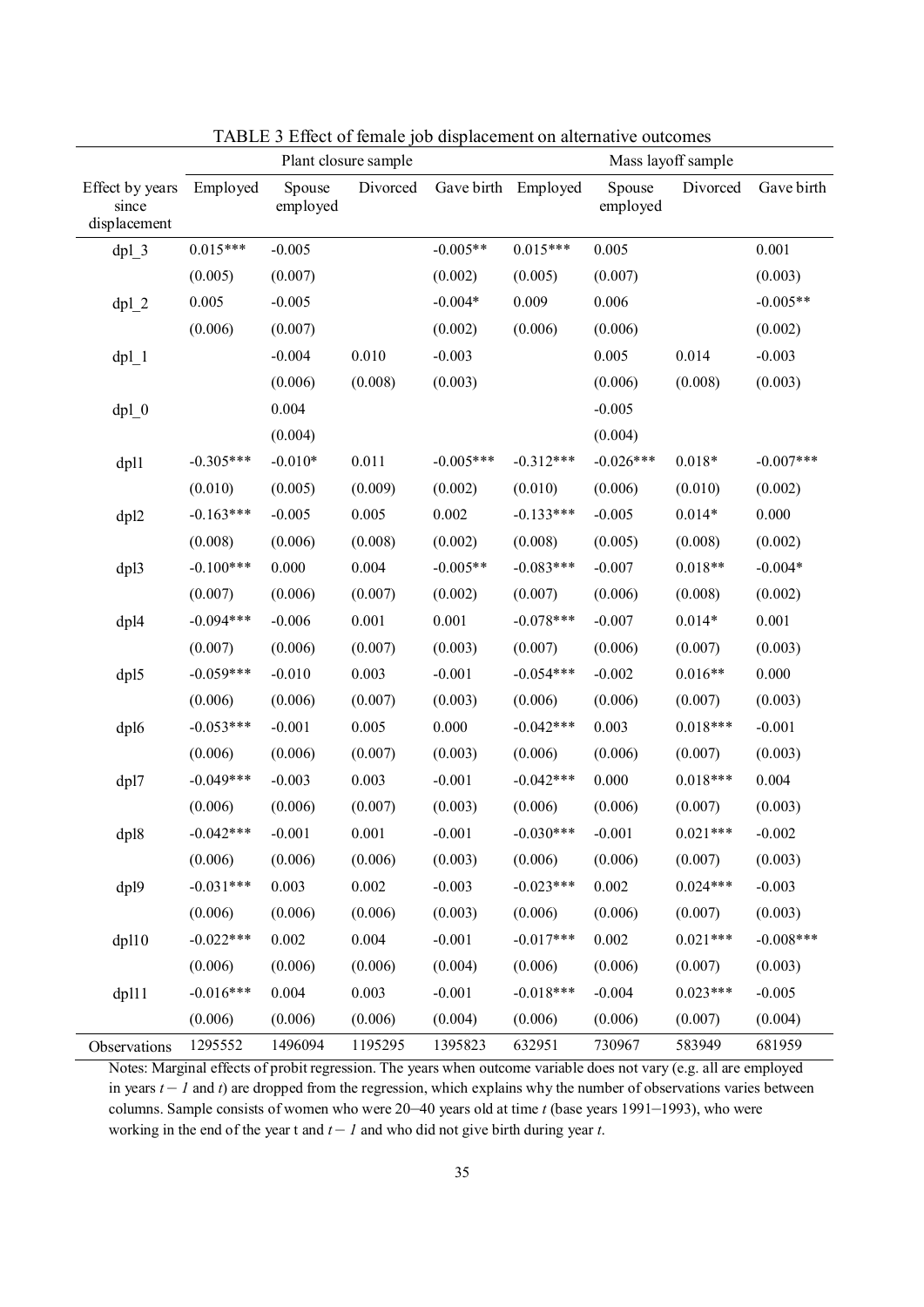|                                          | Plant closure sample |                    |          |             | Mass layoff sample |                    |            |             |
|------------------------------------------|----------------------|--------------------|----------|-------------|--------------------|--------------------|------------|-------------|
| Effect by years<br>since<br>displacement | Employed             | Spouse<br>employed | Divorced | Gave birth  | Employed           | Spouse<br>employed | Divorced   | Gave birth  |
| $dpl_3$                                  | $0.015***$           | $-0.005$           |          | $-0.005**$  | $0.015***$         | 0.005              |            | 0.001       |
|                                          | (0.005)              | (0.007)            |          | (0.002)     | (0.005)            | (0.007)            |            | (0.003)     |
| $dpl_2$                                  | 0.005                | $-0.005$           |          | $-0.004*$   | 0.009              | 0.006              |            | $-0.005**$  |
|                                          | (0.006)              | (0.007)            |          | (0.002)     | (0.006)            | (0.006)            |            | (0.002)     |
| $dpl_1$                                  |                      | $-0.004$           | 0.010    | $-0.003$    |                    | 0.005              | 0.014      | $-0.003$    |
|                                          |                      | (0.006)            | (0.008)  | (0.003)     |                    | (0.006)            | (0.008)    | (0.003)     |
| $dpl_0$                                  |                      | 0.004              |          |             |                    | $-0.005$           |            |             |
|                                          |                      | (0.004)            |          |             |                    | (0.004)            |            |             |
| dpl1                                     | $-0.305***$          | $-0.010*$          | 0.011    | $-0.005***$ | $-0.312***$        | $-0.026***$        | $0.018*$   | $-0.007***$ |
|                                          | (0.010)              | (0.005)            | (0.009)  | (0.002)     | (0.010)            | (0.006)            | (0.010)    | (0.002)     |
| dpl2                                     | $-0.163***$          | $-0.005$           | 0.005    | 0.002       | $-0.133***$        | $-0.005$           | $0.014*$   | 0.000       |
|                                          | (0.008)              | (0.006)            | (0.008)  | (0.002)     | (0.008)            | (0.005)            | (0.008)    | (0.002)     |
| dpl3                                     | $-0.100***$          | 0.000              | 0.004    | $-0.005**$  | $-0.083***$        | $-0.007$           | $0.018**$  | $-0.004*$   |
|                                          | (0.007)              | (0.006)            | (0.007)  | (0.002)     | (0.007)            | (0.006)            | (0.008)    | (0.002)     |
| dpl4                                     | $-0.094***$          | $-0.006$           | 0.001    | 0.001       | $-0.078***$        | $-0.007$           | $0.014*$   | 0.001       |
|                                          | (0.007)              | (0.006)            | (0.007)  | (0.003)     | (0.007)            | (0.006)            | (0.007)    | (0.003)     |
| dpl5                                     | $-0.059***$          | $-0.010$           | 0.003    | $-0.001$    | $-0.054***$        | $-0.002$           | $0.016**$  | 0.000       |
|                                          | (0.006)              | (0.006)            | (0.007)  | (0.003)     | (0.006)            | (0.006)            | (0.007)    | (0.003)     |
| dpl6                                     | $-0.053***$          | $-0.001$           | 0.005    | 0.000       | $-0.042***$        | 0.003              | $0.018***$ | $-0.001$    |
|                                          | (0.006)              | (0.006)            | (0.007)  | (0.003)     | (0.006)            | (0.006)            | (0.007)    | (0.003)     |
| dpl7                                     | $-0.049***$          | $-0.003$           | 0.003    | $-0.001$    | $-0.042***$        | 0.000              | $0.018***$ | 0.004       |
|                                          | (0.006)              | (0.006)            | (0.007)  | (0.003)     | (0.006)            | (0.006)            | (0.007)    | (0.003)     |
| dpl8                                     | $-0.042***$          | $-0.001$           | 0.001    | $-0.001$    | $-0.030***$        | $-0.001$           | $0.021***$ | $-0.002$    |
|                                          | (0.006)              | (0.006)            | (0.006)  | (0.003)     | (0.006)            | (0.006)            | (0.007)    | (0.003)     |
| dpl9                                     | $-0.031***$          | 0.003              | 0.002    | $-0.003$    | $-0.023***$        | 0.002              | $0.024***$ | $-0.003$    |
|                                          | (0.006)              | (0.006)            | (0.006)  | (0.003)     | (0.006)            | (0.006)            | (0.007)    | (0.003)     |
| $d$ p $110$                              | $-0.022***$          | 0.002              | 0.004    | $-0.001$    | $-0.017***$        | 0.002              | $0.021***$ | $-0.008***$ |
|                                          | (0.006)              | (0.006)            | (0.006)  | (0.004)     | (0.006)            | (0.006)            | (0.007)    | (0.003)     |
| dp111                                    | $-0.016***$          | 0.004              | 0.003    | $-0.001$    | $-0.018***$        | $-0.004$           | $0.023***$ | $-0.005$    |
|                                          | (0.006)              | (0.006)            | (0.006)  | (0.004)     | (0.006)            | (0.006)            | (0.007)    | (0.004)     |
| Observations                             | 1295552              | 1496094            | 1195295  | 1395823     | 632951             | 730967             | 583949     | 681959      |

TABLE 3 Effect of female job displacement on alternative outcomes

Notes: Marginal effects of probit regression. The years when outcome variable does not vary (e.g. all are employed in years  $t - I$  and  $t$ ) are dropped from the regression, which explains why the number of observations varies between columns. Sample consists of women who were 20–40 years old at time *t* (base years 1991–1993), who were working in the end of the year t and  $t - l$  and who did not give birth during year  $t$ .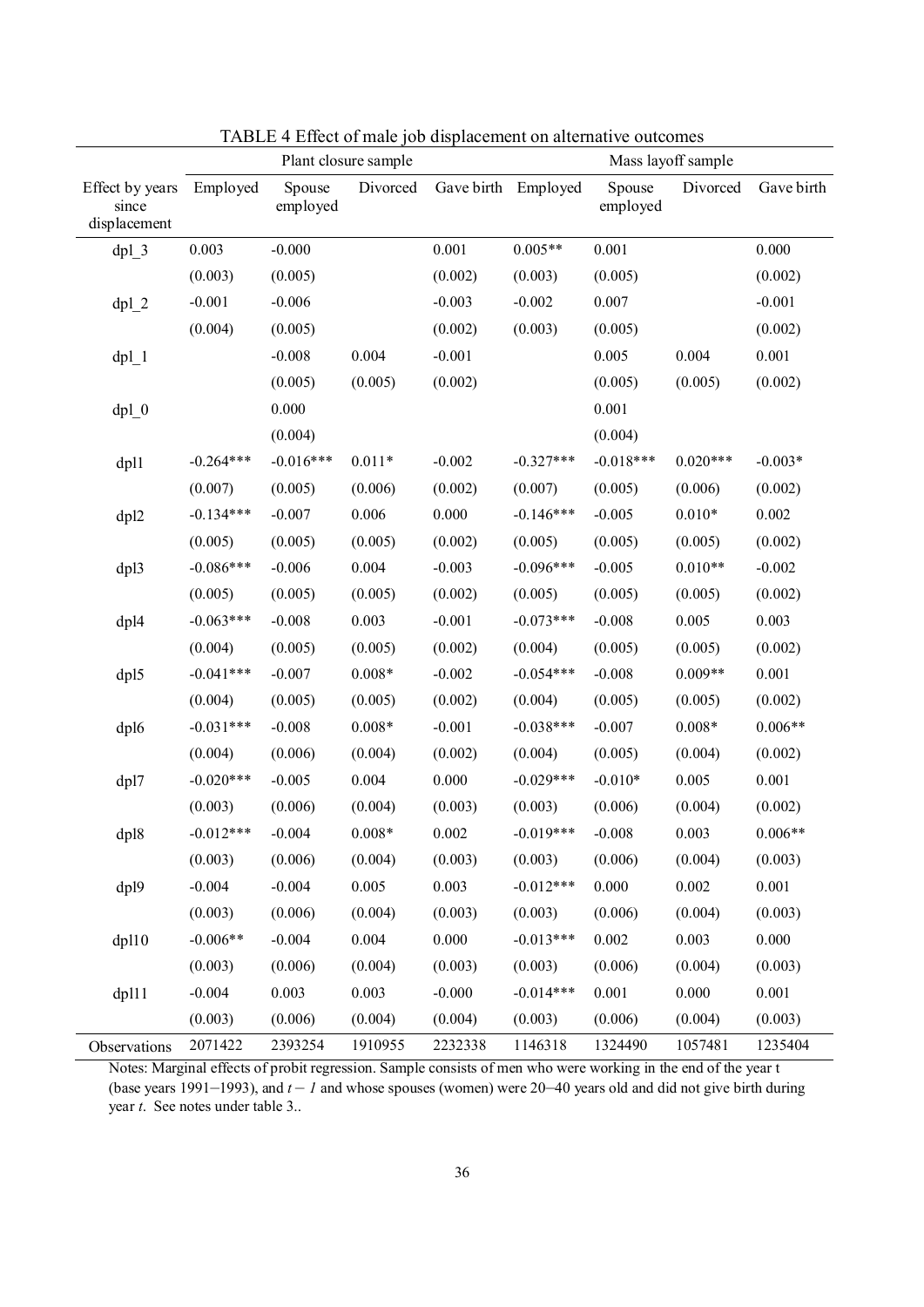|                                          | Plant closure sample |                    |          | Mass layoff sample |             |                    |            |            |
|------------------------------------------|----------------------|--------------------|----------|--------------------|-------------|--------------------|------------|------------|
| Effect by years<br>since<br>displacement | Employed             | Spouse<br>employed | Divorced | Gave birth         | Employed    | Spouse<br>employed | Divorced   | Gave birth |
| $dpl_3$                                  | 0.003                | $-0.000$           |          | 0.001              | $0.005**$   | 0.001              |            | 0.000      |
|                                          | (0.003)              | (0.005)            |          | (0.002)            | (0.003)     | (0.005)            |            | (0.002)    |
| $dpl_2$                                  | $-0.001$             | $-0.006$           |          | $-0.003$           | $-0.002$    | 0.007              |            | $-0.001$   |
|                                          | (0.004)              | (0.005)            |          | (0.002)            | (0.003)     | (0.005)            |            | (0.002)    |
| $dpl_1$                                  |                      | $-0.008$           | 0.004    | $-0.001$           |             | 0.005              | 0.004      | 0.001      |
|                                          |                      | (0.005)            | (0.005)  | (0.002)            |             | (0.005)            | (0.005)    | (0.002)    |
| $dpl_0$                                  |                      | 0.000              |          |                    |             | 0.001              |            |            |
|                                          |                      | (0.004)            |          |                    |             | (0.004)            |            |            |
| dp11                                     | $-0.264***$          | $-0.016***$        | $0.011*$ | $-0.002$           | $-0.327***$ | $-0.018***$        | $0.020***$ | $-0.003*$  |
|                                          | (0.007)              | (0.005)            | (0.006)  | (0.002)            | (0.007)     | (0.005)            | (0.006)    | (0.002)    |
| dpl2                                     | $-0.134***$          | $-0.007$           | 0.006    | 0.000              | $-0.146***$ | $-0.005$           | $0.010*$   | 0.002      |
|                                          | (0.005)              | (0.005)            | (0.005)  | (0.002)            | (0.005)     | (0.005)            | (0.005)    | (0.002)    |
| dpl3                                     | $-0.086***$          | $-0.006$           | 0.004    | $-0.003$           | $-0.096***$ | $-0.005$           | $0.010**$  | $-0.002$   |
|                                          | (0.005)              | (0.005)            | (0.005)  | (0.002)            | (0.005)     | (0.005)            | (0.005)    | (0.002)    |
| dpl4                                     | $-0.063***$          | $-0.008$           | 0.003    | $-0.001$           | $-0.073***$ | $-0.008$           | 0.005      | 0.003      |
|                                          | (0.004)              | (0.005)            | (0.005)  | (0.002)            | (0.004)     | (0.005)            | (0.005)    | (0.002)    |
| dpl5                                     | $-0.041***$          | $-0.007$           | $0.008*$ | $-0.002$           | $-0.054***$ | $-0.008$           | $0.009**$  | 0.001      |
|                                          | (0.004)              | (0.005)            | (0.005)  | (0.002)            | (0.004)     | (0.005)            | (0.005)    | (0.002)    |
| dpl6                                     | $-0.031***$          | $-0.008$           | $0.008*$ | $-0.001$           | $-0.038***$ | $-0.007$           | $0.008*$   | $0.006**$  |
|                                          | (0.004)              | (0.006)            | (0.004)  | (0.002)            | (0.004)     | (0.005)            | (0.004)    | (0.002)    |
| dpl7                                     | $-0.020***$          | $-0.005$           | 0.004    | 0.000              | $-0.029***$ | $-0.010*$          | 0.005      | 0.001      |
|                                          | (0.003)              | (0.006)            | (0.004)  | (0.003)            | (0.003)     | (0.006)            | (0.004)    | (0.002)    |
| dpl8                                     | $-0.012***$          | $-0.004$           | $0.008*$ | 0.002              | $-0.019***$ | $-0.008$           | 0.003      | $0.006**$  |
|                                          | (0.003)              | (0.006)            | (0.004)  | (0.003)            | (0.003)     | (0.006)            | (0.004)    | (0.003)    |
| dp19                                     | $-0.004$             | $-0.004$           | 0.005    | 0.003              | $-0.012***$ | 0.000              | 0.002      | 0.001      |
|                                          | (0.003)              | (0.006)            | (0.004)  | (0.003)            | (0.003)     | (0.006)            | (0.004)    | (0.003)    |
| $d$ pl $10$                              | $-0.006**$           | $-0.004$           | 0.004    | 0.000              | $-0.013***$ | 0.002              | 0.003      | 0.000      |
|                                          | (0.003)              | (0.006)            | (0.004)  | (0.003)            | (0.003)     | (0.006)            | (0.004)    | (0.003)    |
| dpl11                                    | $-0.004$             | 0.003              | 0.003    | $-0.000$           | $-0.014***$ | 0.001              | $0.000\,$  | 0.001      |
|                                          | (0.003)              | (0.006)            | (0.004)  | (0.004)            | (0.003)     | (0.006)            | (0.004)    | (0.003)    |
| Observations                             | 2071422              | 2393254            | 1910955  | 2232338            | 1146318     | 1324490            | 1057481    | 1235404    |

TABLE 4 Effect of male job displacement on alternative outcomes

Notes: Marginal effects of probit regression. Sample consists of men who were working in the end of the year t (base years 1991–1993), and  $t - I$  and whose spouses (women) were 20–40 years old and did not give birth during year *t*. See notes under table 3..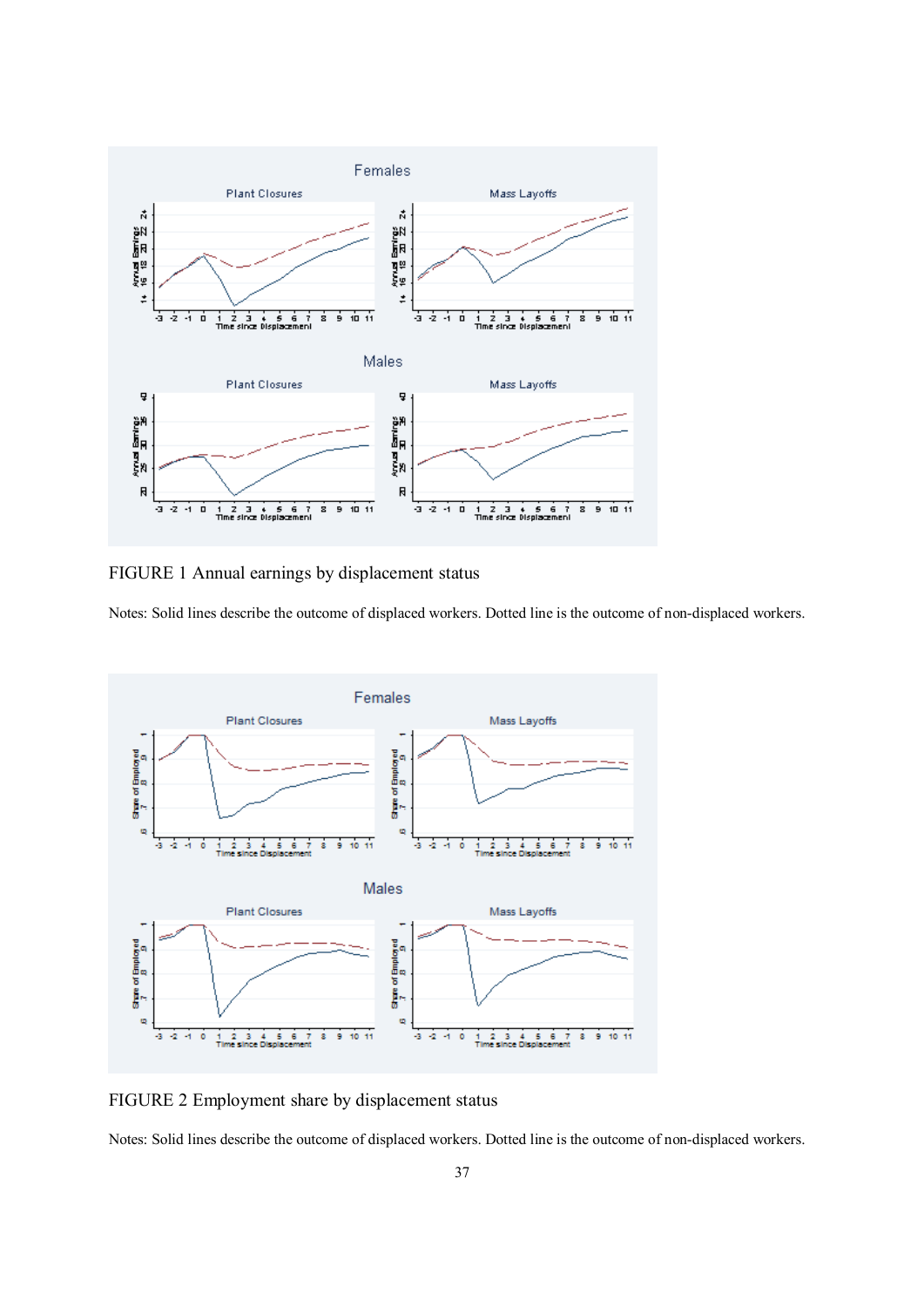

FIGURE 1 Annual earnings by displacement status

Notes: Solid lines describe the outcome of displaced workers. Dotted line is the outcome of non-displaced workers.



FIGURE 2 Employment share by displacement status

Notes: Solid lines describe the outcome of displaced workers. Dotted line is the outcome of non-displaced workers.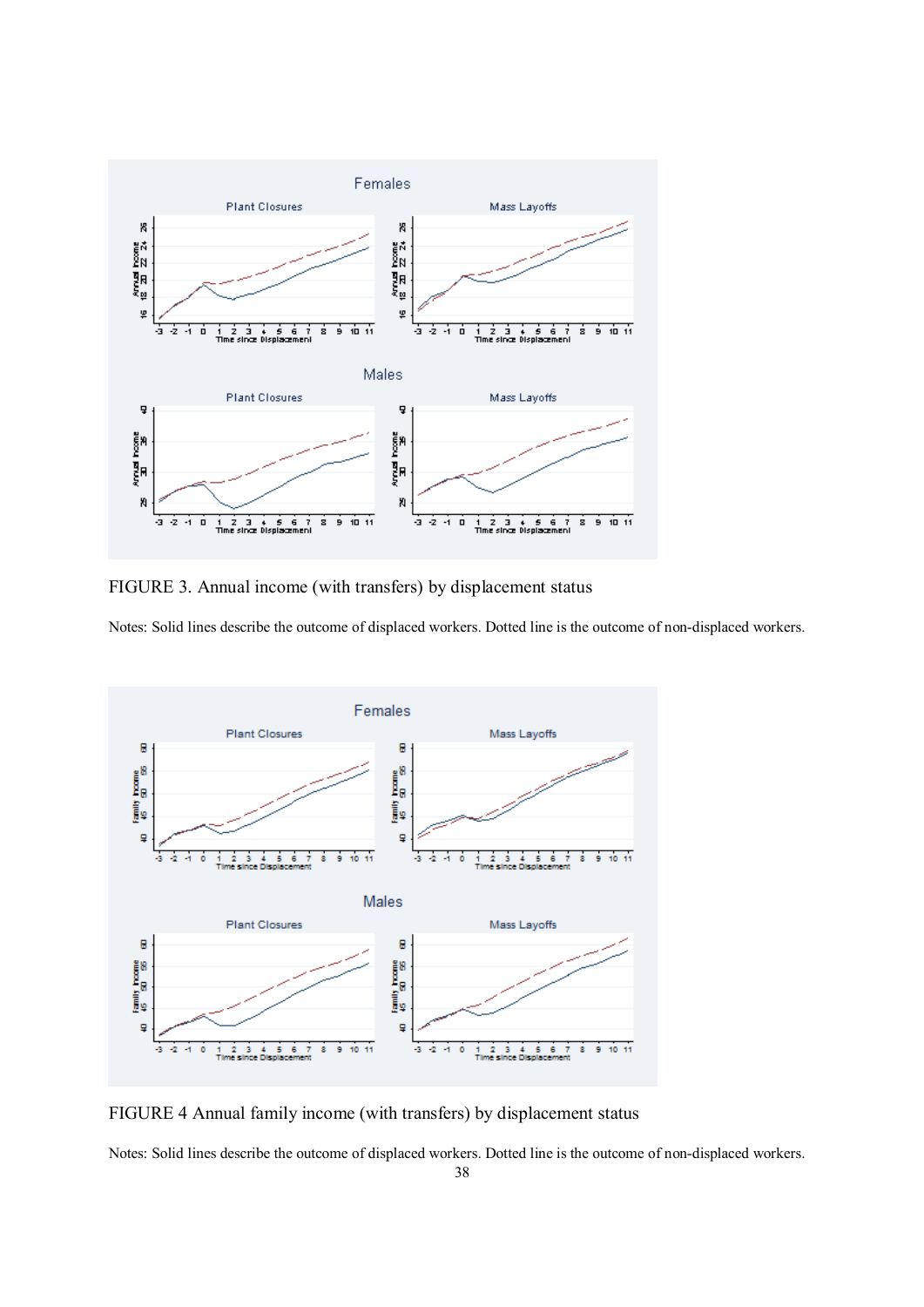

FIGURE 3. Annual income (with transfers) by displacement status

Notes: Solid lines describe the outcome of displaced workers. Dotted line is the outcome of non-displaced workers.



FIGURE 4 Annual family income (with transfers) by displacement status

Notes: Solid lines describe the outcome of displaced workers. Dotted line is the outcome of non-displaced workers.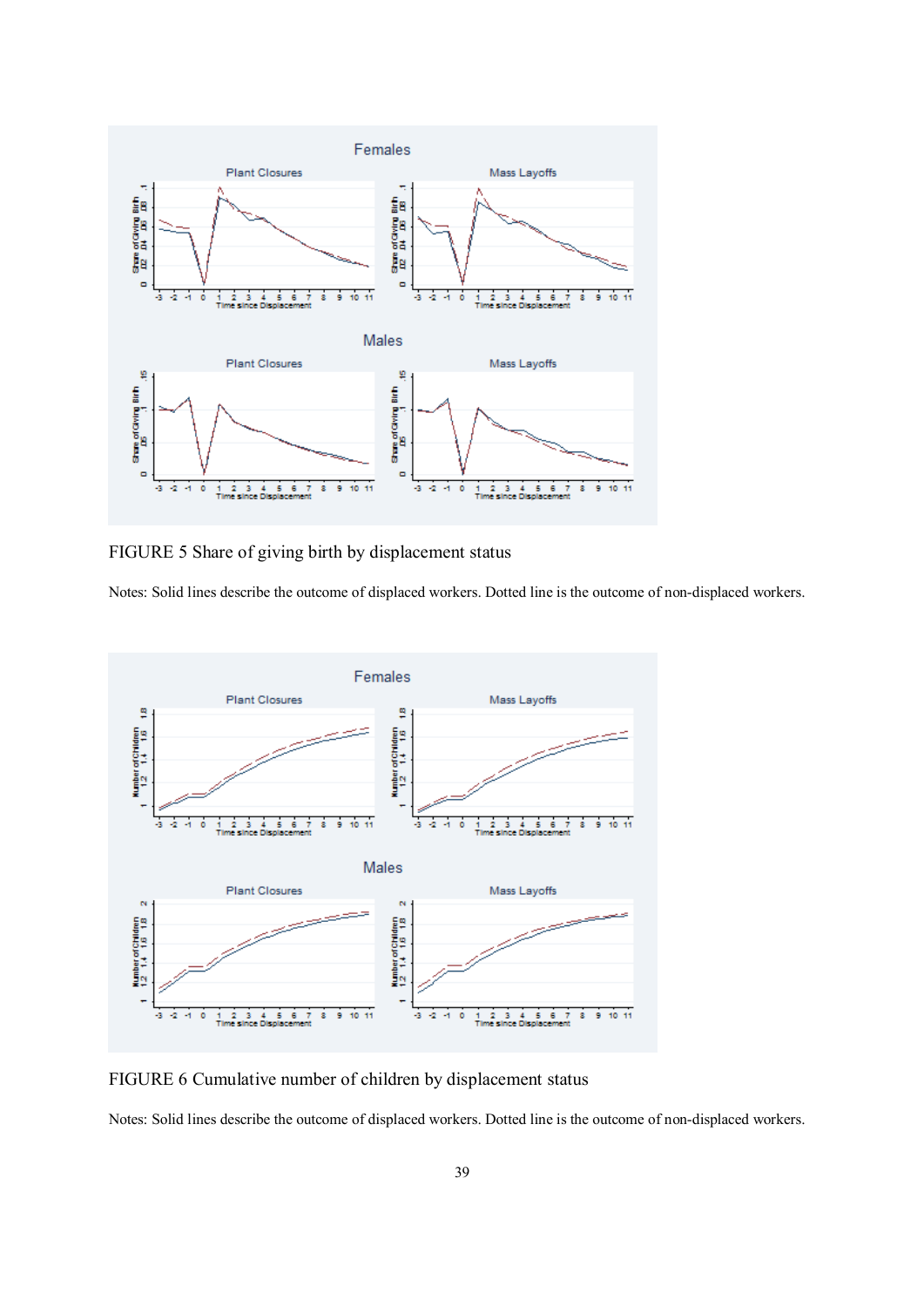

FIGURE 5 Share of giving birth by displacement status

Notes: Solid lines describe the outcome of displaced workers. Dotted line is the outcome of non-displaced workers.



FIGURE 6 Cumulative number of children by displacement status

Notes: Solid lines describe the outcome of displaced workers. Dotted line is the outcome of non-displaced workers.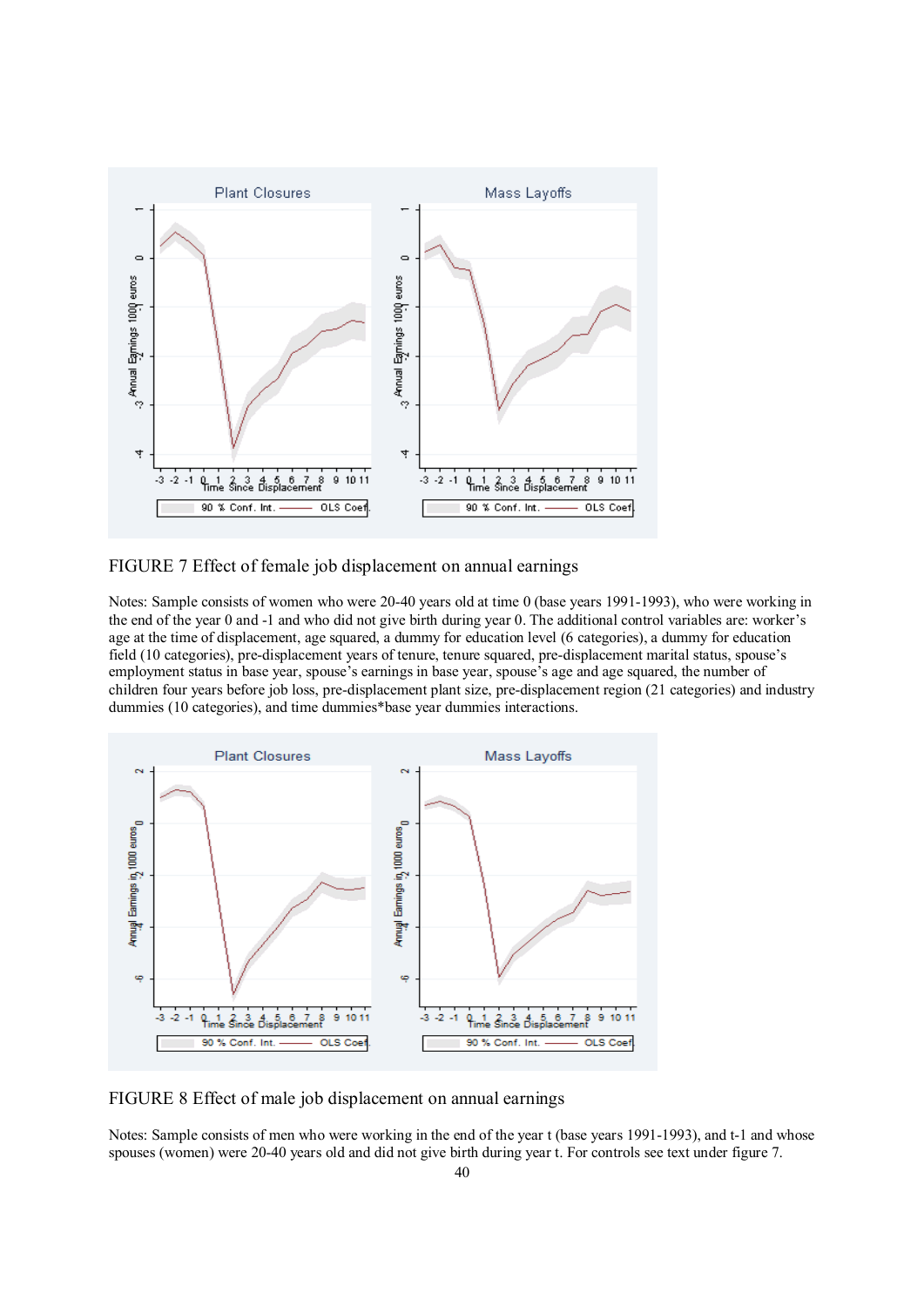

FIGURE 7 Effect of female job displacement on annual earnings

Notes: Sample consists of women who were 20-40 years old at time 0 (base years 1991-1993), who were working in the end of the year 0 and -1 and who did not give birth during year 0. The additional control variables are: worker's age at the time of displacement, age squared, a dummy for education level (6 categories), a dummy for education field (10 categories), pre-displacement years of tenure, tenure squared, pre-displacement marital status, spouse's employment status in base year, spouse's earnings in base year, spouse's age and age squared, the number of children four years before job loss, pre-displacement plant size, pre-displacement region (21 categories) and industry dummies (10 categories), and time dummies\*base year dummies interactions.



FIGURE 8 Effect of male job displacement on annual earnings

Notes: Sample consists of men who were working in the end of the year t (base years 1991-1993), and t-1 and whose spouses (women) were 20-40 years old and did not give birth during year t. For controls see text under figure 7.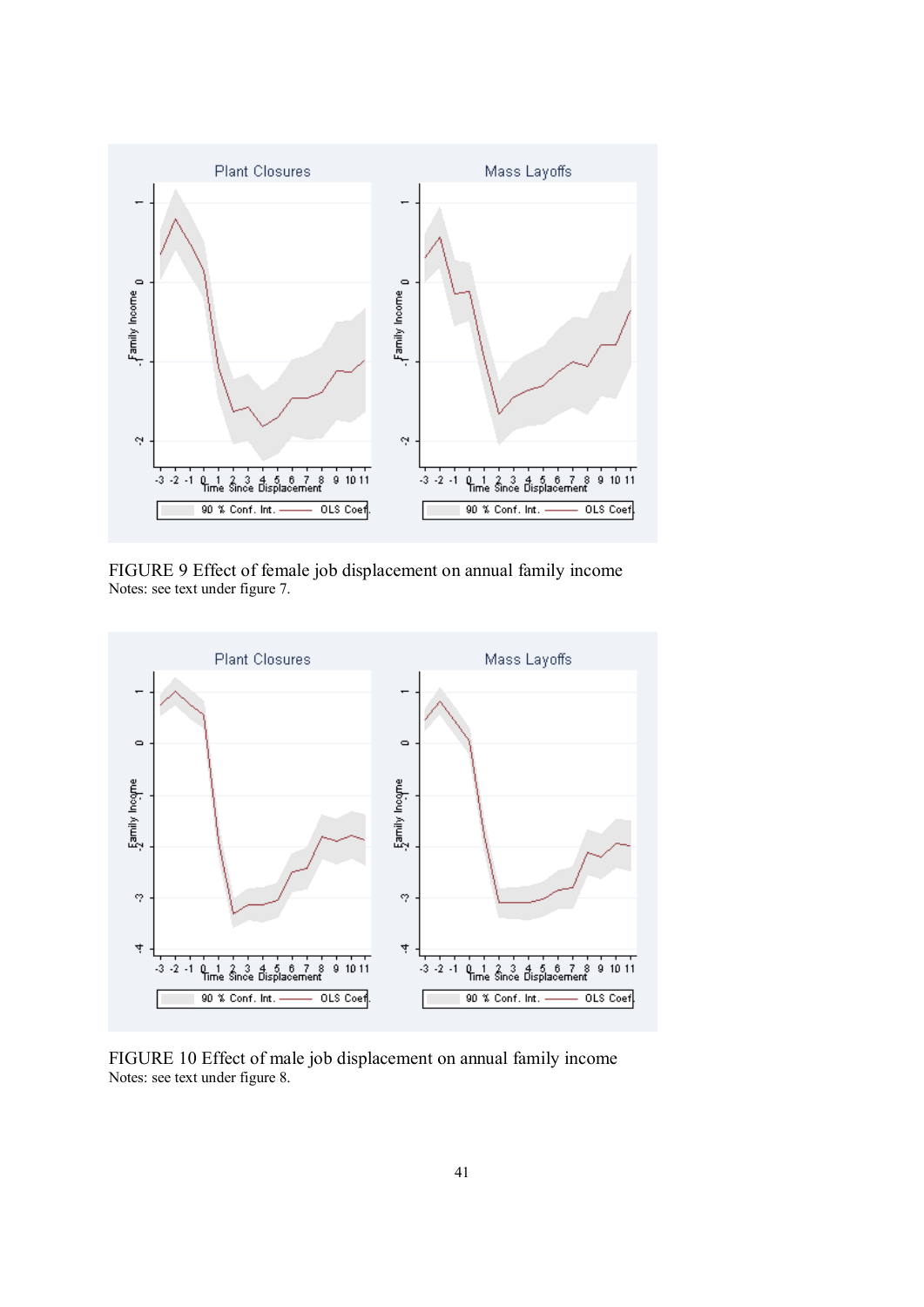

FIGURE 9 Effect of female job displacement on annual family income Notes: see text under figure 7.



FIGURE 10 Effect of male job displacement on annual family income Notes: see text under figure 8.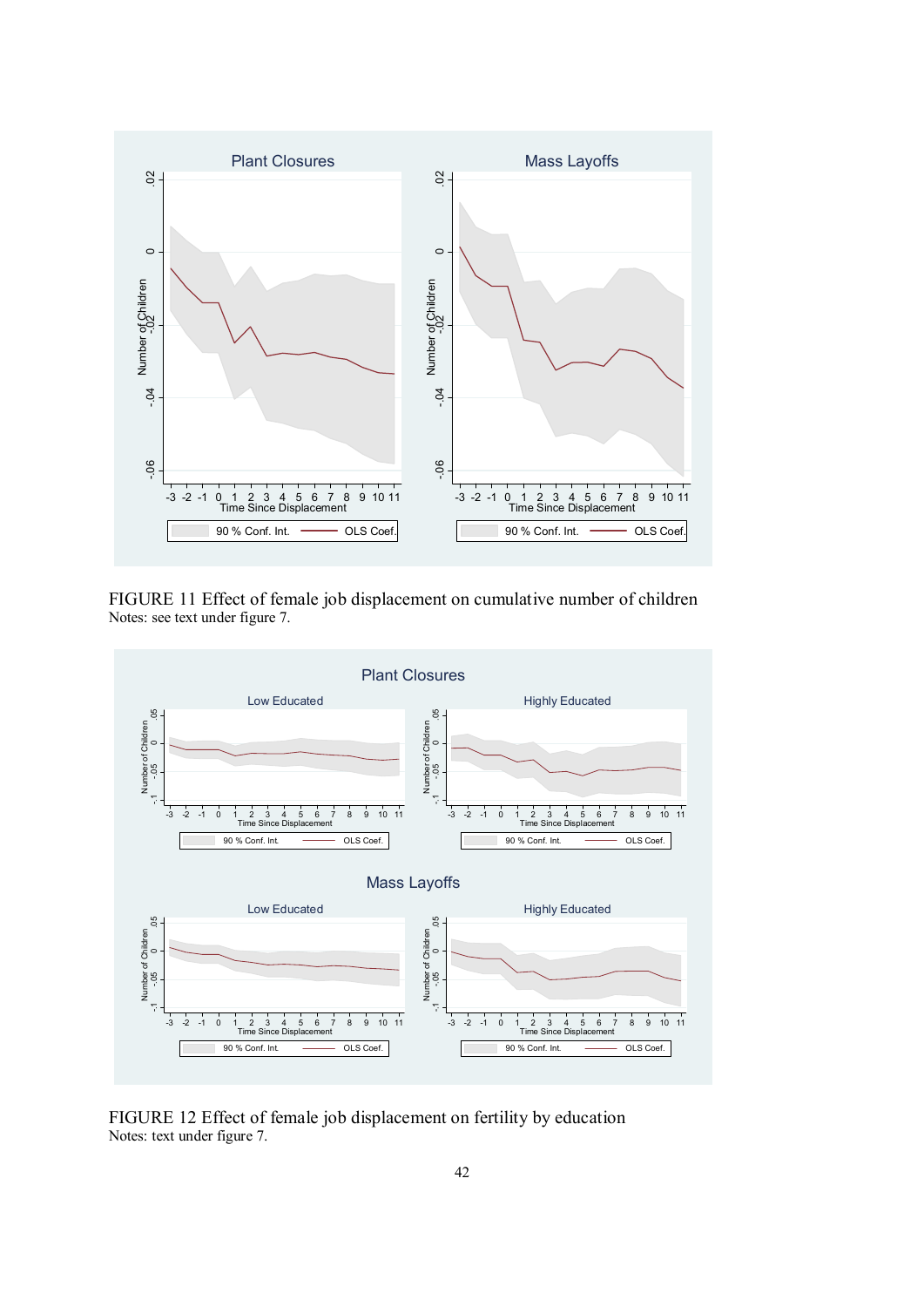

FIGURE 11 Effect of female job displacement on cumulative number of children Notes: see text under figure 7.



FIGURE 12 Effect of female job displacement on fertility by education Notes: text under figure 7.